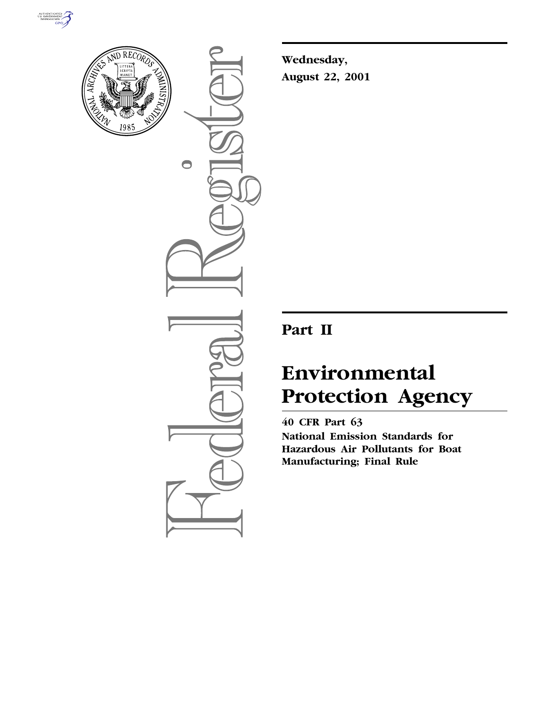



 $\bigcirc$ 

**Wednesday, August 22, 2001**

## **Part II**

# **Environmental Protection Agency**

**40 CFR Part 63 National Emission Standards for Hazardous Air Pollutants for Boat Manufacturing; Final Rule**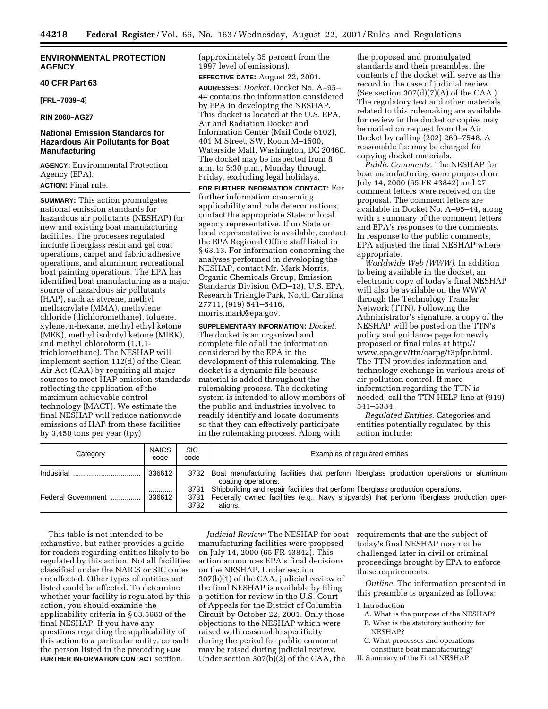## **ENVIRONMENTAL PROTECTION AGENCY**

#### **40 CFR Part 63**

**[FRL–7039–4]**

**RIN 2060–AG27**

## **National Emission Standards for Hazardous Air Pollutants for Boat Manufacturing**

**AGENCY:** Environmental Protection Agency (EPA). **ACTION:** Final rule.

**SUMMARY:** This action promulgates national emission standards for hazardous air pollutants (NESHAP) for new and existing boat manufacturing facilities. The processes regulated include fiberglass resin and gel coat operations, carpet and fabric adhesive operations, and aluminum recreational boat painting operations. The EPA has identified boat manufacturing as a major source of hazardous air pollutants (HAP), such as styrene, methyl methacrylate (MMA), methylene chloride (dichloromethane), toluene, xylene, n-hexane, methyl ethyl ketone (MEK), methyl isobutyl ketone (MIBK), and methyl chloroform (1,1,1 trichloroethane). The NESHAP will implement section 112(d) of the Clean Air Act (CAA) by requiring all major sources to meet HAP emission standards reflecting the application of the maximum achievable control technology (MACT). We estimate the final NESHAP will reduce nationwide emissions of HAP from these facilities by 3,450 tons per year (tpy)

(approximately 35 percent from the 1997 level of emissions).

**EFFECTIVE DATE:** August 22, 2001. **ADDRESSES:** *Docket*. Docket No. A–95– 44 contains the information considered by EPA in developing the NESHAP. This docket is located at the U.S. EPA, Air and Radiation Docket and Information Center (Mail Code 6102), 401 M Street, SW, Room M–1500, Waterside Mall, Washington, DC 20460. The docket may be inspected from 8 a.m. to 5:30 p.m., Monday through

Friday, excluding legal holidays. **FOR FURTHER INFORMATION CONTACT:** For further information concerning applicability and rule determinations, contact the appropriate State or local agency representative. If no State or local representative is available, contact the EPA Regional Office staff listed in § 63.13. For information concerning the analyses performed in developing the NESHAP, contact Mr. Mark Morris, Organic Chemicals Group, Emission Standards Division (MD–13), U.S. EPA, Research Triangle Park, North Carolina 27711, (919) 541–5416, morris.mark@epa.gov.

**SUPPLEMENTARY INFORMATION:** *Docket.* The docket is an organized and complete file of all the information considered by the EPA in the development of this rulemaking. The docket is a dynamic file because material is added throughout the rulemaking process. The docketing system is intended to allow members of the public and industries involved to readily identify and locate documents so that they can effectively participate in the rulemaking process. Along with

the proposed and promulgated standards and their preambles, the contents of the docket will serve as the record in the case of judicial review. (See section  $307(d)(7)(A)$  of the CAA.) The regulatory text and other materials related to this rulemaking are available for review in the docket or copies may be mailed on request from the Air Docket by calling (202) 260–7548. A reasonable fee may be charged for copying docket materials.

*Public Comments*. The NESHAP for boat manufacturing were proposed on July 14, 2000 (65 FR 43842) and 27 comment letters were received on the proposal. The comment letters are available in Docket No. A–95–44, along with a summary of the comment letters and EPA's responses to the comments. In response to the public comments, EPA adjusted the final NESHAP where appropriate.

*Worldwide Web (WWW)*. In addition to being available in the docket, an electronic copy of today's final NESHAP will also be available on the WWW through the Technology Transfer Network (TTN). Following the Administrator's signature, a copy of the NESHAP will be posted on the TTN's policy and guidance page for newly proposed or final rules at http:// www.epa.gov/ttn/oarpg/t3pfpr.html. The TTN provides information and technology exchange in various areas of air pollution control. If more information regarding the TTN is needed, call the TTN HELP line at (919) 541–5384.

*Regulated Entities.* Categories and entities potentially regulated by this action include:

| Category           | <b>NAICS</b><br>code | <b>SIC</b><br>code | Examples of regulated entities                                                                                                                                                                       |
|--------------------|----------------------|--------------------|------------------------------------------------------------------------------------------------------------------------------------------------------------------------------------------------------|
| Industrial         | 336612               |                    | 3732 Boat manufacturing facilities that perform fiberglass production operations or aluminum<br>coating operations.                                                                                  |
| Federal Government | <br>336612           | 3732               | 3731 Shipbuilding and repair facilities that perform fiberglass production operations.<br>3731 Federally owned facilities (e.g., Navy shipyards) that perform fiberglass production oper-<br>ations. |

This table is not intended to be exhaustive, but rather provides a guide for readers regarding entities likely to be regulated by this action. Not all facilities classified under the NAICS or SIC codes are affected. Other types of entities not listed could be affected. To determine whether your facility is regulated by this action, you should examine the applicability criteria in § 63.5683 of the final NESHAP. If you have any questions regarding the applicability of this action to a particular entity, consult the person listed in the preceding **FOR FURTHER INFORMATION CONTACT** section.

*Judicial Review:* The NESHAP for boat manufacturing facilities were proposed on July 14, 2000 (65 FR 43842). This action announces EPA's final decisions on the NESHAP. Under section 307(b)(1) of the CAA, judicial review of the final NESHAP is available by filing a petition for review in the U.S. Court of Appeals for the District of Columbia Circuit by October 22, 2001. Only those objections to the NESHAP which were raised with reasonable specificity during the period for public comment may be raised during judicial review. Under section 307(b)(2) of the CAA, the

requirements that are the subject of today's final NESHAP may not be challenged later in civil or criminal proceedings brought by EPA to enforce these requirements.

*Outline.* The information presented in this preamble is organized as follows:

#### I. Introduction

- A. What is the purpose of the NESHAP? B. What is the statutory authority for
- NESHAP? C. What processes and operations
- constitute boat manufacturing?
- II. Summary of the Final NESHAP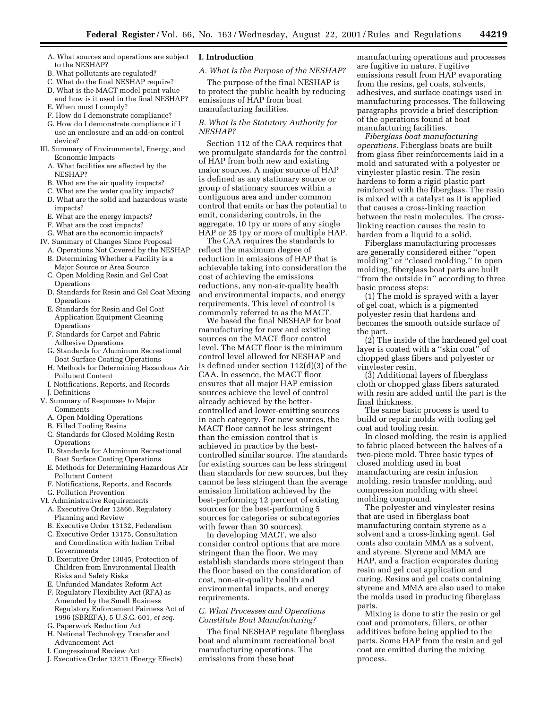- A. What sources and operations are subject to the NESHAP?
- B. What pollutants are regulated?
- C. What do the final NESHAP require?
- D. What is the MACT model point value and how is it used in the final NESHAP? E. When must I comply?
- 
- F. How do I demonstrate compliance? G. How do I demonstrate compliance if I use an enclosure and an add-on control
- device? III. Summary of Environmental, Energy, and
	- Economic Impacts A. What facilities are affected by the NESHAP?
	-
	- B. What are the air quality impacts? C. What are the water quality impacts?
	- D. What are the solid and hazardous waste impacts?
	- E. What are the energy impacts?
	- F. What are the cost impacts?
	- G. What are the economic impacts?
- IV. Summary of Changes Since Proposal
	- A. Operations Not Covered by the NESHAP
	- B. Determining Whether a Facility is a
	- Major Source or Area Source C. Open Molding Resin and Gel Coat **Operations**
	- D. Standards for Resin and Gel Coat Mixing **Operations**
	- E. Standards for Resin and Gel Coat Application Equipment Cleaning Operations
	- F. Standards for Carpet and Fabric Adhesive Operations
	- G. Standards for Aluminum Recreational Boat Surface Coating Operations
	- H. Methods for Determining Hazardous Air Pollutant Content
	- I. Notifications, Reports, and Records
	- J. Definitions
- V. Summary of Responses to Major Comments
	- A. Open Molding Operations
	- B. Filled Tooling Resins
	- C. Standards for Closed Molding Resin **Operations**
	- D. Standards for Aluminum Recreational Boat Surface Coating Operations
	- E. Methods for Determining Hazardous Air Pollutant Content
	- F. Notifications, Reports, and Records
	- G. Pollution Prevention
- VI. Administrative Requirements
	- A. Executive Order 12866, Regulatory Planning and Review
	- B. Executive Order 13132, Federalism
	- C. Executive Order 13175, Consultation and Coordination with Indian Tribal Governments
	- D. Executive Order 13045, Protection of Children from Environmental Health Risks and Safety Risks
	- E. Unfunded Mandates Reform Act
	- F. Regulatory Flexibility Act (RFA) as Amended by the Small Business Regulatory Enforcement Fairness Act of 1996 (SBREFA), 5 U.S.C. 601, *et seq.*
	- G. Paperwork Reduction Act
	- H. National Technology Transfer and Advancement Act
	- I. Congressional Review Act
	- J. Executive Order 13211 (Energy Effects)

## **I. Introduction**

*A. What Is the Purpose of the NESHAP?*

The purpose of the final NESHAP is to protect the public health by reducing emissions of HAP from boat manufacturing facilities.

## *B. What Is the Statutory Authority for NESHAP?*

Section 112 of the CAA requires that we promulgate standards for the control of HAP from both new and existing major sources. A major source of HAP is defined as any stationary source or group of stationary sources within a contiguous area and under common control that emits or has the potential to emit, considering controls, in the aggregate, 10 tpy or more of any single HAP or 25 tpy or more of multiple HAP.

The CAA requires the standards to reflect the maximum degree of reduction in emissions of HAP that is achievable taking into consideration the cost of achieving the emissions reductions, any non-air-quality health and environmental impacts, and energy requirements. This level of control is commonly referred to as the MACT.

We based the final NESHAP for boat manufacturing for new and existing sources on the MACT floor control level. The MACT floor is the minimum control level allowed for NESHAP and is defined under section 112(d)(3) of the CAA. In essence, the MACT floor ensures that all major HAP emission sources achieve the level of control already achieved by the bettercontrolled and lower-emitting sources in each category. For new sources, the MACT floor cannot be less stringent than the emission control that is achieved in practice by the bestcontrolled similar source. The standards for existing sources can be less stringent than standards for new sources, but they cannot be less stringent than the average emission limitation achieved by the best-performing 12 percent of existing sources (or the best-performing 5 sources for categories or subcategories with fewer than 30 sources).

In developing MACT, we also consider control options that are more stringent than the floor. We may establish standards more stringent than the floor based on the consideration of cost, non-air-quality health and environmental impacts, and energy requirements.

## *C. What Processes and Operations Constitute Boat Manufacturing?*

The final NESHAP regulate fiberglass boat and aluminum recreational boat manufacturing operations. The emissions from these boat

manufacturing operations and processes are fugitive in nature. Fugitive emissions result from HAP evaporating from the resins, gel coats, solvents, adhesives, and surface coatings used in manufacturing processes. The following paragraphs provide a brief description of the operations found at boat manufacturing facilities.

*Fiberglass boat manufacturing operations.* Fiberglass boats are built from glass fiber reinforcements laid in a mold and saturated with a polyester or vinylester plastic resin. The resin hardens to form a rigid plastic part reinforced with the fiberglass. The resin is mixed with a catalyst as it is applied that causes a cross-linking reaction between the resin molecules. The crosslinking reaction causes the resin to harden from a liquid to a solid.

Fiberglass manufacturing processes are generally considered either ''open molding'' or ''closed molding.'' In open molding, fiberglass boat parts are built ''from the outside in'' according to three basic process steps:

(1) The mold is sprayed with a layer of gel coat, which is a pigmented polyester resin that hardens and becomes the smooth outside surface of the part.

(2) The inside of the hardened gel coat layer is coated with a ''skin coat'' of chopped glass fibers and polyester or vinylester resin.

(3) Additional layers of fiberglass cloth or chopped glass fibers saturated with resin are added until the part is the final thickness.

The same basic process is used to build or repair molds with tooling gel coat and tooling resin.

In closed molding, the resin is applied to fabric placed between the halves of a two-piece mold. Three basic types of closed molding used in boat manufacturing are resin infusion molding, resin transfer molding, and compression molding with sheet molding compound.

The polyester and vinylester resins that are used in fiberglass boat manufacturing contain styrene as a solvent and a cross-linking agent. Gel coats also contain MMA as a solvent, and styrene. Styrene and MMA are HAP, and a fraction evaporates during resin and gel coat application and curing. Resins and gel coats containing styrene and MMA are also used to make the molds used in producing fiberglass parts.

Mixing is done to stir the resin or gel coat and promoters, fillers, or other additives before being applied to the parts. Some HAP from the resin and gel coat are emitted during the mixing process.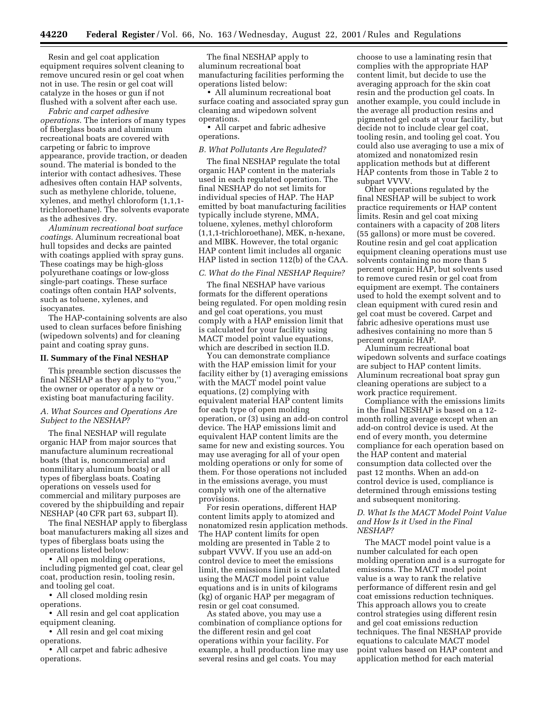Resin and gel coat application equipment requires solvent cleaning to remove uncured resin or gel coat when not in use. The resin or gel coat will catalyze in the hoses or gun if not flushed with a solvent after each use.

*Fabric and carpet adhesive operations*. The interiors of many types of fiberglass boats and aluminum recreational boats are covered with carpeting or fabric to improve appearance, provide traction, or deaden sound. The material is bonded to the interior with contact adhesives. These adhesives often contain HAP solvents, such as methylene chloride, toluene, xylenes, and methyl chloroform (1,1,1 trichloroethane). The solvents evaporate as the adhesives dry.

*Aluminum recreational boat surface coatings*. Aluminum recreational boat hull topsides and decks are painted with coatings applied with spray guns. These coatings may be high-gloss polyurethane coatings or low-gloss single-part coatings. These surface coatings often contain HAP solvents, such as toluene, xylenes, and isocyanates.

The HAP-containing solvents are also used to clean surfaces before finishing (wipedown solvents) and for cleaning paint and coating spray guns.

#### **II. Summary of the Final NESHAP**

This preamble section discusses the final NESHAP as they apply to ''you,'' the owner or operator of a new or existing boat manufacturing facility.

#### *A. What Sources and Operations Are Subject to the NESHAP?*

The final NESHAP will regulate organic HAP from major sources that manufacture aluminum recreational boats (that is, noncommercial and nonmilitary aluminum boats) or all types of fiberglass boats. Coating operations on vessels used for commercial and military purposes are covered by the shipbuilding and repair NESHAP (40 CFR part 63, subpart II).

The final NESHAP apply to fiberglass boat manufacturers making all sizes and types of fiberglass boats using the operations listed below:

• All open molding operations, including pigmented gel coat, clear gel coat, production resin, tooling resin, and tooling gel coat.

• All closed molding resin operations.

• All resin and gel coat application equipment cleaning.

• All resin and gel coat mixing operations.

• All carpet and fabric adhesive operations.

The final NESHAP apply to aluminum recreational boat manufacturing facilities performing the operations listed below:

• All aluminum recreational boat surface coating and associated spray gun cleaning and wipedown solvent operations.

• All carpet and fabric adhesive operations.

#### *B. What Pollutants Are Regulated?*

The final NESHAP regulate the total organic HAP content in the materials used in each regulated operation. The final NESHAP do not set limits for individual species of HAP. The HAP emitted by boat manufacturing facilities typically include styrene, MMA, toluene, xylenes, methyl chloroform (1,1,1-trichloroethane), MEK, n-hexane, and MIBK. However, the total organic HAP content limit includes all organic HAP listed in section 112(b) of the CAA.

#### *C. What do the Final NESHAP Require?*

The final NESHAP have various formats for the different operations being regulated. For open molding resin and gel coat operations, you must comply with a HAP emission limit that is calculated for your facility using MACT model point value equations, which are described in section II.D.

You can demonstrate compliance with the HAP emission limit for your facility either by (1) averaging emissions with the MACT model point value equations, (2) complying with equivalent material HAP content limits for each type of open molding operation, or (3) using an add-on control device. The HAP emissions limit and equivalent HAP content limits are the same for new and existing sources. You may use averaging for all of your open molding operations or only for some of them. For those operations not included in the emissions average, you must comply with one of the alternative provisions.

For resin operations, different HAP content limits apply to atomized and nonatomized resin application methods. The HAP content limits for open molding are presented in Table 2 to subpart VVVV. If you use an add-on control device to meet the emissions limit, the emissions limit is calculated using the MACT model point value equations and is in units of kilograms (kg) of organic HAP per megagram of resin or gel coat consumed.

As stated above, you may use a combination of compliance options for the different resin and gel coat operations within your facility. For example, a hull production line may use several resins and gel coats. You may

choose to use a laminating resin that complies with the appropriate HAP content limit, but decide to use the averaging approach for the skin coat resin and the production gel coats. In another example, you could include in the average all production resins and pigmented gel coats at your facility, but decide not to include clear gel coat, tooling resin, and tooling gel coat. You could also use averaging to use a mix of atomized and nonatomized resin application methods but at different HAP contents from those in Table 2 to subpart VVVV.

Other operations regulated by the final NESHAP will be subject to work practice requirements or HAP content limits. Resin and gel coat mixing containers with a capacity of 208 liters (55 gallons) or more must be covered. Routine resin and gel coat application equipment cleaning operations must use solvents containing no more than 5 percent organic HAP, but solvents used to remove cured resin or gel coat from equipment are exempt. The containers used to hold the exempt solvent and to clean equipment with cured resin and gel coat must be covered. Carpet and fabric adhesive operations must use adhesives containing no more than 5 percent organic HAP.

Aluminum recreational boat wipedown solvents and surface coatings are subject to HAP content limits. Aluminum recreational boat spray gun cleaning operations are subject to a work practice requirement.

Compliance with the emissions limits in the final NESHAP is based on a 12 month rolling average except when an add-on control device is used. At the end of every month, you determine compliance for each operation based on the HAP content and material consumption data collected over the past 12 months. When an add-on control device is used, compliance is determined through emissions testing and subsequent monitoring.

## *D. What Is the MACT Model Point Value and How Is it Used in the Final NESHAP?*

The MACT model point value is a number calculated for each open molding operation and is a surrogate for emissions. The MACT model point value is a way to rank the relative performance of different resin and gel coat emissions reduction techniques. This approach allows you to create control strategies using different resin and gel coat emissions reduction techniques. The final NESHAP provide equations to calculate MACT model point values based on HAP content and application method for each material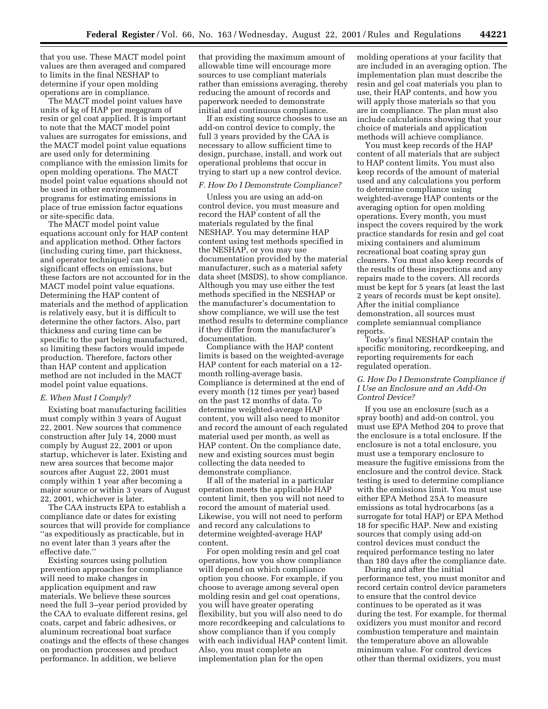that you use. These MACT model point values are then averaged and compared to limits in the final NESHAP to determine if your open molding operations are in compliance.

The MACT model point values have units of kg of HAP per megagram of resin or gel coat applied. It is important to note that the MACT model point values are surrogates for emissions, and the MACT model point value equations are used only for determining compliance with the emission limits for open molding operations. The MACT model point value equations should not be used in other environmental programs for estimating emissions in place of true emission factor equations or site-specific data.

The MACT model point value equations account only for HAP content and application method. Other factors (including curing time, part thickness, and operator technique) can have significant effects on emissions, but these factors are not accounted for in the MACT model point value equations. Determining the HAP content of materials and the method of application is relatively easy, but it is difficult to determine the other factors. Also, part thickness and curing time can be specific to the part being manufactured, so limiting these factors would impede production. Therefore, factors other than HAP content and application method are not included in the MACT model point value equations.

#### *E. When Must I Comply?*

Existing boat manufacturing facilities must comply within 3 years of August 22, 2001. New sources that commence construction after July 14, 2000 must comply by August 22, 2001 or upon startup, whichever is later. Existing and new area sources that become major sources after August 22, 2001 must comply within 1 year after becoming a major source or within 3 years of August 22, 2001, whichever is later.

The CAA instructs EPA to establish a compliance date or dates for existing sources that will provide for compliance ''as expeditiously as practicable, but in no event later than 3 years after the effective date.''

Existing sources using pollution prevention approaches for compliance will need to make changes in application equipment and raw materials. We believe these sources need the full 3–year period provided by the CAA to evaluate different resins, gel coats, carpet and fabric adhesives, or aluminum recreational boat surface coatings and the effects of these changes on production processes and product performance. In addition, we believe

that providing the maximum amount of allowable time will encourage more sources to use compliant materials rather than emissions averaging, thereby reducing the amount of records and paperwork needed to demonstrate initial and continuous compliance.

If an existing source chooses to use an add-on control device to comply, the full 3 years provided by the CAA is necessary to allow sufficient time to design, purchase, install, and work out operational problems that occur in trying to start up a new control device.

#### *F. How Do I Demonstrate Compliance?*

Unless you are using an add-on control device, you must measure and record the HAP content of all the materials regulated by the final NESHAP. You may determine HAP content using test methods specified in the NESHAP, or you may use documentation provided by the material manufacturer, such as a material safety data sheet (MSDS), to show compliance. Although you may use either the test methods specified in the NESHAP or the manufacturer's documentation to show compliance, we will use the test method results to determine compliance if they differ from the manufacturer's documentation.

Compliance with the HAP content limits is based on the weighted-average HAP content for each material on a 12 month rolling-average basis. Compliance is determined at the end of every month (12 times per year) based on the past 12 months of data. To determine weighted-average HAP content, you will also need to monitor and record the amount of each regulated material used per month, as well as HAP content. On the compliance date, new and existing sources must begin collecting the data needed to demonstrate compliance.

If all of the material in a particular operation meets the applicable HAP content limit, then you will not need to record the amount of material used. Likewise, you will not need to perform and record any calculations to determine weighted-average HAP content.

For open molding resin and gel coat operations, how you show compliance will depend on which compliance option you choose. For example, if you choose to average among several open molding resin and gel coat operations, you will have greater operating flexibility, but you will also need to do more recordkeeping and calculations to show compliance than if you comply with each individual HAP content limit. Also, you must complete an implementation plan for the open

molding operations at your facility that are included in an averaging option. The implementation plan must describe the resin and gel coat materials you plan to use, their HAP contents, and how you will apply those materials so that you are in compliance. The plan must also include calculations showing that your choice of materials and application methods will achieve compliance.

You must keep records of the HAP content of all materials that are subject to HAP content limits. You must also keep records of the amount of material used and any calculations you perform to determine compliance using weighted-average HAP contents or the averaging option for open molding operations. Every month, you must inspect the covers required by the work practice standards for resin and gel coat mixing containers and aluminum recreational boat coating spray gun cleaners. You must also keep records of the results of these inspections and any repairs made to the covers. All records must be kept for 5 years (at least the last 2 years of records must be kept onsite). After the initial compliance demonstration, all sources must complete semiannual compliance reports.

Today's final NESHAP contain the specific monitoring, recordkeeping, and reporting requirements for each regulated operation.

## *G. How Do I Demonstrate Compliance if I Use an Enclosure and an Add-On Control Device?*

If you use an enclosure (such as a spray booth) and add-on control, you must use EPA Method 204 to prove that the enclosure is a total enclosure. If the enclosure is not a total enclosure, you must use a temporary enclosure to measure the fugitive emissions from the enclosure and the control device. Stack testing is used to determine compliance with the emissions limit. You must use either EPA Method 25A to measure emissions as total hydrocarbons (as a surrogate for total HAP) or EPA Method 18 for specific HAP. New and existing sources that comply using add-on control devices must conduct the required performance testing no later than 180 days after the compliance date.

During and after the initial performance test, you must monitor and record certain control device parameters to ensure that the control device continues to be operated as it was during the test. For example, for thermal oxidizers you must monitor and record combustion temperature and maintain the temperature above an allowable minimum value. For control devices other than thermal oxidizers, you must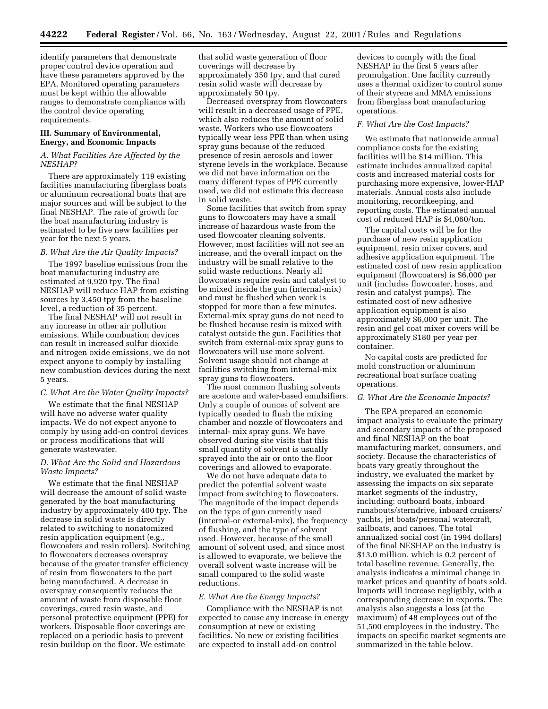identify parameters that demonstrate proper control device operation and have these parameters approved by the EPA. Monitored operating parameters must be kept within the allowable ranges to demonstrate compliance with the control device operating requirements.

## **III. Summary of Environmental, Energy, and Economic Impacts**

## *A. What Facilities Are Affected by the NESHAP?*

There are approximately 119 existing facilities manufacturing fiberglass boats or aluminum recreational boats that are major sources and will be subject to the final NESHAP. The rate of growth for the boat manufacturing industry is estimated to be five new facilities per year for the next 5 years.

#### *B. What Are the Air Quality Impacts?*

The 1997 baseline emissions from the boat manufacturing industry are estimated at 9,920 tpy. The final NESHAP will reduce HAP from existing sources by 3,450 tpy from the baseline level, a reduction of 35 percent.

The final NESHAP will not result in any increase in other air pollution emissions. While combustion devices can result in increased sulfur dioxide and nitrogen oxide emissions, we do not expect anyone to comply by installing new combustion devices during the next 5 years.

## *C. What Are the Water Quality Impacts?*

We estimate that the final NESHAP will have no adverse water quality impacts. We do not expect anyone to comply by using add-on control devices or process modifications that will generate wastewater.

## *D. What Are the Solid and Hazardous Waste Impacts?*

We estimate that the final NESHAP will decrease the amount of solid waste generated by the boat manufacturing industry by approximately 400 tpy. The decrease in solid waste is directly related to switching to nonatomized resin application equipment (e.g., flowcoaters and resin rollers). Switching to flowcoaters decreases overspray because of the greater transfer efficiency of resin from flowcoaters to the part being manufactured. A decrease in overspray consequently reduces the amount of waste from disposable floor coverings, cured resin waste, and personal protective equipment (PPE) for workers. Disposable floor coverings are replaced on a periodic basis to prevent resin buildup on the floor. We estimate

that solid waste generation of floor coverings will decrease by approximately 350 tpy, and that cured resin solid waste will decrease by approximately 50 tpy.

Decreased overspray from flowcoaters will result in a decreased usage of PPE, which also reduces the amount of solid waste. Workers who use flowcoaters typically wear less PPE than when using spray guns because of the reduced presence of resin aerosols and lower styrene levels in the workplace. Because we did not have information on the many different types of PPE currently used, we did not estimate this decrease in solid waste.

Some facilities that switch from spray guns to flowcoaters may have a small increase of hazardous waste from the used flowcoater cleaning solvents. However, most facilities will not see an increase, and the overall impact on the industry will be small relative to the solid waste reductions. Nearly all flowcoaters require resin and catalyst to be mixed inside the gun (internal-mix) and must be flushed when work is stopped for more than a few minutes. External-mix spray guns do not need to be flushed because resin is mixed with catalyst outside the gun. Facilities that switch from external-mix spray guns to flowcoaters will use more solvent. Solvent usage should not change at facilities switching from internal-mix spray guns to flowcoaters.

The most common flushing solvents are acetone and water-based emulsifiers. Only a couple of ounces of solvent are typically needed to flush the mixing chamber and nozzle of flowcoaters and internal- mix spray guns. We have observed during site visits that this small quantity of solvent is usually sprayed into the air or onto the floor coverings and allowed to evaporate.

We do not have adequate data to predict the potential solvent waste impact from switching to flowcoaters. The magnitude of the impact depends on the type of gun currently used (internal-or external-mix), the frequency of flushing, and the type of solvent used. However, because of the small amount of solvent used, and since most is allowed to evaporate, we believe the overall solvent waste increase will be small compared to the solid waste reductions.

#### *E. What Are the Energy Impacts?*

Compliance with the NESHAP is not expected to cause any increase in energy consumption at new or existing facilities. No new or existing facilities are expected to install add-on control

devices to comply with the final NESHAP in the first 5 years after promulgation. One facility currently uses a thermal oxidizer to control some of their styrene and MMA emissions from fiberglass boat manufacturing operations.

#### *F. What Are the Cost Impacts?*

We estimate that nationwide annual compliance costs for the existing facilities will be \$14 million. This estimate includes annualized capital costs and increased material costs for purchasing more expensive, lower-HAP materials. Annual costs also include monitoring, recordkeeping, and reporting costs. The estimated annual cost of reduced HAP is \$4,060/ton.

The capital costs will be for the purchase of new resin application equipment, resin mixer covers, and adhesive application equipment. The estimated cost of new resin application equipment (flowcoaters) is \$6,000 per unit (includes flowcoater, hoses, and resin and catalyst pumps). The estimated cost of new adhesive application equipment is also approximately \$6,000 per unit. The resin and gel coat mixer covers will be approximately \$180 per year per container.

No capital costs are predicted for mold construction or aluminum recreational boat surface coating operations.

## *G. What Are the Economic Impacts?*

The EPA prepared an economic impact analysis to evaluate the primary and secondary impacts of the proposed and final NESHAP on the boat manufacturing market, consumers, and society. Because the characteristics of boats vary greatly throughout the industry, we evaluated the market by assessing the impacts on six separate market segments of the industry, including: outboard boats, inboard runabouts/sterndrive, inboard cruisers/ yachts, jet boats/personal watercraft, sailboats, and canoes. The total annualized social cost (in 1994 dollars) of the final NESHAP on the industry is \$13.0 million, which is 0.2 percent of total baseline revenue. Generally, the analysis indicates a minimal change in market prices and quantity of boats sold. Imports will increase negligibly, with a corresponding decrease in exports. The analysis also suggests a loss (at the maximum) of 48 employees out of the 51,500 employees in the industry. The impacts on specific market segments are summarized in the table below.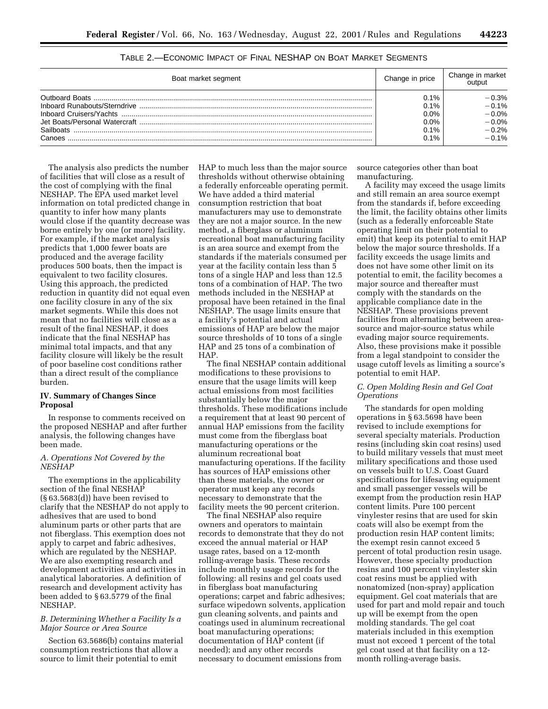| Boat market segment | Change in price                              | Change in market<br>output                                  |
|---------------------|----------------------------------------------|-------------------------------------------------------------|
| Canoes              | 0.1%<br>0.1%<br>0.0%<br>0.0%<br>0.1%<br>0.1% | 0.3%<br>$-0.1%$<br>$-0.0%$<br>$-0.0%$<br>$-0.2%$<br>$-0.1%$ |

TABLE 2.—ECONOMIC IMPACT OF FINAL NESHAP ON BOAT MARKET SEGMENTS

The analysis also predicts the number of facilities that will close as a result of the cost of complying with the final NESHAP. The EPA used market level information on total predicted change in quantity to infer how many plants would close if the quantity decrease was borne entirely by one (or more) facility. For example, if the market analysis predicts that 1,000 fewer boats are produced and the average facility produces 500 boats, then the impact is equivalent to two facility closures. Using this approach, the predicted reduction in quantity did not equal even one facility closure in any of the six market segments. While this does not mean that no facilities will close as a result of the final NESHAP, it does indicate that the final NESHAP has minimal total impacts, and that any facility closure will likely be the result of poor baseline cost conditions rather than a direct result of the compliance burden.

## **IV. Summary of Changes Since Proposal**

In response to comments received on the proposed NESHAP and after further analysis, the following changes have been made.

## *A. Operations Not Covered by the NESHAP*

The exemptions in the applicability section of the final NESHAP (§ 63.5683(d)) have been revised to clarify that the NESHAP do not apply to adhesives that are used to bond aluminum parts or other parts that are not fiberglass. This exemption does not apply to carpet and fabric adhesives, which are regulated by the NESHAP. We are also exempting research and development activities and activities in analytical laboratories. A definition of research and development activity has been added to § 63.5779 of the final NESHAP.

## *B. Determining Whether a Facility Is a Major Source or Area Source*

Section 63.5686(b) contains material consumption restrictions that allow a source to limit their potential to emit

HAP to much less than the major source thresholds without otherwise obtaining a federally enforceable operating permit. We have added a third material consumption restriction that boat manufacturers may use to demonstrate they are not a major source. In the new method, a fiberglass or aluminum recreational boat manufacturing facility is an area source and exempt from the standards if the materials consumed per year at the facility contain less than 5 tons of a single HAP and less than 12.5 tons of a combination of HAP. The two methods included in the NESHAP at proposal have been retained in the final NESHAP. The usage limits ensure that a facility's potential and actual emissions of HAP are below the major source thresholds of 10 tons of a single HAP and 25 tons of a combination of HAP.

The final NESHAP contain additional modifications to these provisions to ensure that the usage limits will keep actual emissions from most facilities substantially below the major thresholds. These modifications include a requirement that at least 90 percent of annual HAP emissions from the facility must come from the fiberglass boat manufacturing operations or the aluminum recreational boat manufacturing operations. If the facility has sources of HAP emissions other than these materials, the owner or operator must keep any records necessary to demonstrate that the facility meets the 90 percent criterion.

The final NESHAP also require owners and operators to maintain records to demonstrate that they do not exceed the annual material or HAP usage rates, based on a 12-month rolling-average basis. These records include monthly usage records for the following: all resins and gel coats used in fiberglass boat manufacturing operations; carpet and fabric adhesives; surface wipedown solvents, application gun cleaning solvents, and paints and coatings used in aluminum recreational boat manufacturing operations; documentation of HAP content (if needed); and any other records necessary to document emissions from

source categories other than boat manufacturing.

A facility may exceed the usage limits and still remain an area source exempt from the standards if, before exceeding the limit, the facility obtains other limits (such as a federally enforceable State operating limit on their potential to emit) that keep its potential to emit HAP below the major source thresholds. If a facility exceeds the usage limits and does not have some other limit on its potential to emit, the facility becomes a major source and thereafter must comply with the standards on the applicable compliance date in the NESHAP. These provisions prevent facilities from alternating between areasource and major-source status while evading major source requirements. Also, these provisions make it possible from a legal standpoint to consider the usage cutoff levels as limiting a source's potential to emit HAP.

#### *C. Open Molding Resin and Gel Coat Operations*

The standards for open molding operations in § 63.5698 have been revised to include exemptions for several specialty materials. Production resins (including skin coat resins) used to build military vessels that must meet military specifications and those used on vessels built to U.S. Coast Guard specifications for lifesaving equipment and small passenger vessels will be exempt from the production resin HAP content limits. Pure 100 percent vinylester resins that are used for skin coats will also be exempt from the production resin HAP content limits; the exempt resin cannot exceed 5 percent of total production resin usage. However, these specialty production resins and 100 percent vinylester skin coat resins must be applied with nonatomized (non-spray) application equipment. Gel coat materials that are used for part and mold repair and touch up will be exempt from the open molding standards. The gel coat materials included in this exemption must not exceed 1 percent of the total gel coat used at that facility on a 12 month rolling-average basis.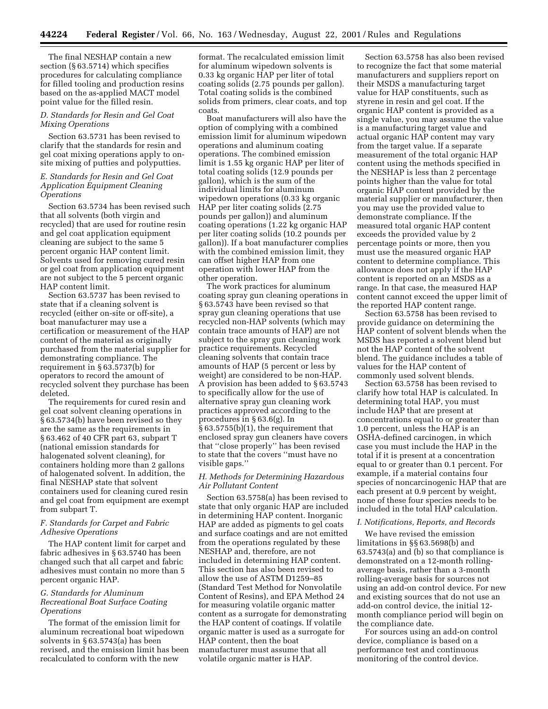The final NESHAP contain a new section (§ 63.5714) which specifies procedures for calculating compliance for filled tooling and production resins based on the as-applied MACT model point value for the filled resin.

## *D. Standards for Resin and Gel Coat Mixing Operations*

Section 63.5731 has been revised to clarify that the standards for resin and gel coat mixing operations apply to onsite mixing of putties and polyputties.

## *E. Standards for Resin and Gel Coat Application Equipment Cleaning Operations*

Section 63.5734 has been revised such that all solvents (both virgin and recycled) that are used for routine resin and gel coat application equipment cleaning are subject to the same 5 percent organic HAP content limit. Solvents used for removing cured resin or gel coat from application equipment are not subject to the 5 percent organic HAP content limit.

Section 63.5737 has been revised to state that if a cleaning solvent is recycled (either on-site or off-site), a boat manufacturer may use a certification or measurement of the HAP content of the material as originally purchased from the material supplier for demonstrating compliance. The requirement in § 63.5737(b) for operators to record the amount of recycled solvent they purchase has been deleted.

The requirements for cured resin and gel coat solvent cleaning operations in § 63.5734(b) have been revised so they are the same as the requirements in § 63.462 of 40 CFR part 63, subpart T (national emission standards for halogenated solvent cleaning), for containers holding more than 2 gallons of halogenated solvent. In addition, the final NESHAP state that solvent containers used for cleaning cured resin and gel coat from equipment are exempt from subpart T.

## *F. Standards for Carpet and Fabric Adhesive Operations*

The HAP content limit for carpet and fabric adhesives in § 63.5740 has been changed such that all carpet and fabric adhesives must contain no more than 5 percent organic HAP.

## *G. Standards for Aluminum Recreational Boat Surface Coating Operations*

The format of the emission limit for aluminum recreational boat wipedown solvents in § 63.5743(a) has been revised, and the emission limit has been recalculated to conform with the new

format. The recalculated emission limit for aluminum wipedown solvents is 0.33 kg organic HAP per liter of total coating solids (2.75 pounds per gallon). Total coating solids is the combined solids from primers, clear coats, and top coats.

Boat manufacturers will also have the option of complying with a combined emission limit for aluminum wipedown operations and aluminum coating operations. The combined emission limit is 1.55 kg organic HAP per liter of total coating solids (12.9 pounds per gallon), which is the sum of the individual limits for aluminum wipedown operations (0.33 kg organic HAP per liter coating solids (2.75 pounds per gallon)) and aluminum coating operations (1.22 kg organic HAP per liter coating solids (10.2 pounds per gallon)). If a boat manufacturer complies with the combined emission limit, they can offset higher HAP from one operation with lower HAP from the other operation.

The work practices for aluminum coating spray gun cleaning operations in § 63.5743 have been revised so that spray gun cleaning operations that use recycled non-HAP solvents (which may contain trace amounts of HAP) are not subject to the spray gun cleaning work practice requirements. Recycled cleaning solvents that contain trace amounts of HAP (5 percent or less by weight) are considered to be non-HAP. A provision has been added to § 63.5743 to specifically allow for the use of alternative spray gun cleaning work practices approved according to the procedures in § 63.6(g). In § 63.5755(b)(1), the requirement that enclosed spray gun cleaners have covers that ''close properly'' has been revised to state that the covers ''must have no visible gaps.''

## *H. Methods for Determining Hazardous Air Pollutant Content*

Section 63.5758(a) has been revised to state that only organic HAP are included in determining HAP content. Inorganic HAP are added as pigments to gel coats and surface coatings and are not emitted from the operations regulated by these NESHAP and, therefore, are not included in determining HAP content. This section has also been revised to allow the use of ASTM D1259–85 (Standard Test Method for Nonvolatile Content of Resins), and EPA Method 24 for measuring volatile organic matter content as a surrogate for demonstrating the HAP content of coatings. If volatile organic matter is used as a surrogate for HAP content, then the boat manufacturer must assume that all volatile organic matter is HAP.

Section 63.5758 has also been revised to recognize the fact that some material manufacturers and suppliers report on their MSDS a manufacturing target value for HAP constituents, such as styrene in resin and gel coat. If the organic HAP content is provided as a single value, you may assume the value is a manufacturing target value and actual organic HAP content may vary from the target value. If a separate measurement of the total organic HAP content using the methods specified in the NESHAP is less than 2 percentage points higher than the value for total organic HAP content provided by the material supplier or manufacturer, then you may use the provided value to demonstrate compliance. If the measured total organic HAP content exceeds the provided value by 2 percentage points or more, then you must use the measured organic HAP content to determine compliance. This allowance does not apply if the HAP content is reported on an MSDS as a range. In that case, the measured HAP content cannot exceed the upper limit of the reported HAP content range.

Section 63.5758 has been revised to provide guidance on determining the HAP content of solvent blends when the MSDS has reported a solvent blend but not the HAP content of the solvent blend. The guidance includes a table of values for the HAP content of commonly used solvent blends.

Section 63.5758 has been revised to clarify how total HAP is calculated. In determining total HAP, you must include HAP that are present at concentrations equal to or greater than 1.0 percent, unless the HAP is an OSHA-defined carcinogen, in which case you must include the HAP in the total if it is present at a concentration equal to or greater than 0.1 percent. For example, if a material contains four species of noncarcinogenic HAP that are each present at 0.9 percent by weight, none of these four species needs to be included in the total HAP calculation.

## *I. Notifications, Reports, and Records*

We have revised the emission limitations in §§ 63.5698(b) and 63.5743(a) and (b) so that compliance is demonstrated on a 12-month rollingaverage basis, rather than a 3-month rolling-average basis for sources not using an add-on control device. For new and existing sources that do not use an add-on control device, the initial 12 month compliance period will begin on the compliance date.

For sources using an add-on control device, compliance is based on a performance test and continuous monitoring of the control device.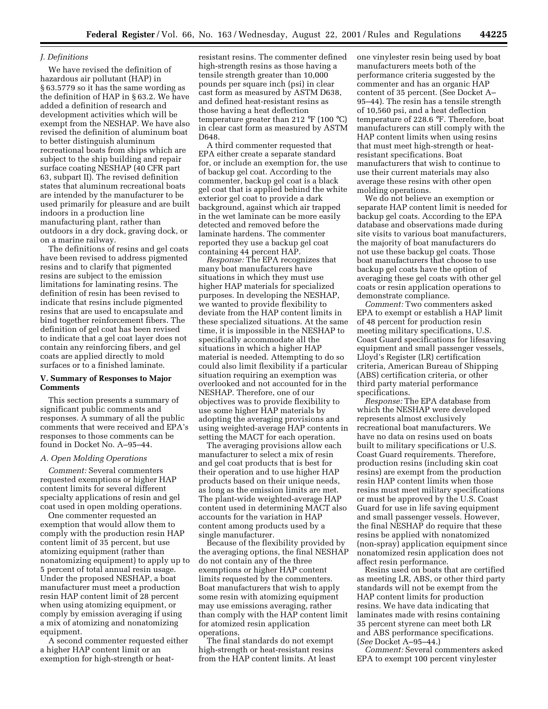## *J. Definitions*

We have revised the definition of hazardous air pollutant (HAP) in § 63.5779 so it has the same wording as the definition of HAP in § 63.2. We have added a definition of research and development activities which will be exempt from the NESHAP. We have also revised the definition of aluminum boat to better distinguish aluminum recreational boats from ships which are subject to the ship building and repair surface coating NESHAP (40 CFR part 63, subpart II). The revised definition states that aluminum recreational boats are intended by the manufacturer to be used primarily for pleasure and are built indoors in a production line manufacturing plant, rather than outdoors in a dry dock, graving dock, or on a marine railway.

The definitions of resins and gel coats have been revised to address pigmented resins and to clarify that pigmented resins are subject to the emission limitations for laminating resins. The definition of resin has been revised to indicate that resins include pigmented resins that are used to encapsulate and bind together reinforcement fibers. The definition of gel coat has been revised to indicate that a gel coat layer does not contain any reinforcing fibers, and gel coats are applied directly to mold surfaces or to a finished laminate.

## **V. Summary of Responses to Major Comments**

This section presents a summary of significant public comments and responses. A summary of all the public comments that were received and EPA's responses to those comments can be found in Docket No. A–95–44.

## *A. Open Molding Operations*

*Comment:* Several commenters requested exemptions or higher HAP content limits for several different specialty applications of resin and gel coat used in open molding operations.

One commenter requested an exemption that would allow them to comply with the production resin HAP content limit of 35 percent, but use atomizing equipment (rather than nonatomizing equipment) to apply up to 5 percent of total annual resin usage. Under the proposed NESHAP, a boat manufacturer must meet a production resin HAP content limit of 28 percent when using atomizing equipment, or comply by emission averaging if using a mix of atomizing and nonatomizing equipment.

A second commenter requested either a higher HAP content limit or an exemption for high-strength or heatresistant resins. The commenter defined high-strength resins as those having a tensile strength greater than 10,000 pounds per square inch (psi) in clear cast form as measured by ASTM D638, and defined heat-resistant resins as those having a heat deflection temperature greater than 212 °F (100 °C) in clear cast form as measured by ASTM D648.

A third commenter requested that EPA either create a separate standard for, or include an exemption for, the use of backup gel coat. According to the commenter, backup gel coat is a black gel coat that is applied behind the white exterior gel coat to provide a dark background, against which air trapped in the wet laminate can be more easily detected and removed before the laminate hardens. The commenter reported they use a backup gel coat containing 44 percent HAP.

*Response:* The EPA recognizes that many boat manufacturers have situations in which they must use higher HAP materials for specialized purposes. In developing the NESHAP, we wanted to provide flexibility to deviate from the HAP content limits in these specialized situations. At the same time, it is impossible in the NESHAP to specifically accommodate all the situations in which a higher HAP material is needed. Attempting to do so could also limit flexibility if a particular situation requiring an exemption was overlooked and not accounted for in the NESHAP. Therefore, one of our objectives was to provide flexibility to use some higher HAP materials by adopting the averaging provisions and using weighted-average HAP contents in setting the MACT for each operation.

The averaging provisions allow each manufacturer to select a mix of resin and gel coat products that is best for their operation and to use higher HAP products based on their unique needs, as long as the emission limits are met. The plant-wide weighted-average HAP content used in determining MACT also accounts for the variation in HAP content among products used by a single manufacturer.

Because of the flexibility provided by the averaging options, the final NESHAP do not contain any of the three exemptions or higher HAP content limits requested by the commenters. Boat manufacturers that wish to apply some resin with atomizing equipment may use emissions averaging, rather than comply with the HAP content limit for atomized resin application operations.

The final standards do not exempt high-strength or heat-resistant resins from the HAP content limits. At least one vinylester resin being used by boat manufacturers meets both of the performance criteria suggested by the commenter and has an organic HAP content of 35 percent. (See Docket A– 95–44). The resin has a tensile strength of 10,560 psi, and a heat deflection temperature of 228.6 °F. Therefore, boat manufacturers can still comply with the HAP content limits when using resins that must meet high-strength or heatresistant specifications. Boat manufacturers that wish to continue to use their current materials may also average these resins with other open molding operations.

We do not believe an exemption or separate HAP content limit is needed for backup gel coats. According to the EPA database and observations made during site visits to various boat manufacturers, the majority of boat manufacturers do not use these backup gel coats. Those boat manufacturers that choose to use backup gel coats have the option of averaging these gel coats with other gel coats or resin application operations to demonstrate compliance.

*Comment:* Two commenters asked EPA to exempt or establish a HAP limit of 48 percent for production resin meeting military specifications, U.S. Coast Guard specifications for lifesaving equipment and small passenger vessels, Lloyd's Register (LR) certification criteria, American Bureau of Shipping (ABS) certification criteria, or other third party material performance specifications.

*Response:* The EPA database from which the NESHAP were developed represents almost exclusively recreational boat manufacturers. We have no data on resins used on boats built to military specifications or U.S. Coast Guard requirements. Therefore, production resins (including skin coat resins) are exempt from the production resin HAP content limits when those resins must meet military specifications or must be approved by the U.S. Coast Guard for use in life saving equipment and small passenger vessels. However, the final NESHAP do require that these resins be applied with nonatomized (non-spray) application equipment since nonatomized resin application does not affect resin performance.

Resins used on boats that are certified as meeting LR, ABS, or other third party standards will not be exempt from the HAP content limits for production resins. We have data indicating that laminates made with resins containing 35 percent styrene can meet both LR and ABS performance specifications. (*See* Docket A–95–44.)

*Comment:* Several commenters asked EPA to exempt 100 percent vinylester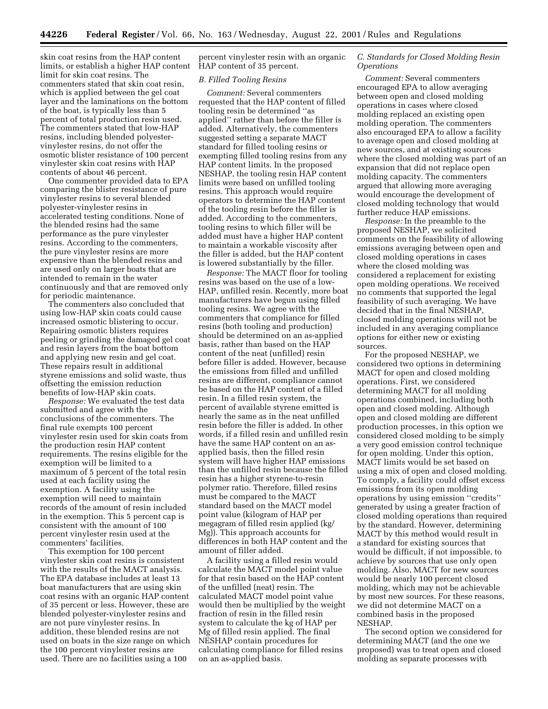skin coat resins from the HAP content limits, or establish a higher HAP content limit for skin coat resins. The commenters stated that skin coat resin, which is applied between the gel coat layer and the laminations on the bottom of the boat, is typically less than 5 percent of total production resin used. The commenters stated that low-HAP resins, including blended polyestervinylester resins, do not offer the osmotic blister resistance of 100 percent vinylester skin coat resins with HAP contents of about 46 percent.

One commenter provided data to EPA comparing the blister resistance of pure vinylester resins to several blended polyester-vinylester resins in accelerated testing conditions. None of the blended resins had the same performance as the pure vinylester resins. According to the commenters, the pure vinylester resins are more expensive than the blended resins and are used only on larger boats that are intended to remain in the water continuously and that are removed only for periodic maintenance.

The commenters also concluded that using low-HAP skin coats could cause increased osmotic blistering to occur. Repairing osmotic blisters requires peeling or grinding the damaged gel coat and resin layers from the boat bottom and applying new resin and gel coat. These repairs result in additional styrene emissions and solid waste, thus offsetting the emission reduction benefits of low-HAP skin coats.

*Response:* We evaluated the test data submitted and agree with the conclusions of the commenters. The final rule exempts 100 percent vinylester resin used for skin coats from the production resin HAP content requirements. The resins eligible for the exemption will be limited to a maximum of 5 percent of the total resin used at each facility using the exemption. A facility using the exemption will need to maintain records of the amount of resin included in the exemption. This 5 percent cap is consistent with the amount of 100 percent vinylester resin used at the commenters' facilities.

This exemption for 100 percent vinylester skin coat resins is consistent with the results of the MACT analysis. The EPA database includes at least 13 boat manufacturers that are using skin coat resins with an organic HAP content of 35 percent or less. However, these are blended polyester-vinylester resins and are not pure vinylester resins. In addition, these blended resins are not used on boats in the size range on which the 100 percent vinylester resins are used. There are no facilities using a 100

percent vinylester resin with an organic HAP content of 35 percent.

#### *B. Filled Tooling Resins*

*Comment:* Several commenters requested that the HAP content of filled tooling resin be determined ''as applied'' rather than before the filler is added. Alternatively, the commenters suggested setting a separate MACT standard for filled tooling resins or exempting filled tooling resins from any HAP content limits. In the proposed NESHAP, the tooling resin HAP content limits were based on unfilled tooling resins. This approach would require operators to determine the HAP content of the tooling resin before the filler is added. According to the commenters, tooling resins to which filler will be added must have a higher HAP content to maintain a workable viscosity after the filler is added, but the HAP content is lowered substantially by the filler.

*Response:* The MACT floor for tooling resins was based on the use of a low-HAP, unfilled resin. Recently, more boat manufacturers have begun using filled tooling resins. We agree with the commenters that compliance for filled resins (both tooling and production) should be determined on an as-applied basis, rather than based on the HAP content of the neat (unfilled) resin before filler is added. However, because the emissions from filled and unfilled resins are different, compliance cannot be based on the HAP content of a filled resin. In a filled resin system, the percent of available styrene emitted is nearly the same as in the neat unfilled resin before the filler is added. In other words, if a filled resin and unfilled resin have the same HAP content on an asapplied basis, then the filled resin system will have higher HAP emissions than the unfilled resin because the filled resin has a higher styrene-to-resin polymer ratio. Therefore, filled resins must be compared to the MACT standard based on the MACT model point value (kilogram of HAP per megagram of filled resin applied (kg/ Mg)). This approach accounts for differences in both HAP content and the amount of filler added.

A facility using a filled resin would calculate the MACT model point value for that resin based on the HAP content of the unfilled (neat) resin. The calculated MACT model point value would then be multiplied by the weight fraction of resin in the filled resin system to calculate the kg of HAP per Mg of filled resin applied. The final NESHAP contain procedures for calculating compliance for filled resins on an as-applied basis.

## *C. Standards for Closed Molding Resin Operations*

*Comment:* Several commenters encouraged EPA to allow averaging between open and closed molding operations in cases where closed molding replaced an existing open molding operation. The commenters also encouraged EPA to allow a facility to average open and closed molding at new sources, and at existing sources where the closed molding was part of an expansion that did not replace open molding capacity. The commenters argued that allowing more averaging would encourage the development of closed molding technology that would further reduce HAP emissions.

*Response:* In the preamble to the proposed NESHAP, we solicited comments on the feasibility of allowing emissions averaging between open and closed molding operations in cases where the closed molding was considered a replacement for existing open molding operations. We received no comments that supported the legal feasibility of such averaging. We have decided that in the final NESHAP, closed molding operations will not be included in any averaging compliance options for either new or existing sources.

For the proposed NESHAP, we considered two options in determining MACT for open and closed molding operations. First, we considered determining MACT for all molding operations combined, including both open and closed molding. Although open and closed molding are different production processes, in this option we considered closed molding to be simply a very good emission control technique for open molding. Under this option, MACT limits would be set based on using a mix of open and closed molding. To comply, a facility could offset excess emissions from its open molding operations by using emission ''credits'' generated by using a greater fraction of closed molding operations than required by the standard. However, determining MACT by this method would result in a standard for existing sources that would be difficult, if not impossible, to achieve by sources that use only open molding. Also, MACT for new sources would be nearly 100 percent closed molding, which may not be achievable by most new sources. For these reasons, we did not determine MACT on a combined basis in the proposed NESHAP.

The second option we considered for determining MACT (and the one we proposed) was to treat open and closed molding as separate processes with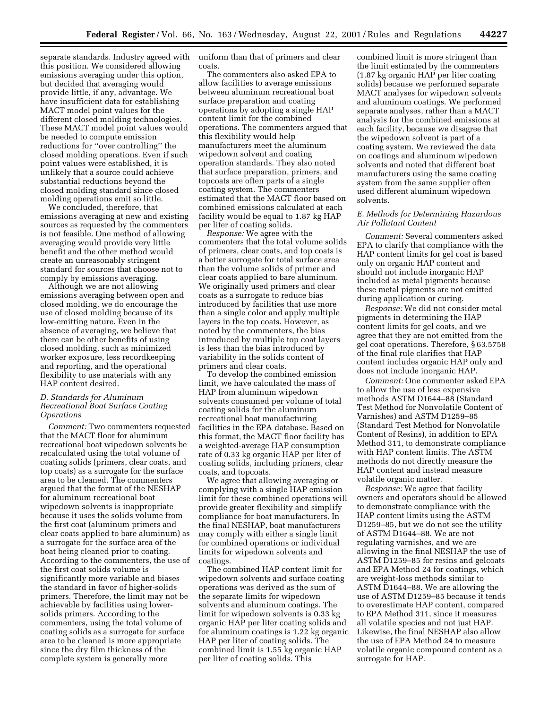separate standards. Industry agreed with this position. We considered allowing emissions averaging under this option, but decided that averaging would provide little, if any, advantage. We have insufficient data for establishing MACT model point values for the different closed molding technologies. These MACT model point values would be needed to compute emission reductions for ''over controlling'' the closed molding operations. Even if such point values were established, it is unlikely that a source could achieve substantial reductions beyond the closed molding standard since closed molding operations emit so little.

We concluded, therefore, that emissions averaging at new and existing sources as requested by the commenters is not feasible. One method of allowing averaging would provide very little benefit and the other method would create an unreasonably stringent standard for sources that choose not to comply by emissions averaging.

Although we are not allowing emissions averaging between open and closed molding, we do encourage the use of closed molding because of its low-emitting nature. Even in the absence of averaging, we believe that there can be other benefits of using closed molding, such as minimized worker exposure, less recordkeeping and reporting, and the operational flexibility to use materials with any HAP content desired.

## *D. Standards for Aluminum Recreational Boat Surface Coating Operations*

*Comment:* Two commenters requested that the MACT floor for aluminum recreational boat wipedown solvents be recalculated using the total volume of coating solids (primers, clear coats, and top coats) as a surrogate for the surface area to be cleaned. The commenters argued that the format of the NESHAP for aluminum recreational boat wipedown solvents is inappropriate because it uses the solids volume from the first coat (aluminum primers and clear coats applied to bare aluminum) as a surrogate for the surface area of the boat being cleaned prior to coating. According to the commenters, the use of the first coat solids volume is significantly more variable and biases the standard in favor of higher-solids primers. Therefore, the limit may not be achievable by facilities using lowersolids primers. According to the commenters, using the total volume of coating solids as a surrogate for surface area to be cleaned is more appropriate since the dry film thickness of the complete system is generally more

uniform than that of primers and clear coats.

The commenters also asked EPA to allow facilities to average emissions between aluminum recreational boat surface preparation and coating operations by adopting a single HAP content limit for the combined operations. The commenters argued that this flexibility would help manufacturers meet the aluminum wipedown solvent and coating operation standards. They also noted that surface preparation, primers, and topcoats are often parts of a single coating system. The commenters estimated that the MACT floor based on combined emissions calculated at each facility would be equal to 1.87 kg HAP per liter of coating solids.

*Response:* We agree with the commenters that the total volume solids of primers, clear coats, and top coats is a better surrogate for total surface area than the volume solids of primer and clear coats applied to bare aluminum. We originally used primers and clear coats as a surrogate to reduce bias introduced by facilities that use more than a single color and apply multiple layers in the top coats. However, as noted by the commenters, the bias introduced by multiple top coat layers is less than the bias introduced by variability in the solids content of primers and clear coats.

To develop the combined emission limit, we have calculated the mass of HAP from aluminum wipedown solvents consumed per volume of total coating solids for the aluminum recreational boat manufacturing facilities in the EPA database. Based on this format, the MACT floor facility has a weighted-average HAP consumption rate of 0.33 kg organic HAP per liter of coating solids, including primers, clear coats, and topcoats.

We agree that allowing averaging or complying with a single HAP emission limit for these combined operations will provide greater flexibility and simplify compliance for boat manufacturers. In the final NESHAP, boat manufacturers may comply with either a single limit for combined operations or individual limits for wipedown solvents and coatings.

The combined HAP content limit for wipedown solvents and surface coating operations was derived as the sum of the separate limits for wipedown solvents and aluminum coatings. The limit for wipedown solvents is 0.33 kg organic HAP per liter coating solids and for aluminum coatings is 1.22 kg organic HAP per liter of coating solids. The combined limit is 1.55 kg organic HAP per liter of coating solids. This

combined limit is more stringent than the limit estimated by the commenters (1.87 kg organic HAP per liter coating solids) because we performed separate MACT analyses for wipedown solvents and aluminum coatings. We performed separate analyses, rather than a MACT analysis for the combined emissions at each facility, because we disagree that the wipedown solvent is part of a coating system. We reviewed the data on coatings and aluminum wipedown solvents and noted that different boat manufacturers using the same coating system from the same supplier often used different aluminum wipedown solvents.

#### *E. Methods for Determining Hazardous Air Pollutant Content*

*Comment:* Several commenters asked EPA to clarify that compliance with the HAP content limits for gel coat is based only on organic HAP content and should not include inorganic HAP included as metal pigments because these metal pigments are not emitted during application or curing.

*Response:* We did not consider metal pigments in determining the HAP content limits for gel coats, and we agree that they are not emitted from the gel coat operations. Therefore, § 63.5758 of the final rule clarifies that HAP content includes organic HAP only and does not include inorganic HAP.

*Comment:* One commenter asked EPA to allow the use of less expensive methods ASTM D1644–88 (Standard Test Method for Nonvolatile Content of Varnishes) and ASTM D1259–85 (Standard Test Method for Nonvolatile Content of Resins), in addition to EPA Method 311, to demonstrate compliance with HAP content limits. The ASTM methods do not directly measure the HAP content and instead measure volatile organic matter.

*Response:* We agree that facility owners and operators should be allowed to demonstrate compliance with the HAP content limits using the ASTM D1259–85, but we do not see the utility of ASTM D1644–88. We are not regulating varnishes, and we are allowing in the final NESHAP the use of ASTM D1259–85 for resins and gelcoats and EPA Method 24 for coatings, which are weight-loss methods similar to ASTM D1644–88. We are allowing the use of ASTM D1259–85 because it tends to overestimate HAP content, compared to EPA Method 311, since it measures all volatile species and not just HAP. Likewise, the final NESHAP also allow the use of EPA Method 24 to measure volatile organic compound content as a surrogate for HAP.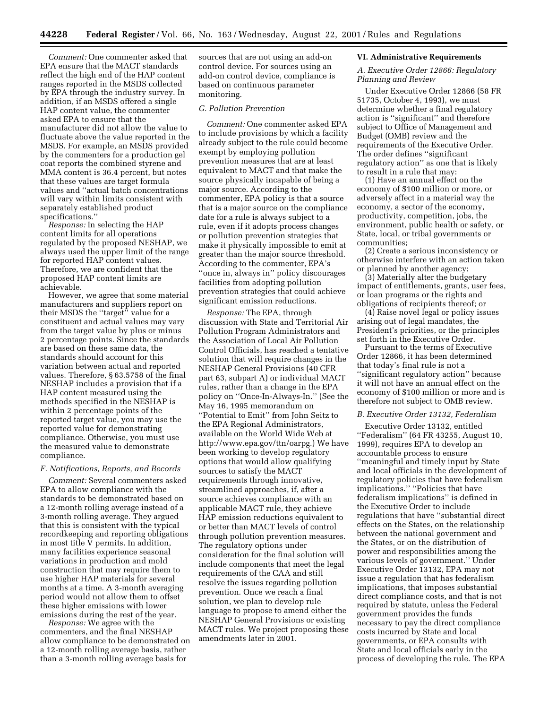*Comment:* One commenter asked that EPA ensure that the MACT standards reflect the high end of the HAP content ranges reported in the MSDS collected by EPA through the industry survey. In addition, if an MSDS offered a single HAP content value, the commenter asked EPA to ensure that the manufacturer did not allow the value to fluctuate above the value reported in the MSDS. For example, an MSDS provided by the commenters for a production gel coat reports the combined styrene and MMA content is 36.4 percent, but notes that these values are target formula values and ''actual batch concentrations will vary within limits consistent with separately established product specifications.''

*Response:* In selecting the HAP content limits for all operations regulated by the proposed NESHAP, we always used the upper limit of the range for reported HAP content values. Therefore, we are confident that the proposed HAP content limits are achievable.

However, we agree that some material manufacturers and suppliers report on their MSDS the ''target'' value for a constituent and actual values may vary from the target value by plus or minus 2 percentage points. Since the standards are based on these same data, the standards should account for this variation between actual and reported values. Therefore, § 63.5758 of the final NESHAP includes a provision that if a HAP content measured using the methods specified in the NESHAP is within 2 percentage points of the reported target value, you may use the reported value for demonstrating compliance. Otherwise, you must use the measured value to demonstrate compliance.

#### *F. Notifications, Reports, and Records*

*Comment:* Several commenters asked EPA to allow compliance with the standards to be demonstrated based on a 12-month rolling average instead of a 3-month rolling average. They argued that this is consistent with the typical recordkeeping and reporting obligations in most title V permits. In addition, many facilities experience seasonal variations in production and mold construction that may require them to use higher HAP materials for several months at a time. A 3-month averaging period would not allow them to offset these higher emissions with lower emissions during the rest of the year.

*Response:* We agree with the commenters, and the final NESHAP allow compliance to be demonstrated on a 12-month rolling average basis, rather than a 3-month rolling average basis for

sources that are not using an add-on control device. For sources using an add-on control device, compliance is based on continuous parameter monitoring.

## *G. Pollution Prevention*

*Comment:* One commenter asked EPA to include provisions by which a facility already subject to the rule could become exempt by employing pollution prevention measures that are at least equivalent to MACT and that make the source physically incapable of being a major source. According to the commenter, EPA policy is that a source that is a major source on the compliance date for a rule is always subject to a rule, even if it adopts process changes or pollution prevention strategies that make it physically impossible to emit at greater than the major source threshold. According to the commenter, EPA's ''once in, always in'' policy discourages facilities from adopting pollution prevention strategies that could achieve significant emission reductions.

*Response:* The EPA, through discussion with State and Territorial Air Pollution Program Administrators and the Association of Local Air Pollution Control Officials, has reached a tentative solution that will require changes in the NESHAP General Provisions (40 CFR part 63, subpart A) or individual MACT rules, rather than a change in the EPA policy on ''Once-In-Always-In.'' (See the May 16, 1995 memorandum on ''Potential to Emit'' from John Seitz to the EPA Regional Administrators, available on the World Wide Web at http://www.epa.gov/ttn/oarpg.) We have been working to develop regulatory options that would allow qualifying sources to satisfy the MACT requirements through innovative, streamlined approaches, if, after a source achieves compliance with an applicable MACT rule, they achieve HAP emission reductions equivalent to or better than MACT levels of control through pollution prevention measures. The regulatory options under consideration for the final solution will include components that meet the legal requirements of the CAA and still resolve the issues regarding pollution prevention. Once we reach a final solution, we plan to develop rule language to propose to amend either the NESHAP General Provisions or existing MACT rules. We project proposing these amendments later in 2001.

#### **VI. Administrative Requirements**

## *A. Executive Order 12866: Regulatory Planning and Review*

Under Executive Order 12866 (58 FR 51735, October 4, 1993), we must determine whether a final regulatory action is ''significant'' and therefore subject to Office of Management and Budget (OMB) review and the requirements of the Executive Order. The order defines ''significant regulatory action'' as one that is likely to result in a rule that may:

(1) Have an annual effect on the economy of \$100 million or more, or adversely affect in a material way the economy, a sector of the economy, productivity, competition, jobs, the environment, public health or safety, or State, local, or tribal governments or communities;

(2) Create a serious inconsistency or otherwise interfere with an action taken or planned by another agency;

(3) Materially alter the budgetary impact of entitlements, grants, user fees, or loan programs or the rights and obligations of recipients thereof; or

(4) Raise novel legal or policy issues arising out of legal mandates, the President's priorities, or the principles set forth in the Executive Order.

Pursuant to the terms of Executive Order 12866, it has been determined that today's final rule is not a ''significant regulatory action'' because it will not have an annual effect on the economy of \$100 million or more and is therefore not subject to OMB review.

## *B. Executive Order 13132, Federalism*

Executive Order 13132, entitled ''Federalism'' (64 FR 43255, August 10, 1999), requires EPA to develop an accountable process to ensure ''meaningful and timely input by State and local officials in the development of regulatory policies that have federalism implications.'' ''Policies that have federalism implications'' is defined in the Executive Order to include regulations that have ''substantial direct effects on the States, on the relationship between the national government and the States, or on the distribution of power and responsibilities among the various levels of government.'' Under Executive Order 13132, EPA may not issue a regulation that has federalism implications, that imposes substantial direct compliance costs, and that is not required by statute, unless the Federal government provides the funds necessary to pay the direct compliance costs incurred by State and local governments, or EPA consults with State and local officials early in the process of developing the rule. The EPA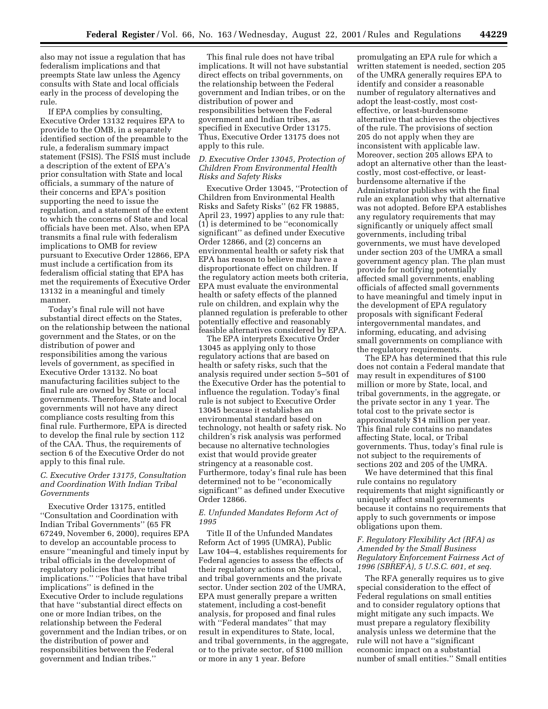also may not issue a regulation that has federalism implications and that preempts State law unless the Agency consults with State and local officials early in the process of developing the rule.

If EPA complies by consulting, Executive Order 13132 requires EPA to provide to the OMB, in a separately identified section of the preamble to the rule, a federalism summary impact statement (FSIS). The FSIS must include a description of the extent of EPA's prior consultation with State and local officials, a summary of the nature of their concerns and EPA's position supporting the need to issue the regulation, and a statement of the extent to which the concerns of State and local officials have been met. Also, when EPA transmits a final rule with federalism implications to OMB for review pursuant to Executive Order 12866, EPA must include a certification from its federalism official stating that EPA has met the requirements of Executive Order 13132 in a meaningful and timely manner.

Today's final rule will not have substantial direct effects on the States, on the relationship between the national government and the States, or on the distribution of power and responsibilities among the various levels of government, as specified in Executive Order 13132. No boat manufacturing facilities subject to the final rule are owned by State or local governments. Therefore, State and local governments will not have any direct compliance costs resulting from this final rule. Furthermore, EPA is directed to develop the final rule by section 112 of the CAA. Thus, the requirements of section 6 of the Executive Order do not apply to this final rule.

## *C. Executive Order 13175, Consultation and Coordination With Indian Tribal Governments*

Executive Order 13175, entitled ''Consultation and Coordination with Indian Tribal Governments'' (65 FR 67249, November 6, 2000), requires EPA to develop an accountable process to ensure ''meaningful and timely input by tribal officials in the development of regulatory policies that have tribal implications.'' ''Policies that have tribal implications'' is defined in the Executive Order to include regulations that have ''substantial direct effects on one or more Indian tribes, on the relationship between the Federal government and the Indian tribes, or on the distribution of power and responsibilities between the Federal government and Indian tribes.''

This final rule does not have tribal implications. It will not have substantial direct effects on tribal governments, on the relationship between the Federal government and Indian tribes, or on the distribution of power and responsibilities between the Federal government and Indian tribes, as specified in Executive Order 13175. Thus, Executive Order 13175 does not apply to this rule.

## *D. Executive Order 13045, Protection of Children From Environmental Health Risks and Safety Risks*

Executive Order 13045, ''Protection of Children from Environmental Health Risks and Safety Risks'' (62 FR 19885, April 23, 1997) applies to any rule that: (1) is determined to be ''economically significant'' as defined under Executive Order 12866, and (2) concerns an environmental health or safety risk that EPA has reason to believe may have a disproportionate effect on children. If the regulatory action meets both criteria, EPA must evaluate the environmental health or safety effects of the planned rule on children, and explain why the planned regulation is preferable to other potentially effective and reasonably feasible alternatives considered by EPA.

The EPA interprets Executive Order 13045 as applying only to those regulatory actions that are based on health or safety risks, such that the analysis required under section 5–501 of the Executive Order has the potential to influence the regulation. Today's final rule is not subject to Executive Order 13045 because it establishes an environmental standard based on technology, not health or safety risk. No children's risk analysis was performed because no alternative technologies exist that would provide greater stringency at a reasonable cost. Furthermore, today's final rule has been determined not to be ''economically significant'' as defined under Executive Order 12866.

## *E. Unfunded Mandates Reform Act of 1995*

Title II of the Unfunded Mandates Reform Act of 1995 (UMRA), Public Law 104–4, establishes requirements for Federal agencies to assess the effects of their regulatory actions on State, local, and tribal governments and the private sector. Under section 202 of the UMRA, EPA must generally prepare a written statement, including a cost-benefit analysis, for proposed and final rules with ''Federal mandates'' that may result in expenditures to State, local, and tribal governments, in the aggregate, or to the private sector, of \$100 million or more in any 1 year. Before

promulgating an EPA rule for which a written statement is needed, section 205 of the UMRA generally requires EPA to identify and consider a reasonable number of regulatory alternatives and adopt the least-costly, most costeffective, or least-burdensome alternative that achieves the objectives of the rule. The provisions of section 205 do not apply when they are inconsistent with applicable law. Moreover, section 205 allows EPA to adopt an alternative other than the leastcostly, most cost-effective, or leastburdensome alternative if the Administrator publishes with the final rule an explanation why that alternative was not adopted. Before EPA establishes any regulatory requirements that may significantly or uniquely affect small governments, including tribal governments, we must have developed under section 203 of the UMRA a small government agency plan. The plan must provide for notifying potentially affected small governments, enabling officials of affected small governments to have meaningful and timely input in the development of EPA regulatory proposals with significant Federal intergovernmental mandates, and informing, educating, and advising small governments on compliance with the regulatory requirements.

The EPA has determined that this rule does not contain a Federal mandate that may result in expenditures of \$100 million or more by State, local, and tribal governments, in the aggregate, or the private sector in any 1 year. The total cost to the private sector is approximately \$14 million per year. This final rule contains no mandates affecting State, local, or Tribal governments. Thus, today's final rule is not subject to the requirements of sections 202 and 205 of the UMRA.

We have determined that this final rule contains no regulatory requirements that might significantly or uniquely affect small governments because it contains no requirements that apply to such governments or impose obligations upon them.

## *F. Regulatory Flexibility Act (RFA) as Amended by the Small Business Regulatory Enforcement Fairness Act of 1996 (SBREFA), 5 U.S.C. 601, et seq.*

The RFA generally requires us to give special consideration to the effect of Federal regulations on small entities and to consider regulatory options that might mitigate any such impacts. We must prepare a regulatory flexibility analysis unless we determine that the rule will not have a ''significant economic impact on a substantial number of small entities.'' Small entities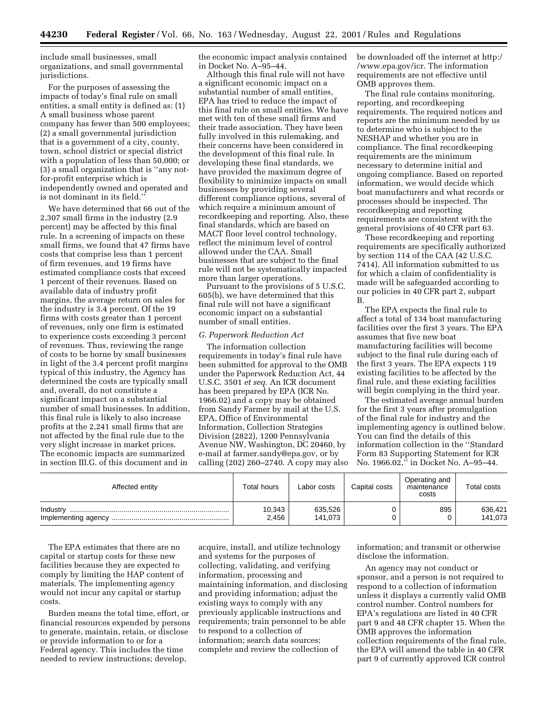include small businesses, small organizations, and small governmental jurisdictions.

For the purposes of assessing the impacts of today's final rule on small entities, a small entity is defined as: (1) A small business whose parent company has fewer than 500 employees; (2) a small governmental jurisdiction that is a government of a city, county, town, school district or special district with a population of less than 50,000; or (3) a small organization that is ''any notfor-profit enterprise which is independently owned and operated and is not dominant in its field.''

We have determined that 66 out of the 2,307 small firms in the industry (2.9 percent) may be affected by this final rule. In a screening of impacts on these small firms, we found that 47 firms have costs that comprise less than 1 percent of firm revenues, and 19 firms have estimated compliance costs that exceed 1 percent of their revenues. Based on available data of industry profit margins, the average return on sales for the industry is 3.4 percent. Of the 19 firms with costs greater than 1 percent of revenues, only one firm is estimated to experience costs exceeding 3 percent of revenues. Thus, reviewing the range of costs to be borne by small businesses in light of the 3.4 percent profit margins typical of this industry, the Agency has determined the costs are typically small and, overall, do not constitute a significant impact on a substantial number of small businesses. In addition, this final rule is likely to also increase profits at the 2,241 small firms that are not affected by the final rule due to the very slight increase in market prices. The economic impacts are summarized in section III.G. of this document and in

the economic impact analysis contained in Docket No. A–95–44.

Although this final rule will not have a significant economic impact on a substantial number of small entities, EPA has tried to reduce the impact of this final rule on small entities. We have met with ten of these small firms and their trade association. They have been fully involved in this rulemaking, and their concerns have been considered in the development of this final rule. In developing these final standards, we have provided the maximum degree of flexibility to minimize impacts on small businesses by providing several different compliance options, several of which require a minimum amount of recordkeeping and reporting. Also, these final standards, which are based on MACT floor level control technology, reflect the minimum level of control allowed under the CAA. Small businesses that are subject to the final rule will not be systematically impacted more than larger operations.

Pursuant to the provisions of 5 U.S.C. 605(b), we have determined that this final rule will not have a significant economic impact on a substantial number of small entities.

#### *G. Paperwork Reduction Act*

The information collection requirements in today's final rule have been submitted for approval to the OMB under the Paperwork Reduction Act, 44 U.S.C. 3501 *et seq.* An ICR document has been prepared by EPA (ICR No. 1966.02) and a copy may be obtained from Sandy Farmer by mail at the U.S. EPA, Office of Environmental Information, Collection Strategies Division (2822), 1200 Pennsylvania Avenue NW, Washington, DC 20460, by e-mail at farmer.sandy@epa.gov, or by calling (202) 260–2740. A copy may also be downloaded off the internet at http:/ /www.epa.gov/icr. The information requirements are not effective until OMB approves them.

The final rule contains monitoring, reporting, and recordkeeping requirements. The required notices and reports are the minimum needed by us to determine who is subject to the NESHAP and whether you are in compliance. The final recordkeeping requirements are the minimum necessary to determine initial and ongoing compliance. Based on reported information, we would decide which boat manufacturers and what records or processes should be inspected. The recordkeeping and reporting requirements are consistent with the general provisions of 40 CFR part 63.

These recordkeeping and reporting requirements are specifically authorized by section 114 of the CAA (42 U.S.C. 7414). All information submitted to us for which a claim of confidentiality is made will be safeguarded according to our policies in 40 CFR part 2, subpart B.

The EPA expects the final rule to affect a total of 134 boat manufacturing facilities over the first 3 years. The EPA assumes that five new boat manufacturing facilities will become subject to the final rule during each of the first 3 years. The EPA expects 119 existing facilities to be affected by the final rule, and these existing facilities will begin complying in the third year.

The estimated average annual burden for the first 3 years after promulgation of the final rule for industry and the implementing agency is outlined below. You can find the details of this information collection in the ''Standard Form 83 Supporting Statement for ICR No. 1966.02," in Docket No. A-95-44.

| Affected entity | Total hours     | Labor costs        | Capital costs | Operating and<br>maintenance<br>costs | <b>Total costs</b> |
|-----------------|-----------------|--------------------|---------------|---------------------------------------|--------------------|
| Industry        | 10,343<br>2,456 | 635,526<br>141,073 |               | 895                                   | 636,421<br>141,073 |

The EPA estimates that there are no capital or startup costs for these new facilities because they are expected to comply by limiting the HAP content of materials. The implementing agency would not incur any capital or startup costs.

Burden means the total time, effort, or financial resources expended by persons to generate, maintain, retain, or disclose or provide information to or for a Federal agency. This includes the time needed to review instructions; develop,

acquire, install, and utilize technology and systems for the purposes of collecting, validating, and verifying information, processing and maintaining information, and disclosing and providing information; adjust the existing ways to comply with any previously applicable instructions and requirements; train personnel to be able to respond to a collection of information; search data sources; complete and review the collection of

information; and transmit or otherwise disclose the information.

An agency may not conduct or sponsor, and a person is not required to respond to a collection of information unless it displays a currently valid OMB control number. Control numbers for EPA's regulations are listed in 40 CFR part 9 and 48 CFR chapter 15. When the OMB approves the information collection requirements of the final rule, the EPA will amend the table in 40 CFR part 9 of currently approved ICR control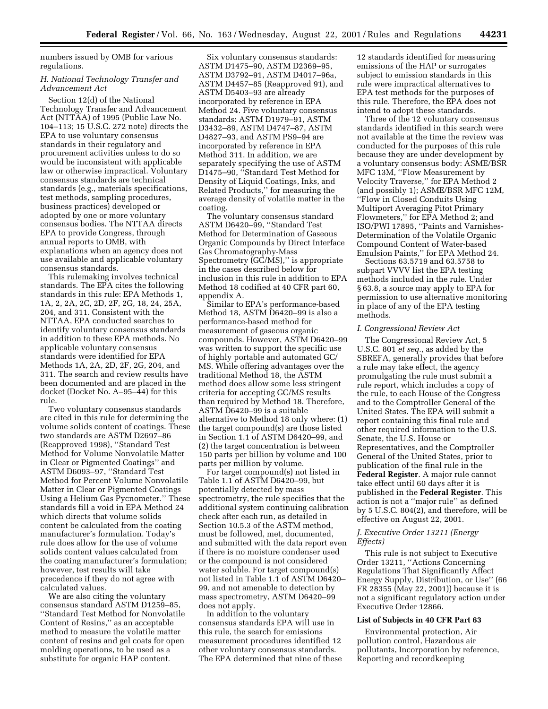numbers issued by OMB for various regulations.

## *H. National Technology Transfer and Advancement Act*

Section 12(d) of the National Technology Transfer and Advancement Act (NTTAA) of 1995 (Public Law No. 104–113; 15 U.S.C. 272 note) directs the EPA to use voluntary consensus standards in their regulatory and procurement activities unless to do so would be inconsistent with applicable law or otherwise impractical. Voluntary consensus standards are technical standards (e.g., materials specifications, test methods, sampling procedures, business practices) developed or adopted by one or more voluntary consensus bodies. The NTTAA directs EPA to provide Congress, through annual reports to OMB, with explanations when an agency does not use available and applicable voluntary consensus standards.

This rulemaking involves technical standards. The EPA cites the following standards in this rule: EPA Methods 1, 1A, 2, 2A, 2C, 2D, 2F, 2G, 18, 24, 25A, 204, and 311. Consistent with the NTTAA, EPA conducted searches to identify voluntary consensus standards in addition to these EPA methods. No applicable voluntary consensus standards were identified for EPA Methods 1A, 2A, 2D, 2F, 2G, 204, and 311. The search and review results have been documented and are placed in the docket (Docket No. A–95–44) for this rule.

Two voluntary consensus standards are cited in this rule for determining the volume solids content of coatings. These two standards are ASTM D2697–86 (Reapproved 1998), ''Standard Test Method for Volume Nonvolatile Matter in Clear or Pigmented Coatings'' and ASTM D6093–97, ''Standard Test Method for Percent Volume Nonvolatile Matter in Clear or Pigmented Coatings Using a Helium Gas Pycnometer.'' These standards fill a void in EPA Method 24 which directs that volume solids content be calculated from the coating manufacturer's formulation. Today's rule does allow for the use of volume solids content values calculated from the coating manufacturer's formulation; however, test results will take precedence if they do not agree with calculated values.

We are also citing the voluntary consensus standard ASTM D1259–85, ''Standard Test Method for Nonvolatile Content of Resins,'' as an acceptable method to measure the volatile matter content of resins and gel coats for open molding operations, to be used as a substitute for organic HAP content.

Six voluntary consensus standards: ASTM D1475–90, ASTM D2369–95, ASTM D3792–91, ASTM D4017–96a, ASTM D4457–85 (Reapproved 91), and ASTM D5403–93 are already incorporated by reference in EPA Method 24. Five voluntary consensus standards: ASTM D1979–91, ASTM D3432–89, ASTM D4747–87, ASTM D4827–93, and ASTM PS9–94 are incorporated by reference in EPA Method 311. In addition, we are separately specifying the use of ASTM D1475–90, ''Standard Test Method for Density of Liquid Coatings, Inks, and Related Products,'' for measuring the average density of volatile matter in the coating.

The voluntary consensus standard ASTM D6420–99, ''Standard Test Method for Determination of Gaseous Organic Compounds by Direct Interface Gas Chromatography-Mass Spectrometry (GC/MS)," is appropriate in the cases described below for inclusion in this rule in addition to EPA Method 18 codified at 40 CFR part 60, appendix A.

Similar to EPA's performance-based Method 18, ASTM D6420–99 is also a performance-based method for measurement of gaseous organic compounds. However, ASTM D6420–99 was written to support the specific use of highly portable and automated GC/ MS. While offering advantages over the traditional Method 18, the ASTM method does allow some less stringent criteria for accepting GC/MS results than required by Method 18. Therefore, ASTM D6420–99 is a suitable alternative to Method 18 only where: (1) the target compound(s) are those listed in Section 1.1 of ASTM D6420–99, and (2) the target concentration is between 150 parts per billion by volume and 100 parts per million by volume.

For target compound(s) not listed in Table 1.1 of ASTM D6420–99, but potentially detected by mass spectrometry, the rule specifies that the additional system continuing calibration check after each run, as detailed in Section 10.5.3 of the ASTM method, must be followed, met, documented, and submitted with the data report even if there is no moisture condenser used or the compound is not considered water soluble. For target compound(s) not listed in Table 1.1 of ASTM D6420– 99, and not amenable to detection by mass spectrometry, ASTM D6420–99 does not apply.

In addition to the voluntary consensus standards EPA will use in this rule, the search for emissions measurement procedures identified 12 other voluntary consensus standards. The EPA determined that nine of these

12 standards identified for measuring emissions of the HAP or surrogates subject to emission standards in this rule were impractical alternatives to EPA test methods for the purposes of this rule. Therefore, the EPA does not intend to adopt these standards.

Three of the 12 voluntary consensus standards identified in this search were not available at the time the review was conducted for the purposes of this rule because they are under development by a voluntary consensus body: ASME/BSR MFC 13M, ''Flow Measurement by Velocity Traverse,'' for EPA Method 2 (and possibly 1); ASME/BSR MFC 12M, ''Flow in Closed Conduits Using Multiport Averaging Pitot Primary Flowmeters,'' for EPA Method 2; and ISO/PWI 17895, ''Paints and Varnishes-Determination of the Volatile Organic Compound Content of Water-based Emulsion Paints,'' for EPA Method 24.

Sections 63.5719 and 63.5758 to subpart VVVV list the EPA testing methods included in the rule. Under § 63.8, a source may apply to EPA for permission to use alternative monitoring in place of any of the EPA testing methods.

#### *I. Congressional Review Act*

The Congressional Review Act, 5 U.S.C. 801 *et seq.*, as added by the SBREFA, generally provides that before a rule may take effect, the agency promulgating the rule must submit a rule report, which includes a copy of the rule, to each House of the Congress and to the Comptroller General of the United States. The EPA will submit a report containing this final rule and other required information to the U.S. Senate, the U.S. House or Representatives, and the Comptroller General of the United States, prior to publication of the final rule in the **Federal Register**. A major rule cannot take effect until 60 days after it is published in the **Federal Register**. This action is not a ''major rule'' as defined by 5 U.S.C. 804(2), and therefore, will be effective on August 22, 2001.

#### *J. Executive Order 13211 (Energy Effects)*

This rule is not subject to Executive Order 13211, ''Actions Concerning Regulations That Significantly Affect Energy Supply, Distribution, or Use'' (66 FR 28355 (May 22, 2001)) because it is not a significant regulatory action under Executive Order 12866.

#### **List of Subjects in 40 CFR Part 63**

Environmental protection, Air pollution control, Hazardous air pollutants, Incorporation by reference, Reporting and recordkeeping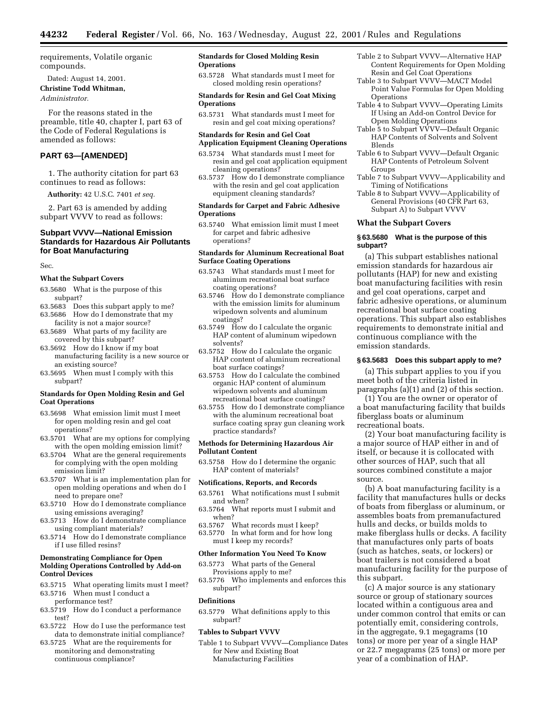requirements, Volatile organic compounds.

Dated: August 14, 2001.

## **Christine Todd Whitman,**

*Administrator.*

For the reasons stated in the preamble, title 40, chapter I, part 63 of the Code of Federal Regulations is amended as follows:

## **PART 63—[AMENDED]**

1. The authority citation for part 63 continues to read as follows:

**Authority:** 42 U.S.C. 7401 *et seq.*

2. Part 63 is amended by adding subpart VVVV to read as follows:

## **Subpart VVVV—National Emission Standards for Hazardous Air Pollutants for Boat Manufacturing**

Sec.

## **What the Subpart Covers**

- 63.5680 What is the purpose of this subpart?
- 63.5683 Does this subpart apply to me? 63.5686 How do I demonstrate that my
- facility is not a major source? 63.5689 What parts of my facility are covered by this subpart?
- 63.5692 How do I know if my boat manufacturing facility is a new source or an existing source?
- 63.5695 When must I comply with this subpart?

#### **Standards for Open Molding Resin and Gel Coat Operations**

- 63.5698 What emission limit must I meet for open molding resin and gel coat operations?
- 63.5701 What are my options for complying with the open molding emission limit?
- 63.5704 What are the general requirements for complying with the open molding emission limit?
- 63.5707 What is an implementation plan for open molding operations and when do I need to prepare one?
- 63.5710 How do I demonstrate compliance using emissions averaging?
- 63.5713 How do I demonstrate compliance using compliant materials?
- 63.5714 How do I demonstrate compliance if I use filled resins?

## **Demonstrating Compliance for Open Molding Operations Controlled by Add-on Control Devices**

- 63.5715 What operating limits must I meet? 63.5716 When must I conduct a
- performance test? 63.5719 How do I conduct a performance test?
- 63.5722 How do I use the performance test data to demonstrate initial compliance?
- 63.5725 What are the requirements for monitoring and demonstrating continuous compliance?

#### **Standards for Closed Molding Resin Operations**

63.5728 What standards must I meet for closed molding resin operations?

**Standards for Resin and Gel Coat Mixing Operations**

63.5731 What standards must I meet for resin and gel coat mixing operations?

#### **Standards for Resin and Gel Coat Application Equipment Cleaning Operations**

- 63.5734 What standards must I meet for resin and gel coat application equipment cleaning operations?
- 63.5737 How do I demonstrate compliance with the resin and gel coat application equipment cleaning standards?

#### **Standards for Carpet and Fabric Adhesive Operations**

63.5740 What emission limit must I meet for carpet and fabric adhesive operations?

## **Standards for Aluminum Recreational Boat Surface Coating Operations**

- 63.5743 What standards must I meet for aluminum recreational boat surface coating operations?
- 63.5746 How do I demonstrate compliance with the emission limits for aluminum wipedown solvents and aluminum coatings?
- 63.5749 How do I calculate the organic HAP content of aluminum wipedown solvents?
- 63.5752 How do I calculate the organic HAP content of aluminum recreational boat surface coatings?
- 63.5753 How do I calculate the combined organic HAP content of aluminum wipedown solvents and aluminum recreational boat surface coatings?
- 63.5755 How do I demonstrate compliance with the aluminum recreational boat surface coating spray gun cleaning work practice standards?

#### **Methods for Determining Hazardous Air Pollutant Content**

63.5758 How do I determine the organic HAP content of materials?

#### **Notifications, Reports, and Records**

- 63.5761 What notifications must I submit and when?
- 63.5764 What reports must I submit and when?
- 63.5767 What records must I keep?
- 63.5770 In what form and for how long must I keep my records?

#### **Other Information You Need To Know**

- 63.5773 What parts of the General Provisions apply to me?
- 63.5776 Who implements and enforces this subpart?

#### **Definitions**

63.5779 What definitions apply to this subpart?

#### **Tables to Subpart VVVV**

Table 1 to Subpart VVVV—Compliance Dates for New and Existing Boat Manufacturing Facilities

- Table 2 to Subpart VVVV—Alternative HAP Content Requirements for Open Molding Resin and Gel Coat Operations
- Table 3 to Subpart VVVV—MACT Model Point Value Formulas for Open Molding **Operations**
- Table 4 to Subpart VVVV—Operating Limits If Using an Add-on Control Device for Open Molding Operations
- Table 5 to Subpart VVVV—Default Organic HAP Contents of Solvents and Solvent Blends
- Table 6 to Subpart VVVV—Default Organic HAP Contents of Petroleum Solvent Groups
- Table 7 to Subpart VVVV—Applicability and Timing of Notifications
- Table 8 to Subpart VVVV—Applicability of General Provisions (40 CFR Part 63, Subpart A) to Subpart VVVV

#### **What the Subpart Covers**

#### **§ 63.5680 What is the purpose of this subpart?**

(a) This subpart establishes national emission standards for hazardous air pollutants (HAP) for new and existing boat manufacturing facilities with resin and gel coat operations, carpet and fabric adhesive operations, or aluminum recreational boat surface coating operations. This subpart also establishes requirements to demonstrate initial and continuous compliance with the emission standards.

#### **§ 63.5683 Does this subpart apply to me?**

(a) This subpart applies to you if you meet both of the criteria listed in paragraphs (a)(1) and (2) of this section.

(1) You are the owner or operator of a boat manufacturing facility that builds fiberglass boats or aluminum recreational boats.

(2) Your boat manufacturing facility is a major source of HAP either in and of itself, or because it is collocated with other sources of HAP, such that all sources combined constitute a major source.

(b) A boat manufacturing facility is a facility that manufactures hulls or decks of boats from fiberglass or aluminum, or assembles boats from premanufactured hulls and decks, or builds molds to make fiberglass hulls or decks. A facility that manufactures only parts of boats (such as hatches, seats, or lockers) or boat trailers is not considered a boat manufacturing facility for the purpose of this subpart.

(c) A major source is any stationary source or group of stationary sources located within a contiguous area and under common control that emits or can potentially emit, considering controls, in the aggregate, 9.1 megagrams (10 tons) or more per year of a single HAP or 22.7 megagrams (25 tons) or more per year of a combination of HAP.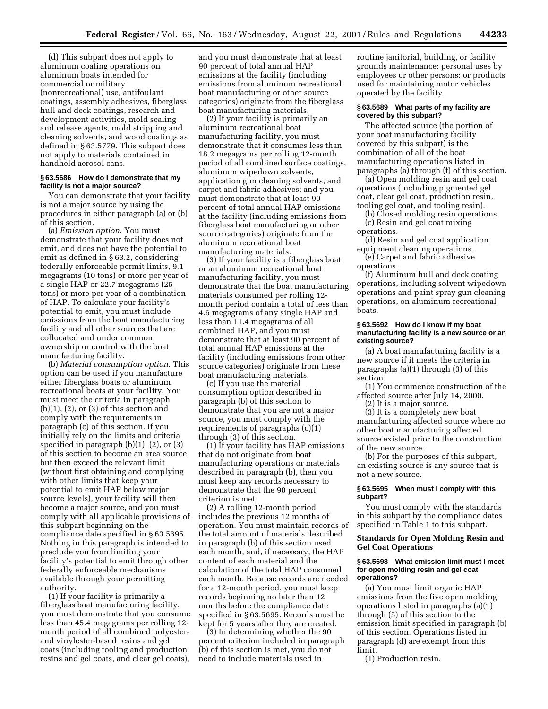(d) This subpart does not apply to aluminum coating operations on aluminum boats intended for commercial or military (nonrecreational) use, antifoulant coatings, assembly adhesives, fiberglass hull and deck coatings, research and development activities, mold sealing and release agents, mold stripping and cleaning solvents, and wood coatings as defined in § 63.5779. This subpart does not apply to materials contained in handheld aerosol cans.

## **§ 63.5686 How do I demonstrate that my facility is not a major source?**

You can demonstrate that your facility is not a major source by using the procedures in either paragraph (a) or (b) of this section.

(a) *Emission option*. You must demonstrate that your facility does not emit, and does not have the potential to emit as defined in § 63.2, considering federally enforceable permit limits, 9.1 megagrams (10 tons) or more per year of a single HAP or 22.7 megagrams (25 tons) or more per year of a combination of HAP. To calculate your facility's potential to emit, you must include emissions from the boat manufacturing facility and all other sources that are collocated and under common ownership or control with the boat manufacturing facility.

(b) *Material consumption option*. This option can be used if you manufacture either fiberglass boats or aluminum recreational boats at your facility. You must meet the criteria in paragraph  $(b)(1)$ ,  $(2)$ , or  $(3)$  of this section and comply with the requirements in paragraph (c) of this section. If you initially rely on the limits and criteria specified in paragraph  $(b)(1)$ ,  $(2)$ , or  $(3)$ of this section to become an area source, but then exceed the relevant limit (without first obtaining and complying with other limits that keep your potential to emit HAP below major source levels), your facility will then become a major source, and you must comply with all applicable provisions of this subpart beginning on the compliance date specified in § 63.5695. Nothing in this paragraph is intended to preclude you from limiting your facility's potential to emit through other federally enforceable mechanisms available through your permitting authority.

(1) If your facility is primarily a fiberglass boat manufacturing facility, you must demonstrate that you consume less than 45.4 megagrams per rolling 12 month period of all combined polyesterand vinylester-based resins and gel coats (including tooling and production resins and gel coats, and clear gel coats),

and you must demonstrate that at least 90 percent of total annual HAP emissions at the facility (including emissions from aluminum recreational boat manufacturing or other source categories) originate from the fiberglass boat manufacturing materials.

(2) If your facility is primarily an aluminum recreational boat manufacturing facility, you must demonstrate that it consumes less than 18.2 megagrams per rolling 12-month period of all combined surface coatings, aluminum wipedown solvents, application gun cleaning solvents, and carpet and fabric adhesives; and you must demonstrate that at least 90 percent of total annual HAP emissions at the facility (including emissions from fiberglass boat manufacturing or other source categories) originate from the aluminum recreational boat manufacturing materials.

(3) If your facility is a fiberglass boat or an aluminum recreational boat manufacturing facility, you must demonstrate that the boat manufacturing materials consumed per rolling 12 month period contain a total of less than 4.6 megagrams of any single HAP and less than 11.4 megagrams of all combined HAP, and you must demonstrate that at least 90 percent of total annual HAP emissions at the facility (including emissions from other source categories) originate from these boat manufacturing materials.

(c) If you use the material consumption option described in paragraph (b) of this section to demonstrate that you are not a major source, you must comply with the requirements of paragraphs (c)(1) through (3) of this section.

(1) If your facility has HAP emissions that do not originate from boat manufacturing operations or materials described in paragraph (b), then you must keep any records necessary to demonstrate that the 90 percent criterion is met.

(2) A rolling 12-month period includes the previous 12 months of operation. You must maintain records of the total amount of materials described in paragraph (b) of this section used each month, and, if necessary, the HAP content of each material and the calculation of the total HAP consumed each month. Because records are needed for a 12-month period, you must keep records beginning no later than 12 months before the compliance date specified in § 63.5695. Records must be kept for 5 years after they are created.

(3) In determining whether the 90 percent criterion included in paragraph (b) of this section is met, you do not need to include materials used in

routine janitorial, building, or facility grounds maintenance; personal uses by employees or other persons; or products used for maintaining motor vehicles operated by the facility.

## **§ 63.5689 What parts of my facility are covered by this subpart?**

The affected source (the portion of your boat manufacturing facility covered by this subpart) is the combination of all of the boat manufacturing operations listed in paragraphs (a) through (f) of this section.

(a) Open molding resin and gel coat operations (including pigmented gel coat, clear gel coat, production resin, tooling gel coat, and tooling resin).

(b) Closed molding resin operations. (c) Resin and gel coat mixing operations.

(d) Resin and gel coat application equipment cleaning operations.

(e) Carpet and fabric adhesive operations.

(f) Aluminum hull and deck coating operations, including solvent wipedown operations and paint spray gun cleaning operations, on aluminum recreational boats.

#### **§ 63.5692 How do I know if my boat manufacturing facility is a new source or an existing source?**

(a) A boat manufacturing facility is a new source if it meets the criteria in paragraphs (a)(1) through (3) of this section.

(1) You commence construction of the affected source after July 14, 2000.

(2) It is a major source.

(3) It is a completely new boat manufacturing affected source where no other boat manufacturing affected source existed prior to the construction of the new source.

(b) For the purposes of this subpart, an existing source is any source that is not a new source.

#### **§ 63.5695 When must I comply with this subpart?**

You must comply with the standards in this subpart by the compliance dates specified in Table 1 to this subpart.

## **Standards for Open Molding Resin and Gel Coat Operations**

#### **§ 63.5698 What emission limit must I meet for open molding resin and gel coat operations?**

(a) You must limit organic HAP emissions from the five open molding operations listed in paragraphs (a)(1) through (5) of this section to the emission limit specified in paragraph (b) of this section. Operations listed in paragraph (d) are exempt from this limit.

(1) Production resin.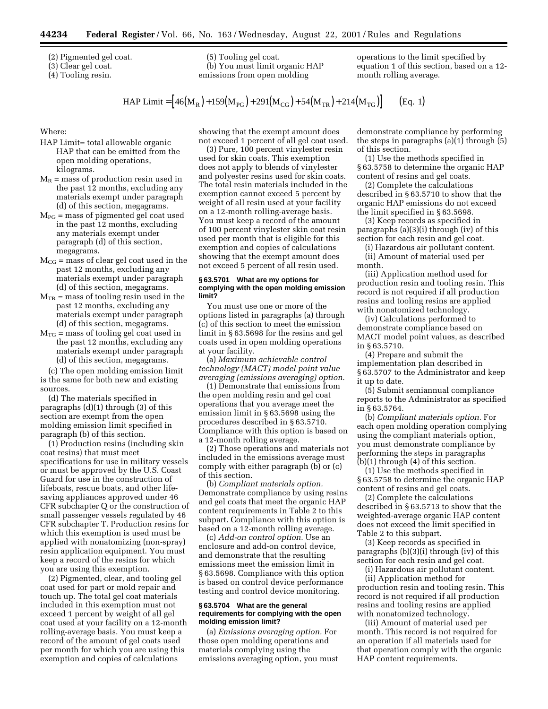(2) Pigmented gel coat.

(3) Clear gel coat.

(4) Tooling resin.

(5) Tooling gel coat. (b) You must limit organic HAP emissions from open molding

operations to the limit specified by equation 1 of this section, based on a 12 month rolling average.

HAP Limit =  $[46(M_R) + 159(M_{PG}) + 291(M_{CG}) + 54(M_{TR}) + 214(M_{TG})]$  (Eq. 1)

Where:

- HAP Limit= total allowable organic HAP that can be emitted from the open molding operations, kilograms.
- $M_R$  = mass of production resin used in the past 12 months, excluding any materials exempt under paragraph (d) of this section, megagrams.
- $M_{PG}$  = mass of pigmented gel coat used in the past 12 months, excluding any materials exempt under paragraph (d) of this section, megagrams.
- $M_{CG}$  = mass of clear gel coat used in the past 12 months, excluding any materials exempt under paragraph (d) of this section, megagrams.
- $M_{TR}$  = mass of tooling resin used in the past 12 months, excluding any materials exempt under paragraph (d) of this section, megagrams.
- $M_{TG}$  = mass of tooling gel coat used in the past 12 months, excluding any materials exempt under paragraph (d) of this section, megagrams.

(c) The open molding emission limit is the same for both new and existing sources.

(d) The materials specified in paragraphs (d)(1) through (3) of this section are exempt from the open molding emission limit specified in paragraph (b) of this section.

(1) Production resins (including skin coat resins) that must meet specifications for use in military vessels or must be approved by the U.S. Coast Guard for use in the construction of lifeboats, rescue boats, and other lifesaving appliances approved under 46 CFR subchapter Q or the construction of small passenger vessels regulated by 46 CFR subchapter T. Production resins for which this exemption is used must be applied with nonatomizing (non-spray) resin application equipment. You must keep a record of the resins for which you are using this exemption.

(2) Pigmented, clear, and tooling gel coat used for part or mold repair and touch up. The total gel coat materials included in this exemption must not exceed 1 percent by weight of all gel coat used at your facility on a 12-month rolling-average basis. You must keep a record of the amount of gel coats used per month for which you are using this exemption and copies of calculations

showing that the exempt amount does not exceed 1 percent of all gel coat used.

(3) Pure, 100 percent vinylester resin used for skin coats. This exemption does not apply to blends of vinylester and polyester resins used for skin coats. The total resin materials included in the exemption cannot exceed 5 percent by weight of all resin used at your facility on a 12-month rolling-average basis. You must keep a record of the amount of 100 percent vinylester skin coat resin used per month that is eligible for this exemption and copies of calculations showing that the exempt amount does not exceed 5 percent of all resin used.

#### **§ 63.5701 What are my options for complying with the open molding emission limit?**

You must use one or more of the options listed in paragraphs (a) through (c) of this section to meet the emission limit in § 63.5698 for the resins and gel coats used in open molding operations at your facility.

(a) *Maximum achievable control technology (MACT) model point value averaging (emissions averaging) option.*

(1) Demonstrate that emissions from the open molding resin and gel coat operations that you average meet the emission limit in § 63.5698 using the procedures described in § 63.5710. Compliance with this option is based on a 12-month rolling average.

(2) Those operations and materials not included in the emissions average must comply with either paragraph (b) or (c) of this section.

(b) *Compliant materials option.* Demonstrate compliance by using resins and gel coats that meet the organic HAP content requirements in Table 2 to this subpart. Compliance with this option is based on a 12-month rolling average.

(c) *Add-on control option.* Use an enclosure and add-on control device, and demonstrate that the resulting emissions meet the emission limit in § 63.5698. Compliance with this option is based on control device performance testing and control device monitoring.

#### **§ 63.5704 What are the general requirements for complying with the open molding emission limit?**

(a) *Emissions averaging option.* For those open molding operations and materials complying using the emissions averaging option, you must

demonstrate compliance by performing the steps in paragraphs (a)(1) through (5) of this section.

(1) Use the methods specified in § 63.5758 to determine the organic HAP content of resins and gel coats.

(2) Complete the calculations described in § 63.5710 to show that the organic HAP emissions do not exceed the limit specified in § 63.5698.

(3) Keep records as specified in paragraphs (a)(3)(i) through (iv) of this section for each resin and gel coat.

(i) Hazardous air pollutant content. (ii) Amount of material used per month.

(iii) Application method used for production resin and tooling resin. This record is not required if all production resins and tooling resins are applied with nonatomized technology.

(iv) Calculations performed to demonstrate compliance based on MACT model point values, as described in § 63.5710.

(4) Prepare and submit the implementation plan described in § 63.5707 to the Administrator and keep it up to date.

(5) Submit semiannual compliance reports to the Administrator as specified in § 63.5764.

(b) *Compliant materials option.* For each open molding operation complying using the compliant materials option, you must demonstrate compliance by performing the steps in paragraphs (b)(1) through (4) of this section.

(1) Use the methods specified in § 63.5758 to determine the organic HAP content of resins and gel coats.

(2) Complete the calculations described in § 63.5713 to show that the weighted-average organic HAP content does not exceed the limit specified in Table 2 to this subpart.

(3) Keep records as specified in paragraphs (b)(3)(i) through (iv) of this section for each resin and gel coat.

(i) Hazardous air pollutant content. (ii) Application method for production resin and tooling resin. This record is not required if all production

resins and tooling resins are applied with nonatomized technology.

(iii) Amount of material used per month. This record is not required for an operation if all materials used for that operation comply with the organic HAP content requirements.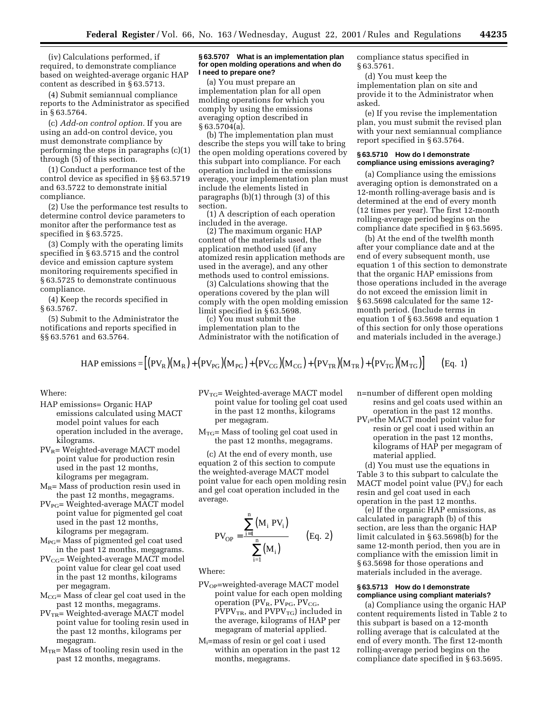(iv) Calculations performed, if required, to demonstrate compliance based on weighted-average organic HAP content as described in § 63.5713.

(4) Submit semiannual compliance reports to the Administrator as specified in § 63.5764.

(c) *Add-on control option.* If you are using an add-on control device, you must demonstrate compliance by performing the steps in paragraphs (c)(1) through (5) of this section.

(1) Conduct a performance test of the control device as specified in §§ 63.5719 and 63.5722 to demonstrate initial compliance.

(2) Use the performance test results to determine control device parameters to monitor after the performance test as specified in § 63.5725.

(3) Comply with the operating limits specified in § 63.5715 and the control device and emission capture system monitoring requirements specified in § 63.5725 to demonstrate continuous compliance.

(4) Keep the records specified in § 63.5767.

(5) Submit to the Administrator the notifications and reports specified in §§ 63.5761 and 63.5764.

#### **§ 63.5707 What is an implementation plan for open molding operations and when do I need to prepare one?**

(a) You must prepare an implementation plan for all open molding operations for which you comply by using the emissions averaging option described in § 63.5704(a).

(b) The implementation plan must describe the steps you will take to bring the open molding operations covered by this subpart into compliance. For each operation included in the emissions average, your implementation plan must include the elements listed in paragraphs (b)(1) through (3) of this section.

(1) A description of each operation included in the average.

(2) The maximum organic HAP content of the materials used, the application method used (if any atomized resin application methods are used in the average), and any other methods used to control emissions.

(3) Calculations showing that the operations covered by the plan will comply with the open molding emission limit specified in § 63.5698.

(c) You must submit the implementation plan to the Administrator with the notification of compliance status specified in § 63.5761.

(d) You must keep the implementation plan on site and provide it to the Administrator when asked.

(e) If you revise the implementation plan, you must submit the revised plan with your next semiannual compliance report specified in § 63.5764.

#### **§ 63.5710 How do I demonstrate compliance using emissions averaging?**

(a) Compliance using the emissions averaging option is demonstrated on a 12-month rolling-average basis and is determined at the end of every month (12 times per year). The first 12-month rolling-average period begins on the compliance date specified in § 63.5695.

(b) At the end of the twelfth month after your compliance date and at the end of every subsequent month, use equation 1 of this section to demonstrate that the organic HAP emissions from those operations included in the average do not exceed the emission limit in § 63.5698 calculated for the same 12 month period. (Include terms in equation 1 of § 63.5698 and equation 1 of this section for only those operations and materials included in the average.)

HAP emissions = 
$$
[(PV_R)(M_R) + (PV_{PG})(M_{PG}) + (PV_{CG})(M_{CG}) + (PV_{TR})(M_{TR}) + (PV_{TG})(M_{TG})]
$$
 (Eq. 1)

Where:

- HAP emissions= Organic HAP emissions calculated using MACT model point values for each operation included in the average, kilograms.
- PV<sub>R</sub>= Weighted-average MACT model point value for production resin used in the past 12 months, kilograms per megagram.
- $M_R$ = Mass of production resin used in the past 12 months, megagrams.
- PV<sub>PG</sub>= Weighted-average MACT model point value for pigmented gel coat used in the past 12 months, kilograms per megagram.
- MPG= Mass of pigmented gel coat used in the past 12 months, megagrams.
- $PV_{CG}$ = Weighted-average MACT model point value for clear gel coat used in the past 12 months, kilograms per megagram.
- $M_{CG}$ = Mass of clear gel coat used in the past 12 months, megagrams.
- $PV<sub>TR</sub>$ = Weighted-average MACT model point value for tooling resin used in the past 12 months, kilograms per megagram.
- $M_{TR}$ = Mass of tooling resin used in the past 12 months, megagrams.
- $PV_{TG}$ = Weighted-average MACT model point value for tooling gel coat used in the past 12 months, kilograms per megagram.
- $M_{TG}$ = Mass of tooling gel coat used in the past 12 months, megagrams.

(c) At the end of every month, use equation 2 of this section to compute the weighted-average MACT model point value for each open molding resin and gel coat operation included in the average.

$$
PV_{OP} = \frac{\sum_{i=1}^{n} (M_i PV_i)}{\sum_{i=1}^{n} (M_i)}
$$
 (Eq. 2)

Where:

- PV<sub>OP</sub>=weighted-average MACT model point value for each open molding operation  $(PV_R, PV_{PG}, PV_{CG},$  $PVPV_{TR}$ , and  $PVPV_{TG}$ ) included in the average, kilograms of HAP per megagram of material applied.
- Mi=mass of resin or gel coat i used within an operation in the past 12 months, megagrams.

n=number of different open molding resins and gel coats used within an operation in the past 12 months.

PV<sub>i</sub>=the MACT model point value for resin or gel coat i used within an operation in the past 12 months, kilograms of HAP per megagram of material applied.

(d) You must use the equations in Table 3 to this subpart to calculate the MACT model point value  $(PV_i)$  for each resin and gel coat used in each operation in the past 12 months.

(e) If the organic HAP emissions, as calculated in paragraph (b) of this section, are less than the organic HAP limit calculated in § 63.5698(b) for the same 12-month period, then you are in compliance with the emission limit in § 63.5698 for those operations and materials included in the average.

## **§ 63.5713 How do I demonstrate compliance using compliant materials?**

(a) Compliance using the organic HAP content requirements listed in Table 2 to this subpart is based on a 12-month rolling average that is calculated at the end of every month. The first 12-month rolling-average period begins on the compliance date specified in § 63.5695.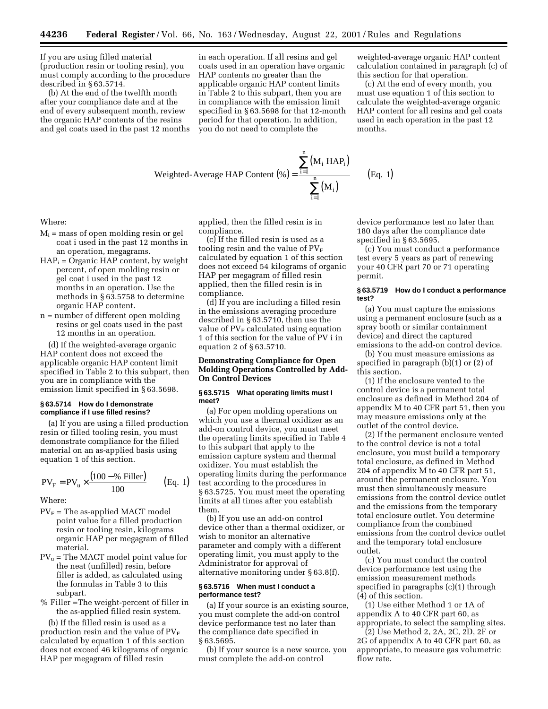If you are using filled material (production resin or tooling resin), you must comply according to the procedure described in § 63.5714.

(b) At the end of the twelfth month after your compliance date and at the end of every subsequent month, review the organic HAP contents of the resins and gel coats used in the past 12 months

in each operation. If all resins and gel coats used in an operation have organic HAP contents no greater than the applicable organic HAP content limits in Table 2 to this subpart, then you are in compliance with the emission limit specified in § 63.5698 for that 12-month period for that operation. In addition, you do not need to complete the

weighted-average organic HAP content calculation contained in paragraph (c) of this section for that operation.

(c) At the end of every month, you must use equation 1 of this section to calculate the weighted-average organic HAP content for all resins and gel coats used in each operation in the past 12 months.

Weighted-Average HAP Content (%) = 
$$
\frac{\sum_{i=1}^{n} (M_i \text{ HAP}_i)}{\sum_{i=1}^{n} (M_i)}
$$
 (Eq. 1)

Where:

- $M<sub>i</sub>$  = mass of open molding resin or gel coat i used in the past 12 months in an operation, megagrams.
- $HAP<sub>i</sub> = Organic HAP content, by weight$ percent, of open molding resin or gel coat i used in the past 12 months in an operation. Use the methods in § 63.5758 to determine organic HAP content.
- n = number of different open molding resins or gel coats used in the past 12 months in an operation.

(d) If the weighted-average organic HAP content does not exceed the applicable organic HAP content limit specified in Table 2 to this subpart, then you are in compliance with the emission limit specified in § 63.5698.

## **§ 63.5714 How do I demonstrate compliance if I use filled resins?**

(a) If you are using a filled production resin or filled tooling resin, you must demonstrate compliance for the filled material on an as-applied basis using equation 1 of this section.

$$
PV_{F} = PV_{u} \times \frac{(100 - % Filler)}{100}
$$
 (Eq. 1)

Where:

- $PV<sub>F</sub>$  = The as-applied MACT model point value for a filled production resin or tooling resin, kilograms organic HAP per megagram of filled material.
- $PV<sub>u</sub>$  = The MACT model point value for the neat (unfilled) resin, before filler is added, as calculated using the formulas in Table 3 to this subpart.
- % Filler =The weight-percent of filler in the as-applied filled resin system.

(b) If the filled resin is used as a production resin and the value of  $PV_F$ calculated by equation 1 of this section does not exceed 46 kilograms of organic HAP per megagram of filled resin

applied, then the filled resin is in compliance.

(c) If the filled resin is used as a tooling resin and the value of  $PV_F$ calculated by equation 1 of this section does not exceed 54 kilograms of organic HAP per megagram of filled resin applied, then the filled resin is in compliance.

(d) If you are including a filled resin in the emissions averaging procedure described in § 63.5710, then use the value of  $PV_F$  calculated using equation 1 of this section for the value of PV i in equation 2 of § 63.5710.

## **Demonstrating Compliance for Open Molding Operations Controlled by Add-On Control Devices**

## **§ 63.5715 What operating limits must I meet?**

(a) For open molding operations on which you use a thermal oxidizer as an add-on control device, you must meet the operating limits specified in Table 4 to this subpart that apply to the emission capture system and thermal oxidizer. You must establish the operating limits during the performance test according to the procedures in § 63.5725. You must meet the operating limits at all times after you establish them.

(b) If you use an add-on control device other than a thermal oxidizer, or wish to monitor an alternative parameter and comply with a different operating limit, you must apply to the Administrator for approval of alternative monitoring under § 63.8(f).

## **§ 63.5716 When must I conduct a performance test?**

(a) If your source is an existing source, you must complete the add-on control device performance test no later than the compliance date specified in § 63.5695.

(b) If your source is a new source, you must complete the add-on control

device performance test no later than 180 days after the compliance date specified in § 63.5695.

(c) You must conduct a performance test every 5 years as part of renewing your 40 CFR part 70 or 71 operating permit.

## **§ 63.5719 How do I conduct a performance test?**

(a) You must capture the emissions using a permanent enclosure (such as a spray booth or similar containment device) and direct the captured emissions to the add-on control device.

(b) You must measure emissions as specified in paragraph (b)(1) or (2) of this section.

(1) If the enclosure vented to the control device is a permanent total enclosure as defined in Method 204 of appendix M to 40 CFR part 51, then you may measure emissions only at the outlet of the control device.

(2) If the permanent enclosure vented to the control device is not a total enclosure, you must build a temporary total enclosure, as defined in Method 204 of appendix M to 40 CFR part 51, around the permanent enclosure. You must then simultaneously measure emissions from the control device outlet and the emissions from the temporary total enclosure outlet. You determine compliance from the combined emissions from the control device outlet and the temporary total enclosure outlet.

(c) You must conduct the control device performance test using the emission measurement methods specified in paragraphs (c)(1) through (4) of this section.

(1) Use either Method 1 or 1A of appendix A to 40 CFR part 60, as appropriate, to select the sampling sites.

(2) Use Method 2, 2A, 2C, 2D, 2F or 2G of appendix A to 40 CFR part 60, as appropriate, to measure gas volumetric flow rate.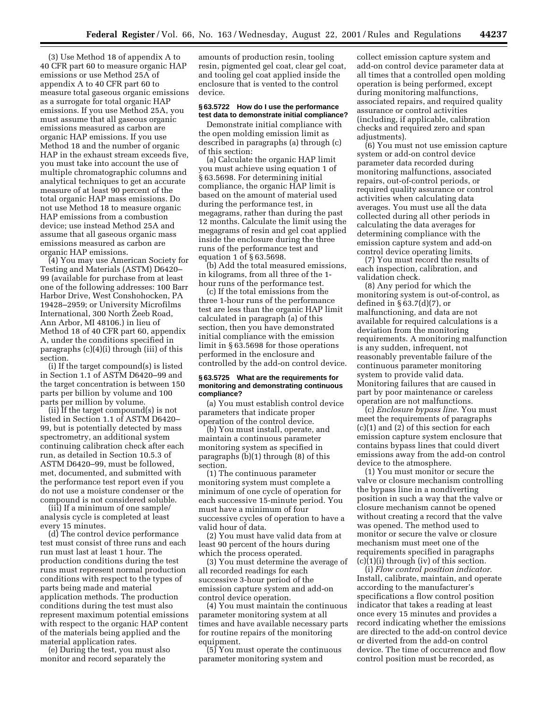(3) Use Method 18 of appendix A to 40 CFR part 60 to measure organic HAP emissions or use Method 25A of appendix A to 40 CFR part 60 to measure total gaseous organic emissions as a surrogate for total organic HAP emissions. If you use Method 25A, you must assume that all gaseous organic emissions measured as carbon are organic HAP emissions. If you use Method 18 and the number of organic HAP in the exhaust stream exceeds five, you must take into account the use of multiple chromatographic columns and analytical techniques to get an accurate measure of at least 90 percent of the total organic HAP mass emissions. Do not use Method 18 to measure organic HAP emissions from a combustion device; use instead Method 25A and assume that all gaseous organic mass emissions measured as carbon are organic HAP emissions.

(4) You may use American Society for Testing and Materials (ASTM) D6420– 99 (available for purchase from at least one of the following addresses: 100 Barr Harbor Drive, West Conshohocken, PA 19428–2959; or University Microfilms International, 300 North Zeeb Road, Ann Arbor, MI 48106.) in lieu of Method 18 of 40 CFR part 60, appendix A, under the conditions specified in paragraphs (c)(4)(i) through (iii) of this section.

(i) If the target compound(s) is listed in Section 1.1 of ASTM D6420–99 and the target concentration is between 150 parts per billion by volume and 100 parts per million by volume.

(ii) If the target compound(s) is not listed in Section 1.1 of ASTM D6420– 99, but is potentially detected by mass spectrometry, an additional system continuing calibration check after each run, as detailed in Section 10.5.3 of ASTM D6420–99, must be followed, met, documented, and submitted with the performance test report even if you do not use a moisture condenser or the compound is not considered soluble.

(iii) If a minimum of one sample/ analysis cycle is completed at least every 15 minutes.

(d) The control device performance test must consist of three runs and each run must last at least 1 hour. The production conditions during the test runs must represent normal production conditions with respect to the types of parts being made and material application methods. The production conditions during the test must also represent maximum potential emissions with respect to the organic HAP content of the materials being applied and the material application rates.

(e) During the test, you must also monitor and record separately the

amounts of production resin, tooling resin, pigmented gel coat, clear gel coat, and tooling gel coat applied inside the enclosure that is vented to the control device.

#### **§ 63.5722 How do I use the performance test data to demonstrate initial compliance?**

Demonstrate initial compliance with the open molding emission limit as described in paragraphs (a) through (c) of this section:

(a) Calculate the organic HAP limit you must achieve using equation 1 of § 63.5698. For determining initial compliance, the organic HAP limit is based on the amount of material used during the performance test, in megagrams, rather than during the past 12 months. Calculate the limit using the megagrams of resin and gel coat applied inside the enclosure during the three runs of the performance test and equation 1 of § 63.5698.

(b) Add the total measured emissions, in kilograms, from all three of the 1 hour runs of the performance test.

(c) If the total emissions from the three 1-hour runs of the performance test are less than the organic HAP limit calculated in paragraph (a) of this section, then you have demonstrated initial compliance with the emission limit in § 63.5698 for those operations performed in the enclosure and controlled by the add-on control device.

#### **§ 63.5725 What are the requirements for monitoring and demonstrating continuous compliance?**

(a) You must establish control device parameters that indicate proper operation of the control device.

(b) You must install, operate, and maintain a continuous parameter monitoring system as specified in paragraphs (b)(1) through (8) of this section.

(1) The continuous parameter monitoring system must complete a minimum of one cycle of operation for each successive 15-minute period. You must have a minimum of four successive cycles of operation to have a valid hour of data.

(2) You must have valid data from at least 90 percent of the hours during which the process operated.

(3) You must determine the average of all recorded readings for each successive 3-hour period of the emission capture system and add-on control device operation.

(4) You must maintain the continuous parameter monitoring system at all times and have available necessary parts for routine repairs of the monitoring equipment.

(5) You must operate the continuous parameter monitoring system and

collect emission capture system and add-on control device parameter data at all times that a controlled open molding operation is being performed, except during monitoring malfunctions, associated repairs, and required quality assurance or control activities (including, if applicable, calibration checks and required zero and span adjustments).

(6) You must not use emission capture system or add-on control device parameter data recorded during monitoring malfunctions, associated repairs, out-of-control periods, or required quality assurance or control activities when calculating data averages. You must use all the data collected during all other periods in calculating the data averages for determining compliance with the emission capture system and add-on control device operating limits.

(7) You must record the results of each inspection, calibration, and validation check.

(8) Any period for which the monitoring system is out-of-control, as defined in § 63.7(d)(7), or malfunctioning, and data are not available for required calculations is a deviation from the monitoring requirements. A monitoring malfunction is any sudden, infrequent, not reasonably preventable failure of the continuous parameter monitoring system to provide valid data. Monitoring failures that are caused in part by poor maintenance or careless operation are not malfunctions.

(c) *Enclosure bypass line.* You must meet the requirements of paragraphs (c)(1) and (2) of this section for each emission capture system enclosure that contains bypass lines that could divert emissions away from the add-on control device to the atmosphere.

(1) You must monitor or secure the valve or closure mechanism controlling the bypass line in a nondiverting position in such a way that the valve or closure mechanism cannot be opened without creating a record that the valve was opened. The method used to monitor or secure the valve or closure mechanism must meet one of the requirements specified in paragraphs (c)(1)(i) through (iv) of this section.

(i) *Flow control position indicator.* Install, calibrate, maintain, and operate according to the manufacturer's specifications a flow control position indicator that takes a reading at least once every 15 minutes and provides a record indicating whether the emissions are directed to the add-on control device or diverted from the add-on control device. The time of occurrence and flow control position must be recorded, as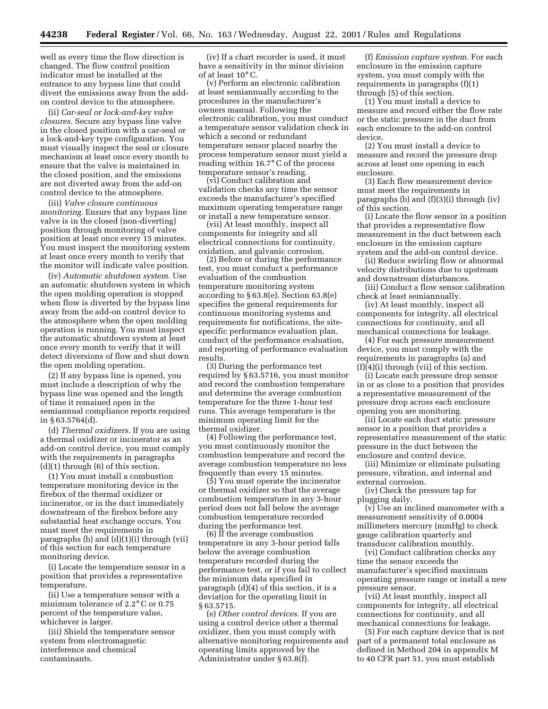well as every time the flow direction is changed. The flow control position indicator must be installed at the entrance to any bypass line that could divert the emissions away from the addon control device to the atmosphere.

(ii) *Car-seal or lock-and-key valve closures.* Secure any bypass line valve in the closed position with a car-seal or a lock-and-key type configuration. You must visually inspect the seal or closure mechanism at least once every month to ensure that the valve is maintained in the closed position, and the emissions are not diverted away from the add-on control device to the atmosphere.

(iii) *Valve closure continuous monitoring.* Ensure that any bypass line valve is in the closed (non-diverting) position through monitoring of valve position at least once every 15 minutes. You must inspect the monitoring system at least once every month to verify that the monitor will indicate valve position.

(iv) *Automatic shutdown system.* Use an automatic shutdown system in which the open molding operation is stopped when flow is diverted by the bypass line away from the add-on control device to the atmosphere when the open molding operation is running. You must inspect the automatic shutdown system at least once every month to verify that it will detect diversions of flow and shut down the open molding operation.

(2) If any bypass line is opened, you must include a description of why the bypass line was opened and the length of time it remained open in the semiannual compliance reports required in § 63.5764(d).

(d) *Thermal oxidizers.* If you are using a thermal oxidizer or incinerator as an add-on control device, you must comply with the requirements in paragraphs (d)(1) through (6) of this section.

(1) You must install a combustion temperature monitoring device in the firebox of the thermal oxidizer or incinerator, or in the duct immediately downstream of the firebox before any substantial heat exchange occurs. You must meet the requirements in paragraphs (b) and  $(d)(1)(i)$  through (vii) of this section for each temperature monitoring device.

(i) Locate the temperature sensor in a position that provides a representative temperature.

(ii) Use a temperature sensor with a minimum tolerance of 2.2° C or 0.75 percent of the temperature value, whichever is larger.

(iii) Shield the temperature sensor system from electromagnetic interference and chemical contaminants.

(iv) If a chart recorder is used, it must have a sensitivity in the minor division of at least 10° C.

(v) Perform an electronic calibration at least semiannually according to the procedures in the manufacturer's owners manual. Following the electronic calibration, you must conduct a temperature sensor validation check in which a second or redundant temperature sensor placed nearby the process temperature sensor must yield a reading within 16.7° C of the process temperature sensor's reading.

(vi) Conduct calibration and validation checks any time the sensor exceeds the manufacturer's specified maximum operating temperature range or install a new temperature sensor.

(vii) At least monthly, inspect all components for integrity and all electrical connections for continuity, oxidation, and galvanic corrosion.

(2) Before or during the performance test, you must conduct a performance evaluation of the combustion temperature monitoring system according to § 63.8(e). Section 63.8(e) specifies the general requirements for continuous monitoring systems and requirements for notifications, the sitespecific performance evaluation plan, conduct of the performance evaluation, and reporting of performance evaluation results.

(3) During the performance test required by § 63.5716, you must monitor and record the combustion temperature and determine the average combustion temperature for the three 1-hour test runs. This average temperature is the minimum operating limit for the thermal oxidizer.

(4) Following the performance test, you must continuously monitor the combustion temperature and record the average combustion temperature no less frequently than every 15 minutes.

(5) You must operate the incinerator or thermal oxidizer so that the average combustion temperature in any 3-hour period does not fall below the average combustion temperature recorded during the performance test.

(6) If the average combustion temperature in any 3-hour period falls below the average combustion temperature recorded during the performance test, or if you fail to collect the minimum data specified in paragraph (d)(4) of this section, it is a deviation for the operating limit in § 63.5715.

(e) *Other control devices.* If you are using a control device other a thermal oxidizer, then you must comply with alternative monitoring requirements and operating limits approved by the Administrator under § 63.8(f).

(f) *Emission capture system.* For each enclosure in the emission capture system, you must comply with the requirements in paragraphs (f)(1) through (5) of this section.

(1) You must install a device to measure and record either the flow rate or the static pressure in the duct from each enclosure to the add-on control device.

(2) You must install a device to measure and record the pressure drop across at least one opening in each enclosure.

(3) Each flow measurement device must meet the requirements in paragraphs (b) and (f)(3)(i) through (iv) of this section.

(i) Locate the flow sensor in a position that provides a representative flow measurement in the duct between each enclosure in the emission capture system and the add-on control device.

(ii) Reduce swirling flow or abnormal velocity distributions due to upstream and downstream disturbances.

(iii) Conduct a flow sensor calibration check at least semiannually.

(iv) At least monthly, inspect all components for integrity, all electrical connections for continuity, and all mechanical connections for leakage.

(4) For each pressure measurement device, you must comply with the requirements in paragraphs (a) and (f)(4)(i) through (vii) of this section.

(i) Locate each pressure drop sensor in or as close to a position that provides a representative measurement of the pressure drop across each enclosure opening you are monitoring.

(ii) Locate each duct static pressure sensor in a position that provides a representative measurement of the static pressure in the duct between the enclosure and control device.

(iii) Minimize or eliminate pulsating pressure, vibration, and internal and external corrosion.

(iv) Check the pressure tap for plugging daily.

(v) Use an inclined manometer with a measurement sensitivity of 0.0004 millimeters mercury (mmHg) to check gauge calibration quarterly and transducer calibration monthly.

(vi) Conduct calibration checks any time the sensor exceeds the manufacturer's specified maximum operating pressure range or install a new pressure sensor.

(vii) At least monthly, inspect all components for integrity, all electrical connections for continuity, and all mechanical connections for leakage.

(5) For each capture device that is not part of a permanent total enclosure as defined in Method 204 in appendix M to 40 CFR part 51, you must establish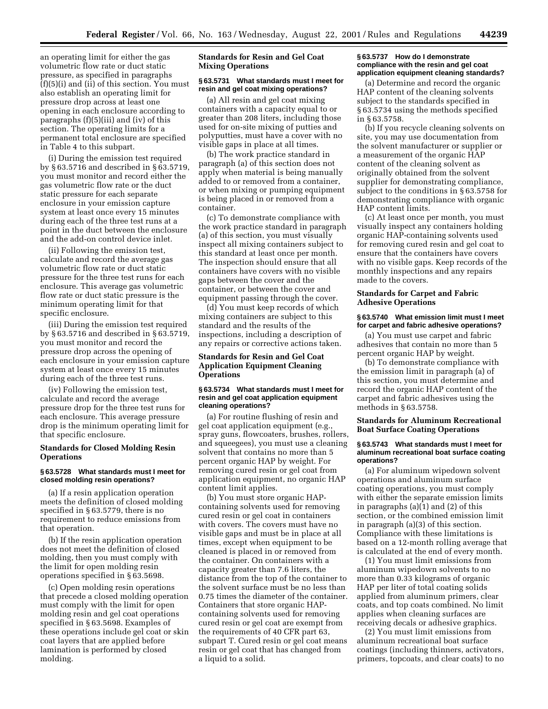an operating limit for either the gas volumetric flow rate or duct static pressure, as specified in paragraphs (f)(5)(i) and (ii) of this section. You must also establish an operating limit for pressure drop across at least one opening in each enclosure according to paragraphs (f)(5)(iii) and (iv) of this section. The operating limits for a permanent total enclosure are specified in Table 4 to this subpart.

(i) During the emission test required by § 63.5716 and described in § 63.5719, you must monitor and record either the gas volumetric flow rate or the duct static pressure for each separate enclosure in your emission capture system at least once every 15 minutes during each of the three test runs at a point in the duct between the enclosure and the add-on control device inlet.

(ii) Following the emission test, calculate and record the average gas volumetric flow rate or duct static pressure for the three test runs for each enclosure. This average gas volumetric flow rate or duct static pressure is the minimum operating limit for that specific enclosure.

(iii) During the emission test required by § 63.5716 and described in § 63.5719, you must monitor and record the pressure drop across the opening of each enclosure in your emission capture system at least once every 15 minutes during each of the three test runs.

(iv) Following the emission test, calculate and record the average pressure drop for the three test runs for each enclosure. This average pressure drop is the minimum operating limit for that specific enclosure.

## **Standards for Closed Molding Resin Operations**

#### **§ 63.5728 What standards must I meet for closed molding resin operations?**

(a) If a resin application operation meets the definition of closed molding specified in § 63.5779, there is no requirement to reduce emissions from that operation.

(b) If the resin application operation does not meet the definition of closed molding, then you must comply with the limit for open molding resin operations specified in § 63.5698.

(c) Open molding resin operations that precede a closed molding operation must comply with the limit for open molding resin and gel coat operations specified in § 63.5698. Examples of these operations include gel coat or skin coat layers that are applied before lamination is performed by closed molding.

## **Standards for Resin and Gel Coat Mixing Operations**

## **§ 63.5731 What standards must I meet for resin and gel coat mixing operations?**

(a) All resin and gel coat mixing containers with a capacity equal to or greater than 208 liters, including those used for on-site mixing of putties and polyputties, must have a cover with no visible gaps in place at all times.

(b) The work practice standard in paragraph (a) of this section does not apply when material is being manually added to or removed from a container, or when mixing or pumping equipment is being placed in or removed from a container.

(c) To demonstrate compliance with the work practice standard in paragraph (a) of this section, you must visually inspect all mixing containers subject to this standard at least once per month. The inspection should ensure that all containers have covers with no visible gaps between the cover and the container, or between the cover and equipment passing through the cover.

(d) You must keep records of which mixing containers are subject to this standard and the results of the inspections, including a description of any repairs or corrective actions taken.

## **Standards for Resin and Gel Coat Application Equipment Cleaning Operations**

#### **§ 63.5734 What standards must I meet for resin and gel coat application equipment cleaning operations?**

(a) For routine flushing of resin and gel coat application equipment (e.g., spray guns, flowcoaters, brushes, rollers, and squeegees), you must use a cleaning solvent that contains no more than 5 percent organic HAP by weight. For removing cured resin or gel coat from application equipment, no organic HAP content limit applies.

(b) You must store organic HAPcontaining solvents used for removing cured resin or gel coat in containers with covers. The covers must have no visible gaps and must be in place at all times, except when equipment to be cleaned is placed in or removed from the container. On containers with a capacity greater than 7.6 liters, the distance from the top of the container to the solvent surface must be no less than 0.75 times the diameter of the container. Containers that store organic HAPcontaining solvents used for removing cured resin or gel coat are exempt from the requirements of 40 CFR part 63, subpart T. Cured resin or gel coat means resin or gel coat that has changed from a liquid to a solid.

### **§ 63.5737 How do I demonstrate compliance with the resin and gel coat application equipment cleaning standards?**

(a) Determine and record the organic HAP content of the cleaning solvents subject to the standards specified in § 63.5734 using the methods specified in § 63.5758.

(b) If you recycle cleaning solvents on site, you may use documentation from the solvent manufacturer or supplier or a measurement of the organic HAP content of the cleaning solvent as originally obtained from the solvent supplier for demonstrating compliance, subject to the conditions in § 63.5758 for demonstrating compliance with organic HAP content limits.

(c) At least once per month, you must visually inspect any containers holding organic HAP-containing solvents used for removing cured resin and gel coat to ensure that the containers have covers with no visible gaps. Keep records of the monthly inspections and any repairs made to the covers.

## **Standards for Carpet and Fabric Adhesive Operations**

#### **§ 63.5740 What emission limit must I meet for carpet and fabric adhesive operations?**

(a) You must use carpet and fabric adhesives that contain no more than 5 percent organic HAP by weight.

(b) To demonstrate compliance with the emission limit in paragraph (a) of this section, you must determine and record the organic HAP content of the carpet and fabric adhesives using the methods in § 63.5758.

## **Standards for Aluminum Recreational Boat Surface Coating Operations**

#### **§ 63.5743 What standards must I meet for aluminum recreational boat surface coating operations?**

(a) For aluminum wipedown solvent operations and aluminum surface coating operations, you must comply with either the separate emission limits in paragraphs (a)(1) and (2) of this section, or the combined emission limit in paragraph (a)(3) of this section. Compliance with these limitations is based on a 12-month rolling average that is calculated at the end of every month.

(1) You must limit emissions from aluminum wipedown solvents to no more than 0.33 kilograms of organic HAP per liter of total coating solids applied from aluminum primers, clear coats, and top coats combined. No limit applies when cleaning surfaces are receiving decals or adhesive graphics.

(2) You must limit emissions from aluminum recreational boat surface coatings (including thinners, activators, primers, topcoats, and clear coats) to no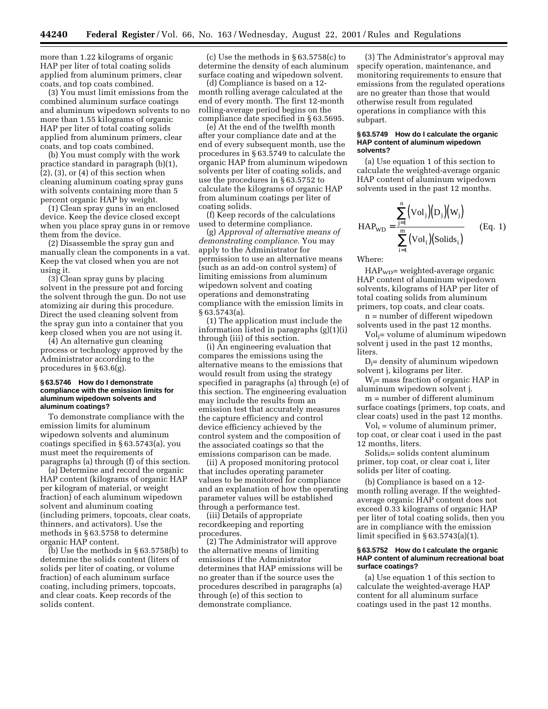more than 1.22 kilograms of organic HAP per liter of total coating solids applied from aluminum primers, clear coats, and top coats combined.

(3) You must limit emissions from the combined aluminum surface coatings and aluminum wipedown solvents to no more than 1.55 kilograms of organic HAP per liter of total coating solids applied from aluminum primers, clear coats, and top coats combined.

(b) You must comply with the work practice standard in paragraph (b)(1),  $(2)$ ,  $(3)$ , or  $(4)$  of this section when cleaning aluminum coating spray guns with solvents containing more than 5 percent organic HAP by weight.

(1) Clean spray guns in an enclosed device. Keep the device closed except when you place spray guns in or remove them from the device.

(2) Disassemble the spray gun and manually clean the components in a vat. Keep the vat closed when you are not using it.

(3) Clean spray guns by placing solvent in the pressure pot and forcing the solvent through the gun. Do not use atomizing air during this procedure. Direct the used cleaning solvent from the spray gun into a container that you keep closed when you are not using it.

(4) An alternative gun cleaning process or technology approved by the Administrator according to the procedures in § 63.6(g).

#### **§ 63.5746 How do I demonstrate compliance with the emission limits for aluminum wipedown solvents and aluminum coatings?**

To demonstrate compliance with the emission limits for aluminum wipedown solvents and aluminum coatings specified in § 63.5743(a), you must meet the requirements of paragraphs (a) through (f) of this section.

(a) Determine and record the organic HAP content (kilograms of organic HAP per kilogram of material, or weight fraction) of each aluminum wipedown solvent and aluminum coating (including primers, topcoats, clear coats, thinners, and activators). Use the methods in § 63.5758 to determine organic HAP content.

(b) Use the methods in § 63.5758(b) to determine the solids content (liters of solids per liter of coating, or volume fraction) of each aluminum surface coating, including primers, topcoats, and clear coats. Keep records of the solids content.

(c) Use the methods in § 63.5758(c) to determine the density of each aluminum surface coating and wipedown solvent.

(d) Compliance is based on a 12 month rolling average calculated at the end of every month. The first 12-month rolling-average period begins on the compliance date specified in § 63.5695.

(e) At the end of the twelfth month after your compliance date and at the end of every subsequent month, use the procedures in § 63.5749 to calculate the organic HAP from aluminum wipedown solvents per liter of coating solids, and use the procedures in § 63.5752 to calculate the kilograms of organic HAP from aluminum coatings per liter of coating solids.

(f) Keep records of the calculations used to determine compliance.

(g) *Approval of alternative means of demonstrating compliance.* You may apply to the Administrator for permission to use an alternative means (such as an add-on control system) of limiting emissions from aluminum wipedown solvent and coating operations and demonstrating compliance with the emission limits in § 63.5743(a).

(1) The application must include the information listed in paragraphs (g)(1)(i) through (iii) of this section.

(i) An engineering evaluation that compares the emissions using the alternative means to the emissions that would result from using the strategy specified in paragraphs (a) through (e) of this section. The engineering evaluation may include the results from an emission test that accurately measures the capture efficiency and control device efficiency achieved by the control system and the composition of the associated coatings so that the emissions comparison can be made.

(ii) A proposed monitoring protocol that includes operating parameter values to be monitored for compliance and an explanation of how the operating parameter values will be established through a performance test.

(iii) Details of appropriate recordkeeping and reporting procedures.

(2) The Administrator will approve the alternative means of limiting emissions if the Administrator determines that HAP emissions will be no greater than if the source uses the procedures described in paragraphs (a) through (e) of this section to demonstrate compliance.

(3) The Administrator's approval may specify operation, maintenance, and monitoring requirements to ensure that emissions from the regulated operations are no greater than those that would otherwise result from regulated operations in compliance with this subpart.

#### **§ 63.5749 How do I calculate the organic HAP content of aluminum wipedown solvents?**

(a) Use equation 1 of this section to calculate the weighted-average organic HAP content of aluminum wipedown solvents used in the past 12 months.

$$
HAP_{WD} = \frac{\sum_{j=1}^{n} (Vol_j)(D_j)(W_j)}{\sum_{i=1}^{m} (Vol_i)(Solids_i)}
$$
 (Eq. 1)

Where:

HAP<sub>WD</sub>= weighted-average organic HAP content of aluminum wipedown solvents, kilograms of HAP per liter of total coating solids from aluminum primers, top coats, and clear coats.

n = number of different wipedown solvents used in the past 12 months.

Volj= volume of aluminum wipedown solvent j used in the past 12 months, liters.

 $D_i$ = density of aluminum wipedown solvent j, kilograms per liter.

 $W_i$ = mass fraction of organic HAP in aluminum wipedown solvent j.

m = number of different aluminum surface coatings (primers, top coats, and clear coats) used in the past 12 months.

 $Vol_i =$  volume of aluminum primer, top coat, or clear coat i used in the past 12 months, liters.

 $Solids_i =$  solids content aluminum primer, top coat, or clear coat i, liter solids per liter of coating.

(b) Compliance is based on a 12 month rolling average. If the weightedaverage organic HAP content does not exceed 0.33 kilograms of organic HAP per liter of total coating solids, then you are in compliance with the emission limit specified in § 63.5743(a)(1).

#### **§ 63.5752 How do I calculate the organic HAP content of aluminum recreational boat surface coatings?**

(a) Use equation 1 of this section to calculate the weighted-average HAP content for all aluminum surface coatings used in the past 12 months.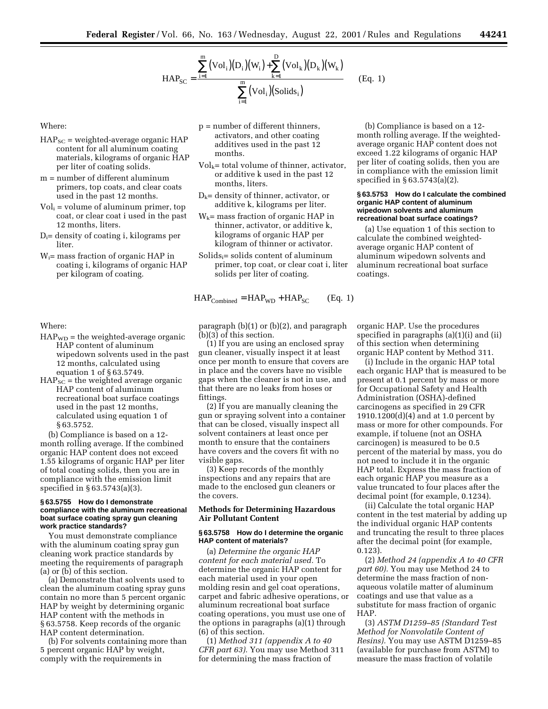$$
HAP_{SC} = \frac{\sum_{i=1}^{m} (Vol_i)(D_i)(W_i) + \sum_{k=1}^{D} (Vol_k)(D_k)(W_k)}{\sum_{i=1}^{m} (Vol_i)(Solids_i)}
$$
(Eq. 1)

Where:

- $HAP_{SC}$  = weighted-average organic  $HAP$ content for all aluminum coating materials, kilograms of organic HAP per liter of coating solids.
- m = number of different aluminum primers, top coats, and clear coats used in the past 12 months.
- $Vol<sub>i</sub> = volume of aluminum primer, top$ coat, or clear coat i used in the past 12 months, liters.
- $D_i$ = density of coating i, kilograms per liter.
- Wi= mass fraction of organic HAP in coating i, kilograms of organic HAP per kilogram of coating.

## Where:

- $HAP_{WD}$  = the weighted-average organic HAP content of aluminum wipedown solvents used in the past 12 months, calculated using equation 1 of § 63.5749.
- $HAP_{SC}$  = the weighted average organic HAP content of aluminum recreational boat surface coatings used in the past 12 months, calculated using equation 1 of § 63.5752.

(b) Compliance is based on a 12 month rolling average. If the combined organic HAP content does not exceed 1.55 kilograms of organic HAP per liter of total coating solids, then you are in compliance with the emission limit specified in § 63.5743(a)(3).

#### **§ 63.5755 How do I demonstrate compliance with the aluminum recreational boat surface coating spray gun cleaning work practice standards?**

You must demonstrate compliance with the aluminum coating spray gun cleaning work practice standards by meeting the requirements of paragraph (a) or (b) of this section.

(a) Demonstrate that solvents used to clean the aluminum coating spray guns contain no more than 5 percent organic HAP by weight by determining organic HAP content with the methods in § 63.5758. Keep records of the organic HAP content determination.

(b) For solvents containing more than 5 percent organic HAP by weight, comply with the requirements in

- p = number of different thinners, activators, and other coating additives used in the past 12 months.
- $Vol_k =$  total volume of thinner, activator, or additive k used in the past 12 months, liters.
- $D_k$ = density of thinner, activator, or additive k, kilograms per liter.
- $W_k$ = mass fraction of organic HAP in thinner, activator, or additive k, kilograms of organic HAP per kilogram of thinner or activator.
- $Solids_i =$  solids content of aluminum primer, top coat, or clear coat i, liter solids per liter of coating.

 $HAP_{\text{Combined}} = HAP_{\text{WD}} + HAP_{\text{SC}}$  (Eq. 1)

paragraph (b)(1) or (b)(2), and paragraph (b)(3) of this section.

(1) If you are using an enclosed spray gun cleaner, visually inspect it at least once per month to ensure that covers are in place and the covers have no visible gaps when the cleaner is not in use, and that there are no leaks from hoses or fittings.

(2) If you are manually cleaning the gun or spraying solvent into a container that can be closed, visually inspect all solvent containers at least once per month to ensure that the containers have covers and the covers fit with no visible gaps.

(3) Keep records of the monthly inspections and any repairs that are made to the enclosed gun cleaners or the covers.

#### **Methods for Determining Hazardous Air Pollutant Content**

#### **§ 63.5758 How do I determine the organic HAP content of materials?**

(a) *Determine the organic HAP content for each material used.* To determine the organic HAP content for each material used in your open molding resin and gel coat operations, carpet and fabric adhesive operations, or aluminum recreational boat surface coating operations, you must use one of the options in paragraphs (a)(1) through (6) of this section.

(1) *Method 311 (appendix A to 40 CFR part 63).* You may use Method 311 for determining the mass fraction of

(b) Compliance is based on a 12 month rolling average. If the weightedaverage organic HAP content does not exceed 1.22 kilograms of organic HAP per liter of coating solids, then you are in compliance with the emission limit specified in § 63.5743(a)(2).

#### **§ 63.5753 How do I calculate the combined organic HAP content of aluminum wipedown solvents and aluminum recreational boat surface coatings?**

(a) Use equation 1 of this section to calculate the combined weightedaverage organic HAP content of aluminum wipedown solvents and aluminum recreational boat surface coatings.

organic HAP. Use the procedures specified in paragraphs (a)(1)(i) and (ii) of this section when determining organic HAP content by Method 311.

(i) Include in the organic HAP total each organic HAP that is measured to be present at 0.1 percent by mass or more for Occupational Safety and Health Administration (OSHA)-defined carcinogens as specified in 29 CFR 1910.1200(d)(4) and at 1.0 percent by mass or more for other compounds. For example, if toluene (not an OSHA carcinogen) is measured to be 0.5 percent of the material by mass, you do not need to include it in the organic HAP total. Express the mass fraction of each organic HAP you measure as a value truncated to four places after the decimal point (for example, 0.1234).

(ii) Calculate the total organic HAP content in the test material by adding up the individual organic HAP contents and truncating the result to three places after the decimal point (for example, 0.123).

(2) *Method 24 (appendix A to 40 CFR part 60).* You may use Method 24 to determine the mass fraction of nonaqueous volatile matter of aluminum coatings and use that value as a substitute for mass fraction of organic HAP.

(3) *ASTM D1259–85 (Standard Test Method for Nonvolatile Content of Resins).* You may use ASTM D1259–85 (available for purchase from ASTM) to measure the mass fraction of volatile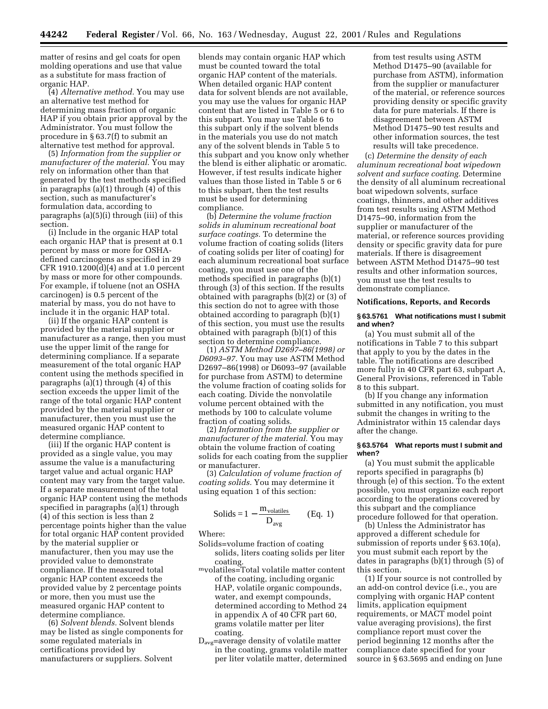matter of resins and gel coats for open molding operations and use that value as a substitute for mass fraction of organic HAP.

(4) *Alternative method.* You may use an alternative test method for determining mass fraction of organic HAP if you obtain prior approval by the Administrator. You must follow the procedure in § 63.7(f) to submit an alternative test method for approval.

(5) *Information from the supplier or manufacturer of the material.* You may rely on information other than that generated by the test methods specified in paragraphs (a)(1) through (4) of this section, such as manufacturer's formulation data, according to paragraphs (a)(5)(i) through (iii) of this section.

(i) Include in the organic HAP total each organic HAP that is present at 0.1 percent by mass or more for OSHAdefined carcinogens as specified in 29 CFR 1910.1200(d)(4) and at 1.0 percent by mass or more for other compounds. For example, if toluene (not an OSHA carcinogen) is 0.5 percent of the material by mass, you do not have to include it in the organic HAP total.

(ii) If the organic HAP content is provided by the material supplier or manufacturer as a range, then you must use the upper limit of the range for determining compliance. If a separate measurement of the total organic HAP content using the methods specified in paragraphs (a)(1) through (4) of this section exceeds the upper limit of the range of the total organic HAP content provided by the material supplier or manufacturer, then you must use the measured organic HAP content to determine compliance.

(iii) If the organic HAP content is provided as a single value, you may assume the value is a manufacturing target value and actual organic HAP content may vary from the target value. If a separate measurement of the total organic HAP content using the methods specified in paragraphs (a)(1) through (4) of this section is less than 2 percentage points higher than the value for total organic HAP content provided by the material supplier or manufacturer, then you may use the provided value to demonstrate compliance. If the measured total organic HAP content exceeds the provided value by 2 percentage points or more, then you must use the measured organic HAP content to determine compliance.

(6) *Solvent blends.* Solvent blends may be listed as single components for some regulated materials in certifications provided by manufacturers or suppliers. Solvent

blends may contain organic HAP which must be counted toward the total organic HAP content of the materials. When detailed organic HAP content data for solvent blends are not available, you may use the values for organic HAP content that are listed in Table 5 or 6 to this subpart. You may use Table 6 to this subpart only if the solvent blends in the materials you use do not match any of the solvent blends in Table 5 to this subpart and you know only whether the blend is either aliphatic or aromatic. However, if test results indicate higher values than those listed in Table 5 or 6 to this subpart, then the test results must be used for determining compliance.

(b) *Determine the volume fraction solids in aluminum recreational boat surface coatings.* To determine the volume fraction of coating solids (liters of coating solids per liter of coating) for each aluminum recreational boat surface coating, you must use one of the methods specified in paragraphs (b)(1) through (3) of this section. If the results obtained with paragraphs (b)(2) or (3) of this section do not to agree with those obtained according to paragraph (b)(1) of this section, you must use the results obtained with paragraph (b)(1) of this section to determine compliance.

(1) *ASTM Method D2697–86(1998) or D6093–97.* You may use ASTM Method D2697–86(1998) or D6093–97 (available for purchase from ASTM) to determine the volume fraction of coating solids for each coating. Divide the nonvolatile volume percent obtained with the methods by 100 to calculate volume fraction of coating solids.

(2) *Information from the supplier or manufacturer of the material.* You may obtain the volume fraction of coating solids for each coating from the supplier or manufacturer.

(3) *Calculation of volume fraction of coating solids.* You may determine it using equation 1 of this section:

$$
Solids = 1 - \frac{m_{volatiles}}{D_{avg}}
$$
 (Eq. 1)

Where:

- Solids=volume fraction of coating solids, liters coating solids per liter
- coating. mvolatiles=Total volatile matter content of the coating, including organic HAP, volatile organic compounds, water, and exempt compounds, determined according to Method 24 in appendix A of 40 CFR part 60, grams volatile matter per liter coating.
- Davg=average density of volatile matter in the coating, grams volatile matter per liter volatile matter, determined

from test results using ASTM Method D1475–90 (available for purchase from ASTM), information from the supplier or manufacturer of the material, or reference sources providing density or specific gravity data for pure materials. If there is disagreement between ASTM Method D1475–90 test results and other information sources, the test results will take precedence.

(c) *Determine the density of each aluminum recreational boat wipedown solvent and surface coating.* Determine the density of all aluminum recreational boat wipedown solvents, surface coatings, thinners, and other additives from test results using ASTM Method D1475–90, information from the supplier or manufacturer of the material, or reference sources providing density or specific gravity data for pure materials. If there is disagreement between ASTM Method D1475–90 test results and other information sources, you must use the test results to demonstrate compliance.

#### **Notifications, Reports, and Records**

#### **§ 63.5761 What notifications must I submit and when?**

(a) You must submit all of the notifications in Table 7 to this subpart that apply to you by the dates in the table. The notifications are described more fully in 40 CFR part 63, subpart A, General Provisions, referenced in Table 8 to this subpart.

(b) If you change any information submitted in any notification, you must submit the changes in writing to the Administrator within 15 calendar days after the change.

#### **§ 63.5764 What reports must I submit and when?**

(a) You must submit the applicable reports specified in paragraphs (b) through (e) of this section. To the extent possible, you must organize each report according to the operations covered by this subpart and the compliance procedure followed for that operation.

(b) Unless the Administrator has approved a different schedule for submission of reports under § 63.10(a), you must submit each report by the dates in paragraphs (b)(1) through (5) of this section.

(1) If your source is not controlled by an add-on control device (i.e., you are complying with organic HAP content limits, application equipment requirements, or MACT model point value averaging provisions), the first compliance report must cover the period beginning 12 months after the compliance date specified for your source in § 63.5695 and ending on June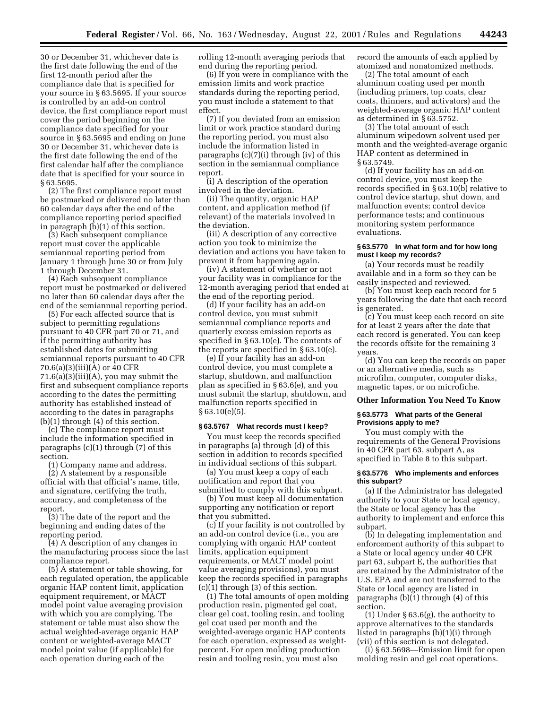30 or December 31, whichever date is the first date following the end of the first 12-month period after the compliance date that is specified for your source in § 63.5695. If your source is controlled by an add-on control device, the first compliance report must cover the period beginning on the compliance date specified for your source in § 63.5695 and ending on June 30 or December 31, whichever date is the first date following the end of the first calendar half after the compliance date that is specified for your source in § 63.5695.

(2) The first compliance report must be postmarked or delivered no later than 60 calendar days after the end of the compliance reporting period specified in paragraph (b)(1) of this section.

(3) Each subsequent compliance report must cover the applicable semiannual reporting period from January 1 through June 30 or from July 1 through December 31.

(4) Each subsequent compliance report must be postmarked or delivered no later than 60 calendar days after the end of the semiannual reporting period.

(5) For each affected source that is subject to permitting regulations pursuant to 40 CFR part 70 or 71, and if the permitting authority has established dates for submitting semiannual reports pursuant to 40 CFR 70.6(a)(3)(iii)(A) or 40 CFR 71.6(a)(3)(iii)(A), you may submit the first and subsequent compliance reports according to the dates the permitting authority has established instead of according to the dates in paragraphs (b)(1) through (4) of this section.

(c) The compliance report must include the information specified in paragraphs (c)(1) through (7) of this section.

(1) Company name and address.

(2) A statement by a responsible official with that official's name, title, and signature, certifying the truth, accuracy, and completeness of the report.

(3) The date of the report and the beginning and ending dates of the reporting period.

(4) A description of any changes in the manufacturing process since the last compliance report.

(5) A statement or table showing, for each regulated operation, the applicable organic HAP content limit, application equipment requirement, or MACT model point value averaging provision with which you are complying. The statement or table must also show the actual weighted-average organic HAP content or weighted-average MACT model point value (if applicable) for each operation during each of the

rolling 12-month averaging periods that end during the reporting period.

(6) If you were in compliance with the emission limits and work practice standards during the reporting period, you must include a statement to that effect.

(7) If you deviated from an emission limit or work practice standard during the reporting period, you must also include the information listed in paragraphs (c)(7)(i) through (iv) of this section in the semiannual compliance report.

(i) A description of the operation involved in the deviation.

(ii) The quantity, organic HAP content, and application method (if relevant) of the materials involved in the deviation.

(iii) A description of any corrective action you took to minimize the deviation and actions you have taken to prevent it from happening again.

(iv) A statement of whether or not your facility was in compliance for the 12-month averaging period that ended at the end of the reporting period.

(d) If your facility has an add-on control device, you must submit semiannual compliance reports and quarterly excess emission reports as specified in § 63.10(e). The contents of the reports are specified in § 63.10(e).

(e) If your facility has an add-on control device, you must complete a startup, shutdown, and malfunction plan as specified in § 63.6(e), and you must submit the startup, shutdown, and malfunction reports specified in  $§ 63.10(e)(5).$ 

#### **§ 63.5767 What records must I keep?**

You must keep the records specified in paragraphs (a) through (d) of this section in addition to records specified in individual sections of this subpart.

(a) You must keep a copy of each notification and report that you submitted to comply with this subpart.

(b) You must keep all documentation supporting any notification or report that you submitted.

(c) If your facility is not controlled by an add-on control device (i.e., you are complying with organic HAP content limits, application equipment requirements, or MACT model point value averaging provisions), you must keep the records specified in paragraphs (c)(1) through (3) of this section.

(1) The total amounts of open molding production resin, pigmented gel coat, clear gel coat, tooling resin, and tooling gel coat used per month and the weighted-average organic HAP contents for each operation, expressed as weightpercent. For open molding production resin and tooling resin, you must also

record the amounts of each applied by atomized and nonatomized methods.

(2) The total amount of each aluminum coating used per month (including primers, top coats, clear coats, thinners, and activators) and the weighted-average organic HAP content as determined in § 63.5752.

(3) The total amount of each aluminum wipedown solvent used per month and the weighted-average organic HAP content as determined in § 63.5749.

(d) If your facility has an add-on control device, you must keep the records specified in § 63.10(b) relative to control device startup, shut down, and malfunction events; control device performance tests; and continuous monitoring system performance evaluations.

#### **§ 63.5770 In what form and for how long must I keep my records?**

(a) Your records must be readily available and in a form so they can be easily inspected and reviewed.

(b) You must keep each record for 5 years following the date that each record is generated.

(c) You must keep each record on site for at least 2 years after the date that each record is generated. You can keep the records offsite for the remaining 3 years.

(d) You can keep the records on paper or an alternative media, such as microfilm, computer, computer disks, magnetic tapes, or on microfiche.

## **Other Information You Need To Know**

## **§ 63.5773 What parts of the General Provisions apply to me?**

You must comply with the requirements of the General Provisions in 40 CFR part 63, subpart A, as specified in Table 8 to this subpart.

#### **§ 63.5776 Who implements and enforces this subpart?**

(a) If the Administrator has delegated authority to your State or local agency, the State or local agency has the authority to implement and enforce this subpart.

(b) In delegating implementation and enforcement authority of this subpart to a State or local agency under 40 CFR part 63, subpart E, the authorities that are retained by the Administrator of the U.S. EPA and are not transferred to the State or local agency are listed in paragraphs (b)(1) through (4) of this section.

(1) Under § 63.6(g), the authority to approve alternatives to the standards listed in paragraphs (b)(1)(i) through (vii) of this section is not delegated.

(i) § 63.5698—Emission limit for open molding resin and gel coat operations.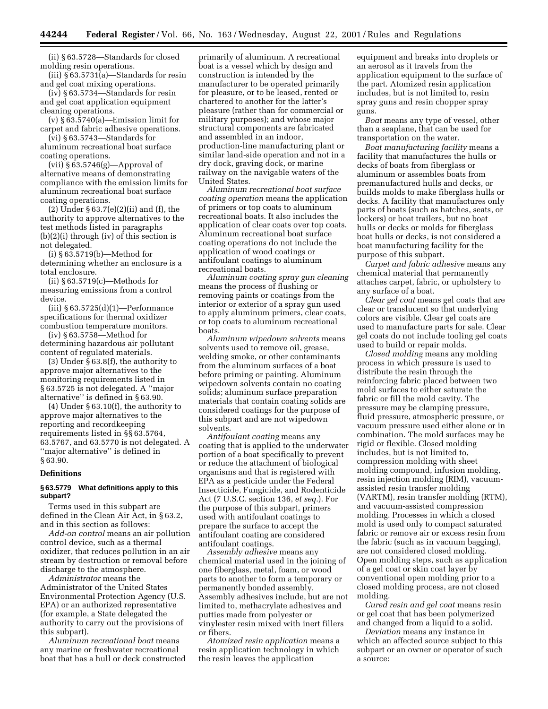(ii) § 63.5728—Standards for closed molding resin operations.

(iii) § 63.5731(a)—Standards for resin and gel coat mixing operations.

(iv) § 63.5734—Standards for resin and gel coat application equipment cleaning operations.

(v) § 63.5740(a)—Emission limit for carpet and fabric adhesive operations.

(vi) § 63.5743—Standards for aluminum recreational boat surface coating operations.

(vii) § 63.5746(g)—Approval of alternative means of demonstrating compliance with the emission limits for aluminum recreational boat surface coating operations.

(2) Under § 63.7(e)(2)(ii) and (f), the authority to approve alternatives to the test methods listed in paragraphs (b)(2)(i) through (iv) of this section is not delegated.

(i) § 63.5719(b)—Method for determining whether an enclosure is a total enclosure.

(ii) § 63.5719(c)—Methods for measuring emissions from a control device.

(iii) § 63.5725(d)(1)—Performance specifications for thermal oxidizer combustion temperature monitors.

(iv) § 63.5758—Method for determining hazardous air pollutant content of regulated materials.

(3) Under § 63.8(f), the authority to approve major alternatives to the monitoring requirements listed in § 63.5725 is not delegated. A ''major alternative'' is defined in § 63.90.

(4) Under § 63.10(f), the authority to approve major alternatives to the reporting and recordkeeping requirements listed in §§ 63.5764, 63.5767, and 63.5770 is not delegated. A ''major alternative'' is defined in § 63.90.

#### **Definitions**

## **§ 63.5779 What definitions apply to this subpart?**

Terms used in this subpart are defined in the Clean Air Act, in § 63.2, and in this section as follows:

*Add-on control* means an air pollution control device, such as a thermal oxidizer, that reduces pollution in an air stream by destruction or removal before discharge to the atmosphere.

*Administrator* means the Administrator of the United States Environmental Protection Agency (U.S. EPA) or an authorized representative (for example, a State delegated the authority to carry out the provisions of this subpart).

*Aluminum recreational boat* means any marine or freshwater recreational boat that has a hull or deck constructed primarily of aluminum. A recreational boat is a vessel which by design and construction is intended by the manufacturer to be operated primarily for pleasure, or to be leased, rented or chartered to another for the latter's pleasure (rather than for commercial or military purposes); and whose major structural components are fabricated and assembled in an indoor, production-line manufacturing plant or similar land-side operation and not in a dry dock, graving dock, or marine railway on the navigable waters of the United States.

*Aluminum recreational boat surface coating operation* means the application of primers or top coats to aluminum recreational boats. It also includes the application of clear coats over top coats. Aluminum recreational boat surface coating operations do not include the application of wood coatings or antifoulant coatings to aluminum recreational boats.

*Aluminum coating spray gun cleaning* means the process of flushing or removing paints or coatings from the interior or exterior of a spray gun used to apply aluminum primers, clear coats, or top coats to aluminum recreational boats.

*Aluminum wipedown solvents* means solvents used to remove oil, grease, welding smoke, or other contaminants from the aluminum surfaces of a boat before priming or painting. Aluminum wipedown solvents contain no coating solids; aluminum surface preparation materials that contain coating solids are considered coatings for the purpose of this subpart and are not wipedown solvents.

*Antifoulant coating* means any coating that is applied to the underwater portion of a boat specifically to prevent or reduce the attachment of biological organisms and that is registered with EPA as a pesticide under the Federal Insecticide, Fungicide, and Rodenticide Act (7 U.S.C. section 136, *et seq.*). For the purpose of this subpart, primers used with antifoulant coatings to prepare the surface to accept the antifoulant coating are considered antifoulant coatings.

*Assembly adhesive* means any chemical material used in the joining of one fiberglass, metal, foam, or wood parts to another to form a temporary or permanently bonded assembly. Assembly adhesives include, but are not limited to, methacrylate adhesives and putties made from polyester or vinylester resin mixed with inert fillers or fibers.

*Atomized resin application* means a resin application technology in which the resin leaves the application

equipment and breaks into droplets or an aerosol as it travels from the application equipment to the surface of the part. Atomized resin application includes, but is not limited to, resin spray guns and resin chopper spray guns.

*Boat* means any type of vessel, other than a seaplane, that can be used for transportation on the water.

*Boat manufacturing facility* means a facility that manufactures the hulls or decks of boats from fiberglass or aluminum or assembles boats from premanufactured hulls and decks, or builds molds to make fiberglass hulls or decks. A facility that manufactures only parts of boats (such as hatches, seats, or lockers) or boat trailers, but no boat hulls or decks or molds for fiberglass boat hulls or decks, is not considered a boat manufacturing facility for the purpose of this subpart.

*Carpet and fabric adhesive* means any chemical material that permanently attaches carpet, fabric, or upholstery to any surface of a boat.

*Clear gel coat* means gel coats that are clear or translucent so that underlying colors are visible. Clear gel coats are used to manufacture parts for sale. Clear gel coats do not include tooling gel coats used to build or repair molds.

*Closed molding* means any molding process in which pressure is used to distribute the resin through the reinforcing fabric placed between two mold surfaces to either saturate the fabric or fill the mold cavity. The pressure may be clamping pressure, fluid pressure, atmospheric pressure, or vacuum pressure used either alone or in combination. The mold surfaces may be rigid or flexible. Closed molding includes, but is not limited to, compression molding with sheet molding compound, infusion molding, resin injection molding (RIM), vacuumassisted resin transfer molding (VARTM), resin transfer molding (RTM), and vacuum-assisted compression molding. Processes in which a closed mold is used only to compact saturated fabric or remove air or excess resin from the fabric (such as in vacuum bagging), are not considered closed molding. Open molding steps, such as application of a gel coat or skin coat layer by conventional open molding prior to a closed molding process, are not closed molding.

*Cured resin and gel coat* means resin or gel coat that has been polymerized and changed from a liquid to a solid.

*Deviation* means any instance in which an affected source subject to this subpart or an owner or operator of such a source: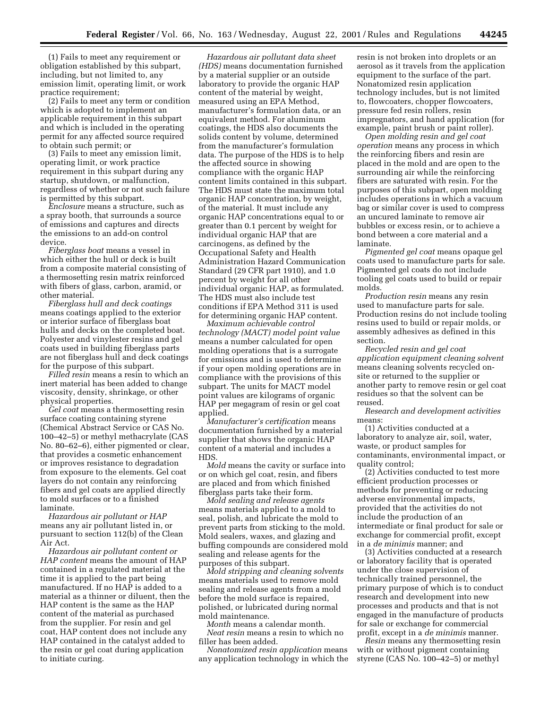(1) Fails to meet any requirement or obligation established by this subpart, including, but not limited to, any emission limit, operating limit, or work practice requirement;

(2) Fails to meet any term or condition which is adopted to implement an applicable requirement in this subpart and which is included in the operating permit for any affected source required to obtain such permit; or

(3) Fails to meet any emission limit, operating limit, or work practice requirement in this subpart during any startup, shutdown, or malfunction, regardless of whether or not such failure is permitted by this subpart.

*Enclosure* means a structure, such as a spray booth, that surrounds a source of emissions and captures and directs the emissions to an add-on control device.

*Fiberglass boat* means a vessel in which either the hull or deck is built from a composite material consisting of a thermosetting resin matrix reinforced with fibers of glass, carbon, aramid, or other material.

*Fiberglass hull and deck coatings* means coatings applied to the exterior or interior surface of fiberglass boat hulls and decks on the completed boat. Polyester and vinylester resins and gel coats used in building fiberglass parts are not fiberglass hull and deck coatings for the purpose of this subpart.

*Filled resin* means a resin to which an inert material has been added to change viscosity, density, shrinkage, or other physical properties.

*Gel coat* means a thermosetting resin surface coating containing styrene (Chemical Abstract Service or CAS No. 100–42–5) or methyl methacrylate (CAS No. 80–62–6), either pigmented or clear, that provides a cosmetic enhancement or improves resistance to degradation from exposure to the elements. Gel coat layers do not contain any reinforcing fibers and gel coats are applied directly to mold surfaces or to a finished laminate.

*Hazardous air pollutant or HAP* means any air pollutant listed in, or pursuant to section 112(b) of the Clean Air Act.

*Hazardous air pollutant content or HAP content* means the amount of HAP contained in a regulated material at the time it is applied to the part being manufactured. If no HAP is added to a material as a thinner or diluent, then the HAP content is the same as the HAP content of the material as purchased from the supplier. For resin and gel coat, HAP content does not include any HAP contained in the catalyst added to the resin or gel coat during application to initiate curing.

*Hazardous air pollutant data sheet (HDS)* means documentation furnished by a material supplier or an outside laboratory to provide the organic HAP content of the material by weight, measured using an EPA Method, manufacturer's formulation data, or an equivalent method. For aluminum coatings, the HDS also documents the solids content by volume, determined from the manufacturer's formulation data. The purpose of the HDS is to help the affected source in showing compliance with the organic HAP content limits contained in this subpart. The HDS must state the maximum total organic HAP concentration, by weight, of the material. It must include any organic HAP concentrations equal to or greater than 0.1 percent by weight for individual organic HAP that are carcinogens, as defined by the Occupational Safety and Health Administration Hazard Communication Standard (29 CFR part 1910), and 1.0 percent by weight for all other individual organic HAP, as formulated. The HDS must also include test conditions if EPA Method 311 is used for determining organic HAP content.

*Maximum achievable control technology (MACT) model point value* means a number calculated for open molding operations that is a surrogate for emissions and is used to determine if your open molding operations are in compliance with the provisions of this subpart. The units for MACT model point values are kilograms of organic HAP per megagram of resin or gel coat applied.

*Manufacturer's certification* means documentation furnished by a material supplier that shows the organic HAP content of a material and includes a HDS.

*Mold* means the cavity or surface into or on which gel coat, resin, and fibers are placed and from which finished fiberglass parts take their form.

*Mold sealing and release agents* means materials applied to a mold to seal, polish, and lubricate the mold to prevent parts from sticking to the mold. Mold sealers, waxes, and glazing and buffing compounds are considered mold sealing and release agents for the purposes of this subpart.

*Mold stripping and cleaning solvents* means materials used to remove mold sealing and release agents from a mold before the mold surface is repaired, polished, or lubricated during normal mold maintenance.

*Month* means a calendar month. *Neat resin* means a resin to which no filler has been added.

*Nonatomized resin application* means any application technology in which the resin is not broken into droplets or an aerosol as it travels from the application equipment to the surface of the part. Nonatomized resin application technology includes, but is not limited to, flowcoaters, chopper flowcoaters, pressure fed resin rollers, resin impregnators, and hand application (for example, paint brush or paint roller).

*Open molding resin and gel coat operation* means any process in which the reinforcing fibers and resin are placed in the mold and are open to the surrounding air while the reinforcing fibers are saturated with resin. For the purposes of this subpart, open molding includes operations in which a vacuum bag or similar cover is used to compress an uncured laminate to remove air bubbles or excess resin, or to achieve a bond between a core material and a laminate.

*Pigmented gel coat* means opaque gel coats used to manufacture parts for sale. Pigmented gel coats do not include tooling gel coats used to build or repair molds.

*Production resin* means any resin used to manufacture parts for sale. Production resins do not include tooling resins used to build or repair molds, or assembly adhesives as defined in this section.

*Recycled resin and gel coat application equipment cleaning solvent* means cleaning solvents recycled onsite or returned to the supplier or another party to remove resin or gel coat residues so that the solvent can be reused.

*Research and development activities* means:

(1) Activities conducted at a laboratory to analyze air, soil, water, waste, or product samples for contaminants, environmental impact, or quality control;

(2) Activities conducted to test more efficient production processes or methods for preventing or reducing adverse environmental impacts, provided that the activities do not include the production of an intermediate or final product for sale or exchange for commercial profit, except in a *de minimis* manner; and

(3) Activities conducted at a research or laboratory facility that is operated under the close supervision of technically trained personnel, the primary purpose of which is to conduct research and development into new processes and products and that is not engaged in the manufacture of products for sale or exchange for commercial profit, except in a *de minimis* manner.

*Resin* means any thermosetting resin with or without pigment containing styrene (CAS No. 100–42–5) or methyl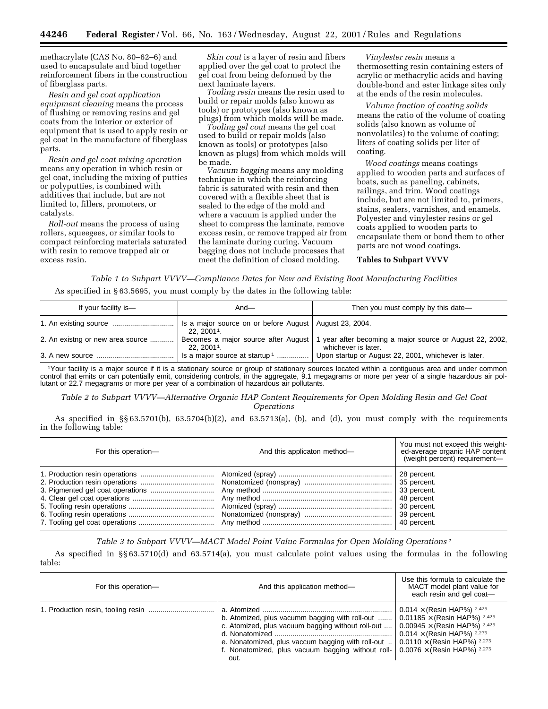methacrylate (CAS No. 80–62–6) and used to encapsulate and bind together reinforcement fibers in the construction of fiberglass parts.

*Resin and gel coat application equipment cleaning* means the process of flushing or removing resins and gel coats from the interior or exterior of equipment that is used to apply resin or gel coat in the manufacture of fiberglass parts.

*Resin and gel coat mixing operation* means any operation in which resin or gel coat, including the mixing of putties or polyputties, is combined with additives that include, but are not limited to, fillers, promoters, or catalysts.

*Roll-out* means the process of using rollers, squeegees, or similar tools to compact reinforcing materials saturated with resin to remove trapped air or excess resin.

*Skin coat* is a layer of resin and fibers applied over the gel coat to protect the gel coat from being deformed by the next laminate layers.

*Tooling resin* means the resin used to build or repair molds (also known as tools) or prototypes (also known as plugs) from which molds will be made.

*Tooling gel coat* means the gel coat used to build or repair molds (also known as tools) or prototypes (also known as plugs) from which molds will be made.

*Vacuum bagging* means any molding technique in which the reinforcing fabric is saturated with resin and then covered with a flexible sheet that is sealed to the edge of the mold and where a vacuum is applied under the sheet to compress the laminate, remove excess resin, or remove trapped air from the laminate during curing. Vacuum bagging does not include processes that meet the definition of closed molding.

*Vinylester resin* means a thermosetting resin containing esters of acrylic or methacrylic acids and having double-bond and ester linkage sites only at the ends of the resin molecules.

*Volume fraction of coating solids* means the ratio of the volume of coating solids (also known as volume of nonvolatiles) to the volume of coating; liters of coating solids per liter of coating.

*Wood coatings* means coatings applied to wooden parts and surfaces of boats, such as paneling, cabinets, railings, and trim. Wood coatings include, but are not limited to, primers, stains, sealers, varnishes, and enamels. Polyester and vinylester resins or gel coats applied to wooden parts to encapsulate them or bond them to other parts are not wood coatings.

#### **Tables to Subpart VVVV**

*Table 1 to Subpart VVVV—Compliance Dates for New and Existing Boat Manufacturing Facilities* As specified in § 63.5695, you must comply by the dates in the following table:

| If your facility is-             | And $-$                                                                  | Then you must comply by this date-                                              |
|----------------------------------|--------------------------------------------------------------------------|---------------------------------------------------------------------------------|
|                                  | Is a major source on or before August   August 23, 2004.<br>$22.20011$ . |                                                                                 |
| 2. An existng or new area source | Becomes a major source after August<br>$22.20011$ .                      | 1 year after becoming a major source or August 22, 2002,<br>whichever is later. |
|                                  | Is a major source at startup <sup>1</sup>                                | Upon startup or August 22, 2001, whichever is later.                            |

1Your facility is a major source if it is a stationary source or group of stationary sources located within a contiguous area and under common control that emits or can potentially emit, considering controls, in the aggregate, 9.1 megagrams or more per year of a single hazardous air pollutant or 22.7 megagrams or more per year of a combination of hazardous air pollutants.

*Table 2 to Subpart VVVV—Alternative Organic HAP Content Requirements for Open Molding Resin and Gel Coat Operations*

As specified in  $\S$ § 63.5701(b), 63.5704(b)(2), and 63.5713(a), (b), and (d), you must comply with the requirements in the following table:

| For this operation- | And this applicaton method- | You must not exceed this weight-<br>ed-average organic HAP content<br>(weight percent) requirement- |
|---------------------|-----------------------------|-----------------------------------------------------------------------------------------------------|
|                     |                             | 28 percent.<br>48 percent<br>30 percent.<br>39 percent.<br>40 percent.                              |

*Table 3 to Subpart VVVV—MACT Model Point Value Formulas for Open Molding Operations 1*

As specified in §§ 63.5710(d) and 63.5714(a), you must calculate point values using the formulas in the following table:

| For this operation- | And this application method-                                                                                                                                                                                                                                                                  | Use this formula to calculate the<br>MACT model plant value for<br>each resin and gel coat-                                                         |
|---------------------|-----------------------------------------------------------------------------------------------------------------------------------------------------------------------------------------------------------------------------------------------------------------------------------------------|-----------------------------------------------------------------------------------------------------------------------------------------------------|
|                     | b. Atomized, plus vacumm bagging with roll-out  0.01185 $\times$ (Resin HAP%) 2.425<br>c. Atomized, plus vacuum bagging without roll-out<br>e. Nonatomized, plus vaccum bagging with roll-out<br>f. Nonatomized, plus vacuum bagging without roll- $0.0076 \times$ (Resin HAP%) 2.275<br>out. | 0.014 $\times$ (Resin HAP%) 2.425<br>0.00945 $\times$ (Resin HAP%) 2.425<br>0.014 $\times$ (Resin HAP%) 2.275<br>$0.0110 \times$ (Resin HAP%) 2.275 |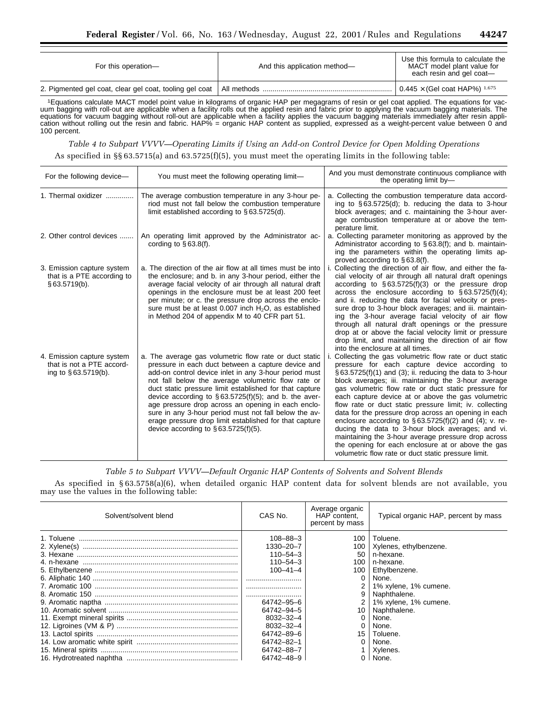| For this operation-                                     | And this application method- | Use this formula to calculate the<br>MACT model plant value for<br>each resin and gel coat- |
|---------------------------------------------------------|------------------------------|---------------------------------------------------------------------------------------------|
| 2. Pigmented gel coat, clear gel coat, tooling gel coat |                              | $0.445 \times$ (Gel coat HAP%) $1.675$                                                      |

1Equations calculate MACT model point value in kilograms of organic HAP per megagrams of resin or gel coat applied. The equations for vacuum bagging with roll-out are applicable when a facility rolls out the applied resin and fabric prior to applying the vacuum bagging materials. The equations for vacuum bagging without roll-out are applicable when a facility applies the vacuum bagging materials immediately after resin application without rolling out the resin and fabric. HAP% = organic HAP content as supplied, expressed as a weight-percent value between 0 and 100 percent.

*Table 4 to Subpart VVVV—Operating Limits if Using an Add-on Control Device for Open Molding Operations* As specified in  $\S$  63.5715(a) and 63.5725(f)(5), you must meet the operating limits in the following table:

| For the following device-                                                          | You must meet the following operating limit-                                                                                                                                                                                                                                                                                                                                                                                                                                                                                                                             | And you must demonstrate continuous compliance with<br>the operating limit by-                                                                                                                                                                                                                                                                                                                                                                                                                                                                                                                                                                                                                                                                       |
|------------------------------------------------------------------------------------|--------------------------------------------------------------------------------------------------------------------------------------------------------------------------------------------------------------------------------------------------------------------------------------------------------------------------------------------------------------------------------------------------------------------------------------------------------------------------------------------------------------------------------------------------------------------------|------------------------------------------------------------------------------------------------------------------------------------------------------------------------------------------------------------------------------------------------------------------------------------------------------------------------------------------------------------------------------------------------------------------------------------------------------------------------------------------------------------------------------------------------------------------------------------------------------------------------------------------------------------------------------------------------------------------------------------------------------|
| 1. Thermal oxidizer                                                                | The average combustion temperature in any 3-hour pe-<br>riod must not fall below the combustion temperature<br>limit established according to $\S 63.5725(d)$ .                                                                                                                                                                                                                                                                                                                                                                                                          | a. Collecting the combustion temperature data accord-<br>ing to $\S 63.5725(d)$ ; b. reducing the data to 3-hour<br>block averages; and c. maintaining the 3-hour aver-<br>age combustion temperature at or above the tem-<br>perature limit.                                                                                                                                                                                                                                                                                                                                                                                                                                                                                                        |
| 2. Other control devices                                                           | An operating limit approved by the Administrator ac-<br>cording to $§ 63.8(f)$ .                                                                                                                                                                                                                                                                                                                                                                                                                                                                                         | a. Collecting parameter monitoring as approved by the<br>Administrator according to $\S 63.8(f)$ ; and b. maintain-<br>ing the parameters within the operating limits ap-<br>proved according to §63.8(f).                                                                                                                                                                                                                                                                                                                                                                                                                                                                                                                                           |
| 3. Emission capture system<br>that is a PTE according to<br>§63.5719(b).           | a. The direction of the air flow at all times must be into<br>the enclosure; and b. in any 3-hour period, either the<br>average facial velocity of air through all natural draft<br>openings in the enclosure must be at least 200 feet<br>per minute; or c. the pressure drop across the enclo-<br>sure must be at least $0.007$ inch $H_2O$ , as established<br>in Method 204 of appendix M to 40 CFR part 51.                                                                                                                                                         | i. Collecting the direction of air flow, and either the fa-<br>cial velocity of air through all natural draft openings<br>according to $\S 63.5725(f)(3)$ or the pressure drop<br>across the enclosure according to $\S 63.5725(f)(4)$ ;<br>and ii. reducing the data for facial velocity or pres-<br>sure drop to 3-hour block averages; and iii. maintain-<br>ing the 3-hour average facial velocity of air flow<br>through all natural draft openings or the pressure<br>drop at or above the facial velocity limit or pressure<br>drop limit, and maintaining the direction of air flow<br>into the enclosure at all times.                                                                                                                      |
| 4. Emission capture system<br>that is not a PTE accord-<br>ing to $§ 63.5719(b)$ . | a. The average gas volumetric flow rate or duct static<br>pressure in each duct between a capture device and<br>add-on control device inlet in any 3-hour period must<br>not fall below the average volumetric flow rate or<br>duct static pressure limit established for that capture<br>device according to $\S 63.5725(f)(5)$ ; and b. the aver-<br>age pressure drop across an opening in each enclo-<br>sure in any 3-hour period must not fall below the av-<br>erage pressure drop limit established for that capture<br>device according to $\S 63.5725(f)(5)$ . | Collecting the gas volumetric flow rate or duct static<br>pressure for each capture device according to<br>$\S$ 63.5725(f)(1) and (3); ii. reducing the data to 3-hour<br>block averages; iii. maintaining the 3-hour average<br>gas volumetric flow rate or duct static pressure for<br>each capture device at or above the gas volumetric<br>flow rate or duct static pressure limit; iv. collecting<br>data for the pressure drop across an opening in each<br>enclosure according to $\S 63.5725(f)(2)$ and (4); v. re-<br>ducing the data to 3-hour block averages; and vi.<br>maintaining the 3-hour average pressure drop across<br>the opening for each enclosure at or above the gas<br>volumetric flow rate or duct static pressure limit. |

*Table 5 to Subpart VVVV—Default Organic HAP Contents of Solvents and Solvent Blends*

As specified in § 63.5758(a)(6), when detailed organic HAP content data for solvent blends are not available, you may use the values in the following table:

| Solvent/solvent blend | CAS No.         | Average organic<br>HAP content,<br>percent by mass | Typical organic HAP, percent by mass |
|-----------------------|-----------------|----------------------------------------------------|--------------------------------------|
| 1. Toluene            | $108 - 88 - 3$  | 100                                                | Toluene.                             |
|                       | 1330-20-7       | 100                                                | Xylenes, ethylbenzene.               |
|                       | $110 - 54 - 3$  | 50                                                 | n-hexane.                            |
|                       | $110 - 54 - 3$  | 100                                                | n-hexane.                            |
|                       | $100 - 41 - 4$  | 100 <sub>1</sub>                                   | Ethylbenzene.                        |
|                       |                 |                                                    | None.                                |
|                       |                 |                                                    | 1% xylene, 1% cumene.                |
|                       |                 | 9                                                  | Naphthalene.                         |
|                       | 64742-95-6      |                                                    | 1% xylene, 1% cumene.                |
|                       | 64742-94-5      | 10 <sup>1</sup>                                    | Naphthalene.                         |
|                       | 8032-32-4       |                                                    | None.                                |
|                       | $8032 - 32 - 4$ |                                                    | None.                                |
|                       | 64742-89-6      | 15                                                 | Toluene.                             |
|                       | 64742-82-1      |                                                    | None.                                |
|                       | 64742-88-7      |                                                    | Xylenes.                             |
|                       | 64742-48-9      |                                                    | None.                                |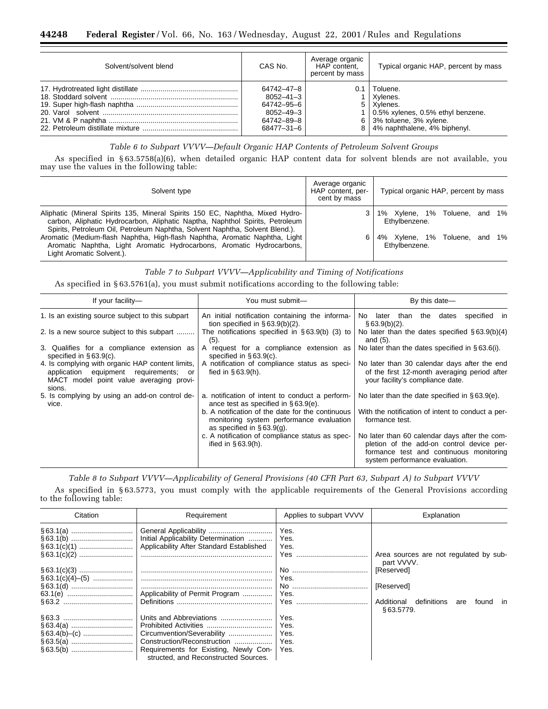## **44248 Federal Register** / Vol. 66, No. 163 / Wednesday, August 22, 2001 / Rules and Regulations

| Solvent/solvent blend | CAS No.         | Average organic<br>HAP content.<br>percent by mass | Typical organic HAP, percent by mass |
|-----------------------|-----------------|----------------------------------------------------|--------------------------------------|
|                       | 64742–47–8      |                                                    | $0.1$   Toluene.                     |
|                       | $8052 - 41 - 3$ |                                                    | Xvlenes.                             |
|                       | 64742–95–6      |                                                    | 5 Xvlenes.                           |
|                       | 8052-49-3       |                                                    | 0.5% xylenes, 0.5% ethyl benzene.    |
|                       | 64742-89-8      |                                                    | $6$ 3% toluene, 3% xylene.           |
|                       | 68477-31-6      |                                                    | 8 4% naphthalene, 4% biphenyl.       |

## *Table 6 to Subpart VVVV—Default Organic HAP Contents of Petroleum Solvent Groups*

As specified in § 63.5758(a)(6), when detailed organic HAP content data for solvent blends are not available, you may use the values in the following table:

| Solvent type                                                                                                                                                                                                                                  | Average organic<br>HAP content, per-<br>cent by mass | Typical organic HAP, percent by mass           |
|-----------------------------------------------------------------------------------------------------------------------------------------------------------------------------------------------------------------------------------------------|------------------------------------------------------|------------------------------------------------|
| Aliphatic (Mineral Spirits 135, Mineral Spirits 150 EC, Naphtha, Mixed Hydro-<br>carbon, Aliphatic Hydrocarbon, Aliphatic Naptha, Naphthol Spirits, Petroleum<br>Spirits, Petroleum Oil, Petroleum Naphtha, Solvent Naphtha, Solvent Blend.). |                                                      | 1% Xylene, 1% Toluene, and 1%<br>Ethylbenzene. |
| Aromatic (Medium-flash Naphtha, High-flash Naphtha, Aromatic Naphtha, Light<br>Aromatic Naphtha, Light Aromatic Hydrocarbons, Aromatic Hydrocarbons,<br>Light Aromatic Solvent.).                                                             | 6                                                    | 4% Xylene, 1% Toluene, and 1%<br>Ethylbenzene. |

## *Table 7 to Subpart VVVV—Applicability and Timing of Notifications*

As specified in § 63.5761(a), you must submit notifications according to the following table:

| If your facility-                                                                                                                               | You must submit-                                                                                                               | By this date-                                                                                                                                                           |
|-------------------------------------------------------------------------------------------------------------------------------------------------|--------------------------------------------------------------------------------------------------------------------------------|-------------------------------------------------------------------------------------------------------------------------------------------------------------------------|
| 1. Is an existing source subject to this subpart                                                                                                | An initial notification containing the informa-<br>tion specified in $\S 63.9(b)(2)$ .                                         | No later than the dates<br>specified in<br>§63.9(b)(2).                                                                                                                 |
| 2. Is a new source subject to this subpart                                                                                                      | The notifications specified in $\S 63.9(b)$ (3) to<br>(5).                                                                     | No later than the dates specified $\S 63.9(b)(4)$<br>and $(5)$ .                                                                                                        |
| 3. Qualifies for a compliance extension as<br>specified in $§63.9(c)$ .                                                                         | A request for a compliance extension as<br>specified in $§ 63.9(c)$ .                                                          | No later than the dates specified in $§ 63.6(i)$ .                                                                                                                      |
| 4. Is complying with organic HAP content limits,<br>application equipment requirements; or<br>MACT model point value averaging provi-<br>sions. | A notification of compliance status as speci-<br>fied in $§ 63.9(h)$ .                                                         | No later than 30 calendar days after the end<br>of the first 12-month averaging period after<br>your facility's compliance date.                                        |
| 5. Is complying by using an add-on control de-<br>vice.                                                                                         | a. notification of intent to conduct a perform-<br>ance test as specified in $\S 63.9(e)$ .                                    | No later than the date specified in $§63.9(e)$ .                                                                                                                        |
|                                                                                                                                                 | b. A notification of the date for the continuous<br>monitoring system performance evaluation<br>as specified in $\S 63.9(q)$ . | With the notification of intent to conduct a per-<br>formance test.                                                                                                     |
|                                                                                                                                                 | c. A notification of compliance status as spec-<br>ified in $§ 63.9(h)$ .                                                      | No later than 60 calendar days after the com-<br>pletion of the add-on control device per-<br>formance test and continuous monitoring<br>system performance evaluation. |

*Table 8 to Subpart VVVV—Applicability of General Provisions (40 CFR Part 63, Subpart A) to Subpart VVVV*

As specified in § 63.5773, you must comply with the applicable requirements of the General Provisions according to the following table:

| Citation | Requirement                                                                   | Applies to subpart VVVV | Explanation                                               |
|----------|-------------------------------------------------------------------------------|-------------------------|-----------------------------------------------------------|
|          |                                                                               | Yes.                    |                                                           |
|          | Initial Applicability Determination                                           | Yes.                    |                                                           |
|          | Applicability After Standard Established                                      | Yes.                    |                                                           |
|          |                                                                               |                         | Area sources are not regulated by sub-<br>part VVVV.      |
|          |                                                                               |                         | [Reserved]                                                |
|          |                                                                               | Yes.                    |                                                           |
|          |                                                                               |                         | [Reserved]                                                |
|          |                                                                               | Yes.                    |                                                           |
|          |                                                                               | Yes                     | Additional<br>definitions<br>tound in<br>are<br>§63.5779. |
|          | Units and Abbreviations                                                       | Yes.                    |                                                           |
|          |                                                                               | Yes.                    |                                                           |
|          | Circumvention/Severability                                                    | Yes.                    |                                                           |
|          | Construction/Reconstruction                                                   | Yes.                    |                                                           |
|          | Requirements for Existing, Newly Con-<br>structed, and Reconstructed Sources. | Yes.                    |                                                           |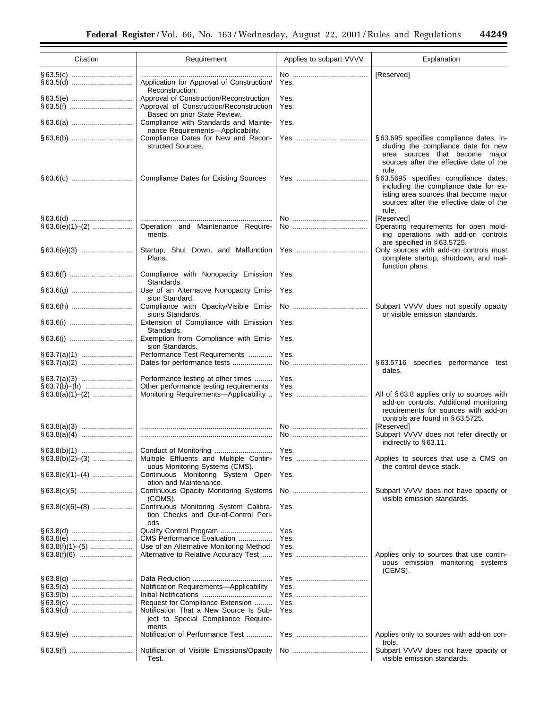| Citation           | Requirement                                                                                           | Applies to subpart VVVV | Explanation                                                                                                                                                         |
|--------------------|-------------------------------------------------------------------------------------------------------|-------------------------|---------------------------------------------------------------------------------------------------------------------------------------------------------------------|
|                    | Application for Approval of Construction/                                                             | Yes.                    | [Reserved]                                                                                                                                                          |
|                    | Reconstruction.<br>Approval of Construction/Reconstruction<br>Approval of Construction/Reconstruction | Yes.<br>Yes.            |                                                                                                                                                                     |
|                    | Based on prior State Review.<br>Compliance with Standards and Mainte-                                 | Yes.                    |                                                                                                                                                                     |
|                    | nance Requirements-Applicability.<br>Compliance Dates for New and Recon-<br>structed Sources.         |                         | §63.695 specifies compliance dates, in-<br>cluding the compliance date for new                                                                                      |
|                    | <b>Compliance Dates for Existing Sources</b>                                                          |                         | area sources that become major<br>sources after the effective date of the<br>rule.<br>§63.5695 specifies compliance dates,                                          |
|                    |                                                                                                       |                         | including the compliance date for ex-<br>isting area sources that become major<br>sources after the effective date of the<br>rule.                                  |
|                    |                                                                                                       |                         | [Reserved]                                                                                                                                                          |
| $§ 63.6(e)(1)–(2)$ | Operation and Maintenance Require-<br>ments.                                                          |                         | Operating requirements for open mold-<br>ing operations with add-on controls<br>are specified in §63.5725.                                                          |
|                    | Startup, Shut Down, and Malfunction<br>Plans.                                                         |                         | Only sources with add-on controls must<br>complete startup, shutdown, and mal-<br>function plans.                                                                   |
|                    | Compliance with Nonopacity Emission<br>Standards.                                                     | Yes.                    |                                                                                                                                                                     |
|                    | Use of an Alternative Nonopacity Emis-<br>sion Standard.                                              | Yes.                    |                                                                                                                                                                     |
|                    | Compliance with Opacity/Visible Emis-<br>sions Standards.                                             |                         | Subpart VVVV does not specify opacity<br>or visible emission standards.                                                                                             |
|                    | Extension of Compliance with Emission<br>Standards.                                                   | Yes.                    |                                                                                                                                                                     |
|                    | Exemption from Compliance with Emis-<br>sion Standards.                                               | Yes.                    |                                                                                                                                                                     |
|                    | Performance Test Requirements<br>Dates for performance tests                                          | Yes.                    | §63.5716 specifies performance test                                                                                                                                 |
|                    |                                                                                                       |                         | dates.                                                                                                                                                              |
|                    | Performance testing at other times                                                                    | Yes.                    |                                                                                                                                                                     |
|                    | Other performance testing requirements                                                                | Yes.                    |                                                                                                                                                                     |
|                    | Monitoring Requirements-Applicability                                                                 | Yes ………………………………        | All of §63.8 applies only to sources with<br>add-on controls. Additional monitoring<br>requirements for sources with add-on<br>controls are found in $\S 63.5725$ . |
|                    |                                                                                                       |                         | [Reserved]                                                                                                                                                          |
|                    |                                                                                                       |                         | Subpart VVVV does not refer directly or<br>indirectly to $§ 63.11$ .                                                                                                |
| $§ 63.8(b)(1)$     | Conduct of Monitoring                                                                                 | Yes.                    |                                                                                                                                                                     |
|                    | Multiple Effluents and Multiple Contin-<br>uous Monitoring Systems (CMS).                             |                         | Applies to sources that use a CMS on<br>the control device stack.                                                                                                   |
|                    | Continuous Monitoring System Oper-<br>ation and Maintenance.                                          | Yes.                    |                                                                                                                                                                     |
|                    | Continuous Opacity Monitoring Systems<br>(COMS).                                                      |                         | Subpart VVVV does not have opacity or<br>visible emission standards.                                                                                                |
|                    | Continuous Monitoring System Calibra-<br>tion Checks and Out-of-Control Peri-<br>ods.                 | Yes.                    |                                                                                                                                                                     |
|                    |                                                                                                       | Yes.                    |                                                                                                                                                                     |
|                    | CMS Performance Evaluation                                                                            | Yes.                    |                                                                                                                                                                     |
|                    | Use of an Alternative Monitoring Method                                                               | Yes.                    |                                                                                                                                                                     |
|                    | Alternative to Relative Accuracy Test                                                                 |                         | Applies only to sources that use contin-<br>uous emission monitoring systems<br>(CEMS).                                                                             |
|                    |                                                                                                       |                         |                                                                                                                                                                     |
|                    | Notification Requirements-Applicability                                                               | Yes.                    |                                                                                                                                                                     |
|                    |                                                                                                       |                         |                                                                                                                                                                     |
|                    | Request for Compliance Extension                                                                      | Yes.                    |                                                                                                                                                                     |
|                    | Notification That a New Source Is Sub-<br>ject to Special Compliance Require-                         | Yes.                    |                                                                                                                                                                     |
|                    | ments.<br>Notification of Performance Test                                                            |                         | Applies only to sources with add-on con-<br>trols.                                                                                                                  |
|                    | Notification of Visible Emissions/Opacity<br>Test.                                                    |                         | Subpart VVVV does not have opacity or<br>visible emission standards.                                                                                                |